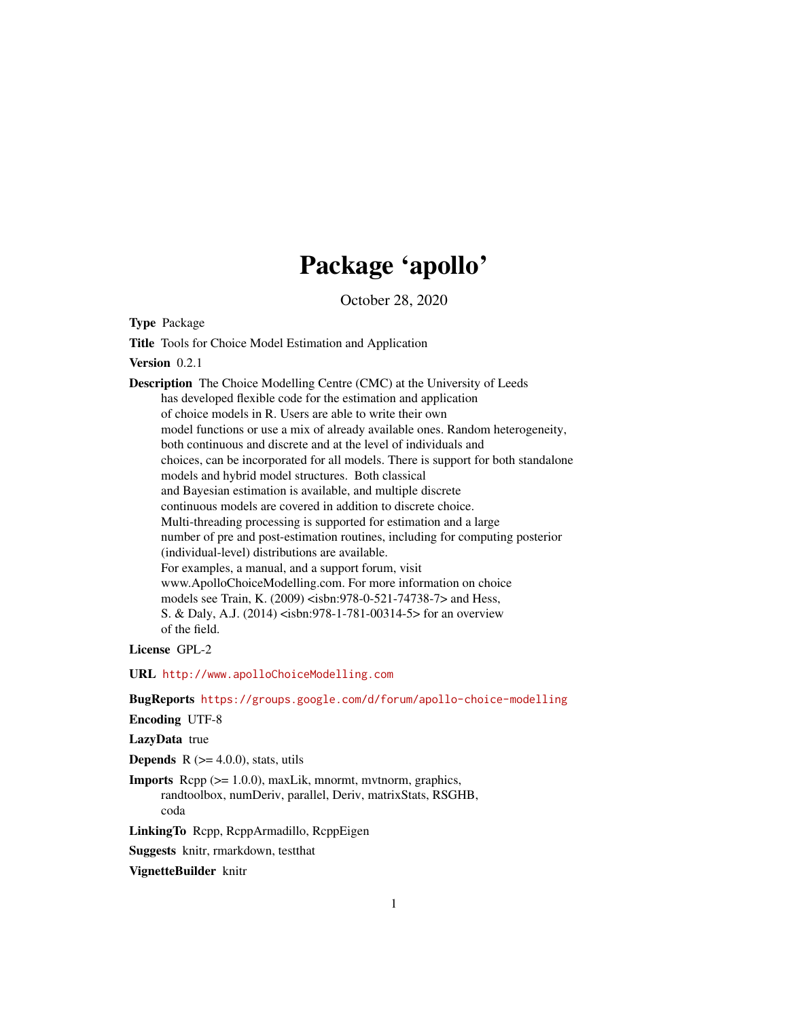# Package 'apollo'

October 28, 2020

<span id="page-0-0"></span>Type Package

Title Tools for Choice Model Estimation and Application

Version 0.2.1

Description The Choice Modelling Centre (CMC) at the University of Leeds has developed flexible code for the estimation and application of choice models in R. Users are able to write their own model functions or use a mix of already available ones. Random heterogeneity, both continuous and discrete and at the level of individuals and choices, can be incorporated for all models. There is support for both standalone models and hybrid model structures. Both classical and Bayesian estimation is available, and multiple discrete continuous models are covered in addition to discrete choice. Multi-threading processing is supported for estimation and a large number of pre and post-estimation routines, including for computing posterior (individual-level) distributions are available. For examples, a manual, and a support forum, visit www.ApolloChoiceModelling.com. For more information on choice models see Train, K. (2009) <isbn:978-0-521-74738-7> and Hess, S. & Daly, A.J. (2014) <isbn:978-1-781-00314-5> for an overview of the field.

License GPL-2

URL <http://www.apolloChoiceModelling.com>

BugReports <https://groups.google.com/d/forum/apollo-choice-modelling>

Encoding UTF-8

LazyData true

**Depends** R  $(>= 4.0.0)$ , stats, utils

Imports Rcpp (>= 1.0.0), maxLik, mnormt, mvtnorm, graphics, randtoolbox, numDeriv, parallel, Deriv, matrixStats, RSGHB, coda

LinkingTo Rcpp, RcppArmadillo, RcppEigen

Suggests knitr, rmarkdown, testthat

VignetteBuilder knitr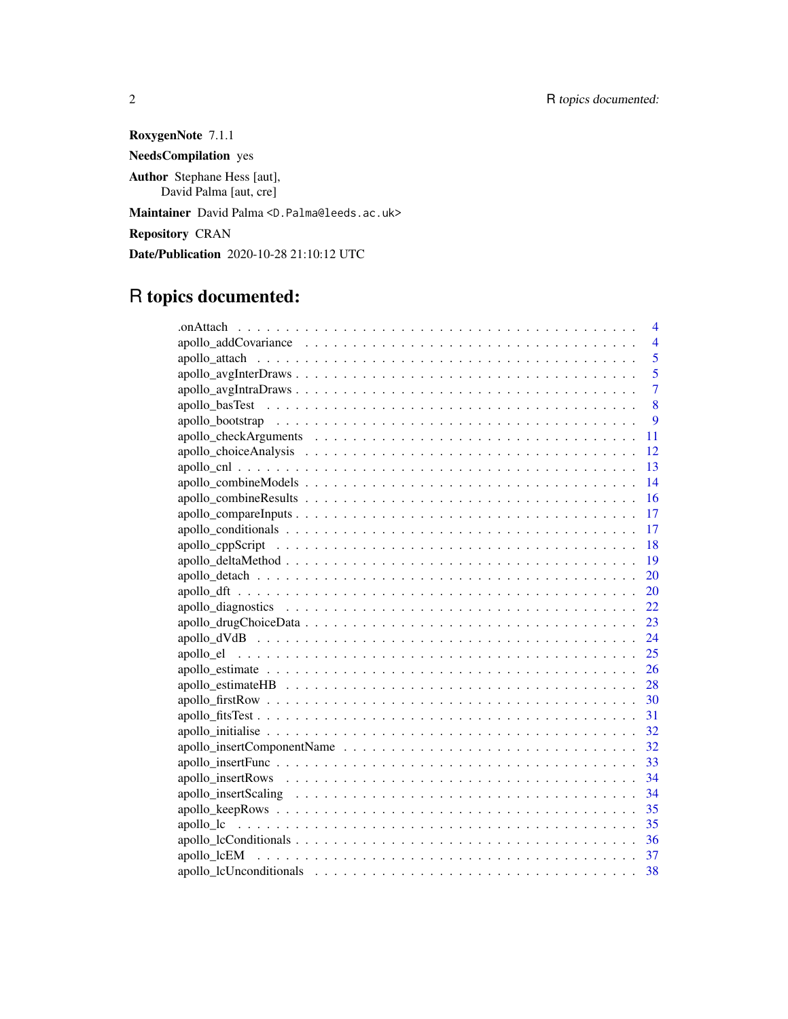RoxygenNote 7.1.1 NeedsCompilation yes Author Stephane Hess [aut], David Palma [aut, cre] Maintainer David Palma <D.Palma@leeds.ac.uk> Repository CRAN Date/Publication 2020-10-28 21:10:12 UTC

# R topics documented:

| 4              |
|----------------|
| $\overline{4}$ |
| 5              |
| $\overline{5}$ |
| $\overline{7}$ |
| 8              |
| 9              |
| 11             |
| 12             |
| 13             |
| 14             |
| 16             |
| 17             |
| -17            |
| $-18$          |
| - 19           |
|                |
|                |
|                |
|                |
| 24             |
| 25             |
| 26             |
| - 28           |
| -30            |
| -31            |
|                |
|                |
|                |
|                |
|                |
|                |
|                |
|                |
|                |
| 38             |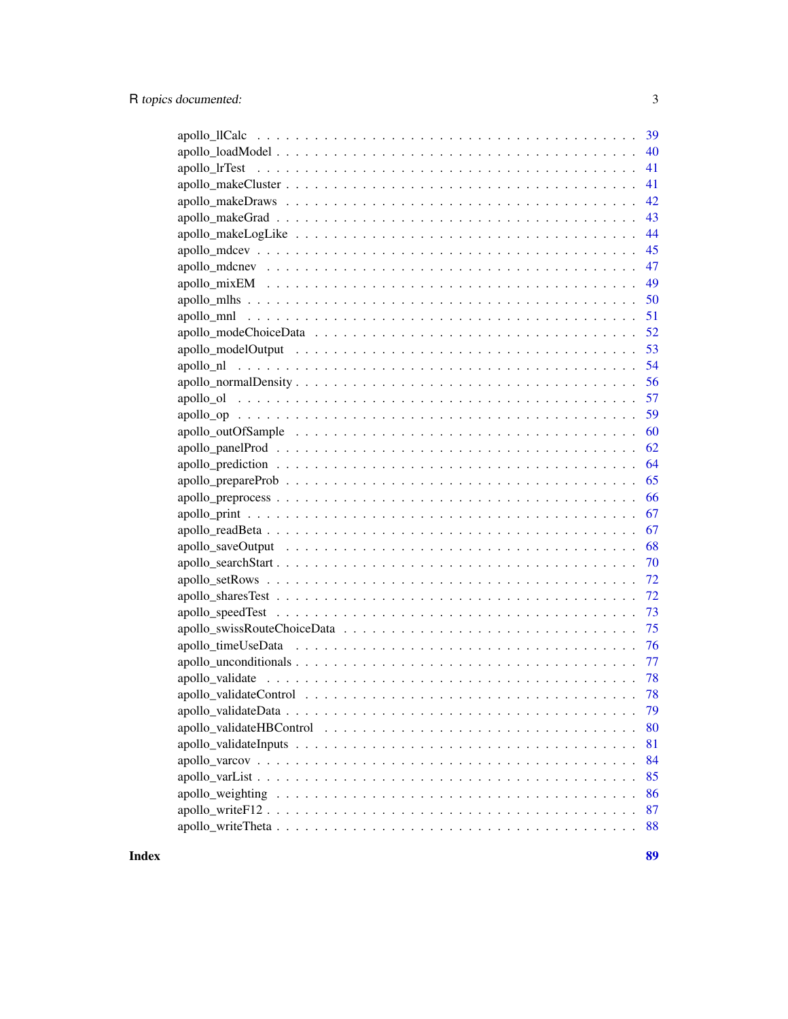| 39 |
|----|
| 40 |
| 41 |
| 41 |
| 42 |
| 43 |
| 44 |
|    |
| 47 |
| 49 |
| 50 |
| 51 |
| 52 |
| 53 |
| 54 |
| 56 |
|    |
| 59 |
| 60 |
| 62 |
| 64 |
| 65 |
| 66 |
| 67 |
| 67 |
| 68 |
| 70 |
| 72 |
| 72 |
|    |
|    |
| 76 |
| 77 |
|    |
| 78 |
| 79 |
| 80 |
| 81 |
| 84 |
| 85 |
| 86 |
| 87 |
| 88 |
|    |

**Index** [89](#page-88-0) **B**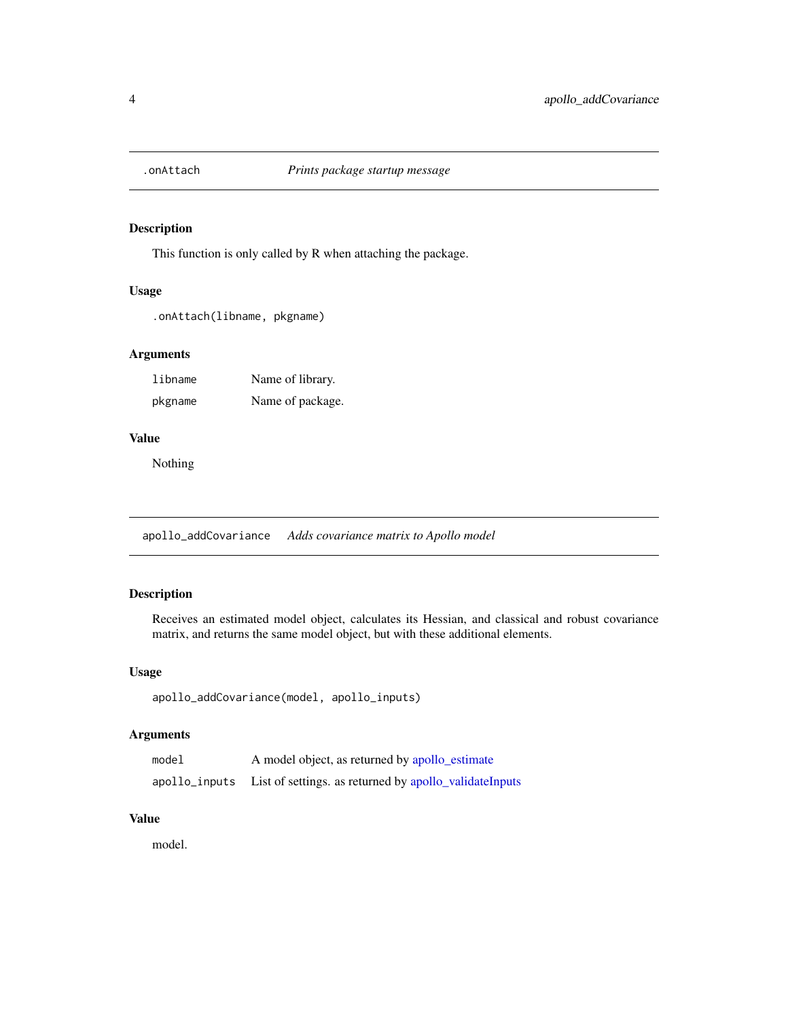<span id="page-3-0"></span>

This function is only called by R when attaching the package.

# Usage

.onAttach(libname, pkgname)

# Arguments

libname Name of library. pkgname Name of package.

# Value

Nothing

apollo\_addCovariance *Adds covariance matrix to Apollo model*

# Description

Receives an estimated model object, calculates its Hessian, and classical and robust covariance matrix, and returns the same model object, but with these additional elements.

# Usage

```
apollo_addCovariance(model, apollo_inputs)
```
# Arguments

| model         | A model object, as returned by apollo_estimate         |
|---------------|--------------------------------------------------------|
| apollo_inputs | List of settings. as returned by apollo_validateInputs |

#### Value

model.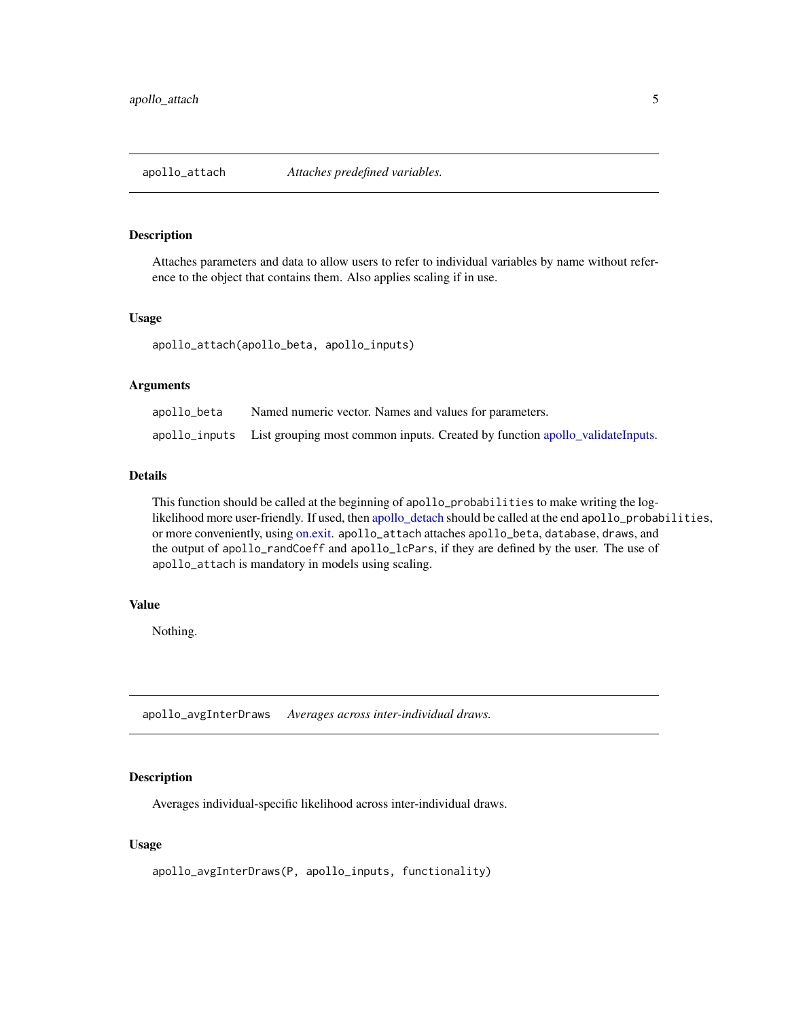<span id="page-4-1"></span><span id="page-4-0"></span>

Attaches parameters and data to allow users to refer to individual variables by name without reference to the object that contains them. Also applies scaling if in use.

#### Usage

apollo\_attach(apollo\_beta, apollo\_inputs)

#### Arguments

| apollo_beta | Named numeric vector. Names and values for parameters.                                     |
|-------------|--------------------------------------------------------------------------------------------|
|             | apollo_inputs List grouping most common inputs. Created by function apollo_validateInputs. |

# Details

This function should be called at the beginning of apollo\_probabilities to make writing the loglikelihood more user-friendly. If used, then [apollo\\_detach](#page-19-1) should be called at the end apollo\_probabilities, or more conveniently, using [on.exit.](#page-0-0) apollo\_attach attaches apollo\_beta, database, draws, and the output of apollo\_randCoeff and apollo\_lcPars, if they are defined by the user. The use of apollo\_attach is mandatory in models using scaling.

#### Value

Nothing.

apollo\_avgInterDraws *Averages across inter-individual draws.*

# Description

Averages individual-specific likelihood across inter-individual draws.

#### Usage

```
apollo_avgInterDraws(P, apollo_inputs, functionality)
```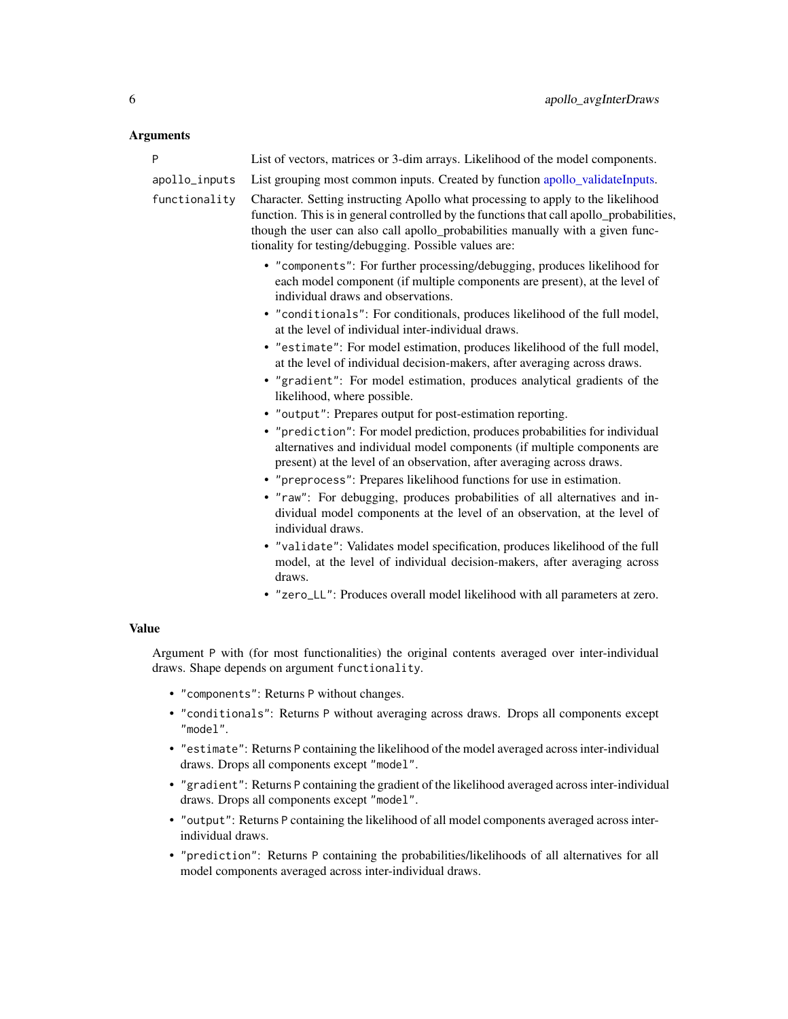| P             | List of vectors, matrices or 3-dim arrays. Likelihood of the model components.                                                                                                                                                                                                                                          |
|---------------|-------------------------------------------------------------------------------------------------------------------------------------------------------------------------------------------------------------------------------------------------------------------------------------------------------------------------|
| apollo_inputs | List grouping most common inputs. Created by function apollo_validateInputs.                                                                                                                                                                                                                                            |
| functionality | Character. Setting instructing Apollo what processing to apply to the likelihood<br>function. This is in general controlled by the functions that call apollo_probabilities,<br>though the user can also call apollo_probabilities manually with a given func-<br>tionality for testing/debugging. Possible values are: |
|               | • "components": For further processing/debugging, produces likelihood for<br>each model component (if multiple components are present), at the level of<br>individual draws and observations.                                                                                                                           |
|               | • "conditionals": For conditionals, produces likelihood of the full model,<br>at the level of individual inter-individual draws.                                                                                                                                                                                        |
|               | • "estimate": For model estimation, produces likelihood of the full model,<br>at the level of individual decision-makers, after averaging across draws.                                                                                                                                                                 |
|               | • "gradient": For model estimation, produces analytical gradients of the<br>likelihood, where possible.                                                                                                                                                                                                                 |
|               | • "output": Prepares output for post-estimation reporting.                                                                                                                                                                                                                                                              |
|               | • "prediction": For model prediction, produces probabilities for individual<br>alternatives and individual model components (if multiple components are<br>present) at the level of an observation, after averaging across draws.                                                                                       |
|               | • "preprocess": Prepares likelihood functions for use in estimation.                                                                                                                                                                                                                                                    |
|               | • "raw": For debugging, produces probabilities of all alternatives and in-<br>dividual model components at the level of an observation, at the level of<br>individual draws.                                                                                                                                            |
|               | • "validate": Validates model specification, produces likelihood of the full<br>model, at the level of individual decision-makers, after averaging across<br>draws.                                                                                                                                                     |
|               | • "zero_LL": Produces overall model likelihood with all parameters at zero.                                                                                                                                                                                                                                             |
| <b>Value</b>  |                                                                                                                                                                                                                                                                                                                         |
|               | Argument P with (for most functionalities) the original contents averaged over inter-individual<br>draws. Shape depends on argument functionality.                                                                                                                                                                      |

- "components": Returns P without changes.
- "conditionals": Returns P without averaging across draws. Drops all components except "model".
- "estimate": Returns P containing the likelihood of the model averaged across inter-individual draws. Drops all components except "model".
- "gradient": Returns P containing the gradient of the likelihood averaged across inter-individual draws. Drops all components except "model".
- "output": Returns P containing the likelihood of all model components averaged across interindividual draws.
- "prediction": Returns P containing the probabilities/likelihoods of all alternatives for all model components averaged across inter-individual draws.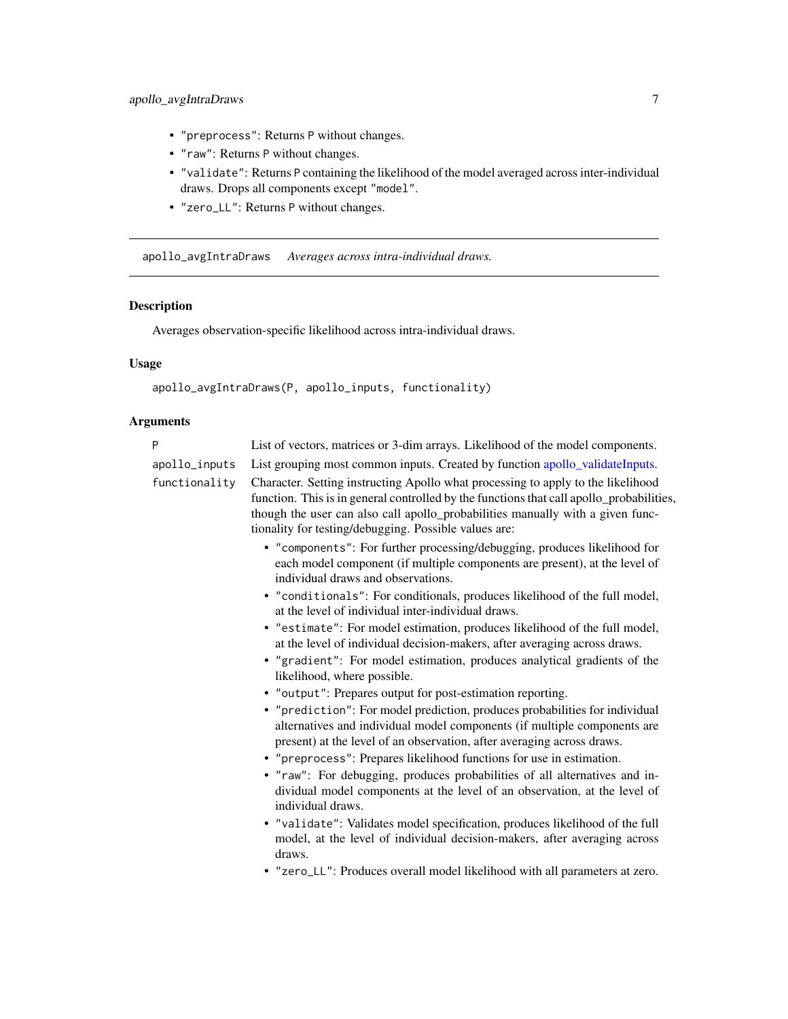- <span id="page-6-0"></span>• "preprocess": Returns P without changes.
- "raw": Returns P without changes.
- "validate": Returns P containing the likelihood of the model averaged across inter-individual draws. Drops all components except "model".
- "zero\_LL": Returns P without changes.

apollo\_avgIntraDraws *Averages across intra-individual draws.*

# Description

Averages observation-specific likelihood across intra-individual draws.

# Usage

```
apollo_avgIntraDraws(P, apollo_inputs, functionality)
```

| P             | List of vectors, matrices or 3-dim arrays. Likelihood of the model components.                                                                                                                                                                                                                                          |
|---------------|-------------------------------------------------------------------------------------------------------------------------------------------------------------------------------------------------------------------------------------------------------------------------------------------------------------------------|
| apollo_inputs | List grouping most common inputs. Created by function apollo_validateInputs.                                                                                                                                                                                                                                            |
| functionality | Character. Setting instructing Apollo what processing to apply to the likelihood<br>function. This is in general controlled by the functions that call apollo_probabilities,<br>though the user can also call apollo_probabilities manually with a given func-<br>tionality for testing/debugging. Possible values are: |
|               | • "components": For further processing/debugging, produces likelihood for<br>each model component (if multiple components are present), at the level of<br>individual draws and observations.                                                                                                                           |
|               | • "conditionals": For conditionals, produces likelihood of the full model,<br>at the level of individual inter-individual draws.                                                                                                                                                                                        |
|               | • "estimate": For model estimation, produces likelihood of the full model,<br>at the level of individual decision-makers, after averaging across draws.                                                                                                                                                                 |
|               | • "gradient": For model estimation, produces analytical gradients of the<br>likelihood, where possible.                                                                                                                                                                                                                 |
|               | • "output": Prepares output for post-estimation reporting.                                                                                                                                                                                                                                                              |
|               | • "prediction": For model prediction, produces probabilities for individual<br>alternatives and individual model components (if multiple components are<br>present) at the level of an observation, after averaging across draws.                                                                                       |
|               | • "preprocess": Prepares likelihood functions for use in estimation.                                                                                                                                                                                                                                                    |
|               | • "raw": For debugging, produces probabilities of all alternatives and in-<br>dividual model components at the level of an observation, at the level of<br>individual draws.                                                                                                                                            |
|               | • "validate": Validates model specification, produces likelihood of the full<br>model, at the level of individual decision-makers, after averaging across<br>draws.                                                                                                                                                     |
|               | • "zero_LL": Produces overall model likelihood with all parameters at zero.                                                                                                                                                                                                                                             |
|               |                                                                                                                                                                                                                                                                                                                         |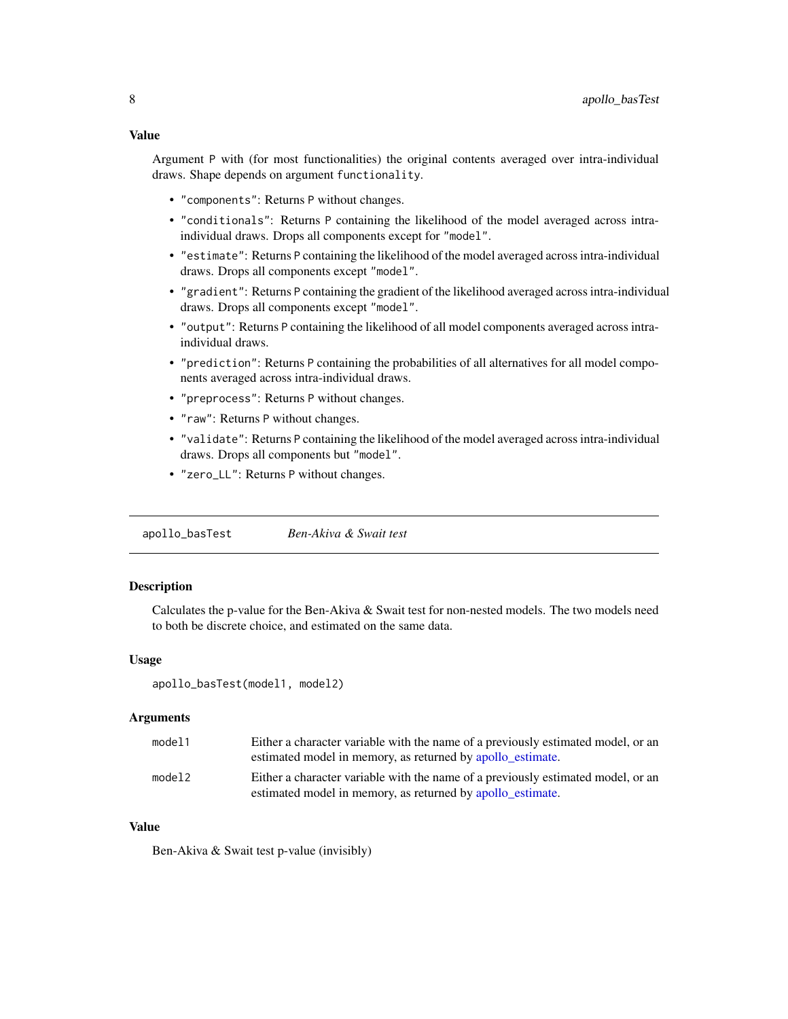<span id="page-7-0"></span>Argument P with (for most functionalities) the original contents averaged over intra-individual draws. Shape depends on argument functionality.

- "components": Returns P without changes.
- "conditionals": Returns P containing the likelihood of the model averaged across intraindividual draws. Drops all components except for "model".
- "estimate": Returns P containing the likelihood of the model averaged across intra-individual draws. Drops all components except "model".
- "gradient": Returns P containing the gradient of the likelihood averaged across intra-individual draws. Drops all components except "model".
- "output": Returns P containing the likelihood of all model components averaged across intraindividual draws.
- "prediction": Returns P containing the probabilities of all alternatives for all model components averaged across intra-individual draws.
- "preprocess": Returns P without changes.
- "raw": Returns P without changes.
- "validate": Returns P containing the likelihood of the model averaged across intra-individual draws. Drops all components but "model".
- "zero\_LL": Returns P without changes.

apollo\_basTest *Ben-Akiva & Swait test*

# **Description**

Calculates the p-value for the Ben-Akiva & Swait test for non-nested models. The two models need to both be discrete choice, and estimated on the same data.

#### Usage

apollo\_basTest(model1, model2)

#### Arguments

| model1 | Either a character variable with the name of a previously estimated model, or an<br>estimated model in memory, as returned by apollo estimate. |
|--------|------------------------------------------------------------------------------------------------------------------------------------------------|
| model2 | Either a character variable with the name of a previously estimated model, or an<br>estimated model in memory, as returned by apollo_estimate. |

# Value

Ben-Akiva & Swait test p-value (invisibly)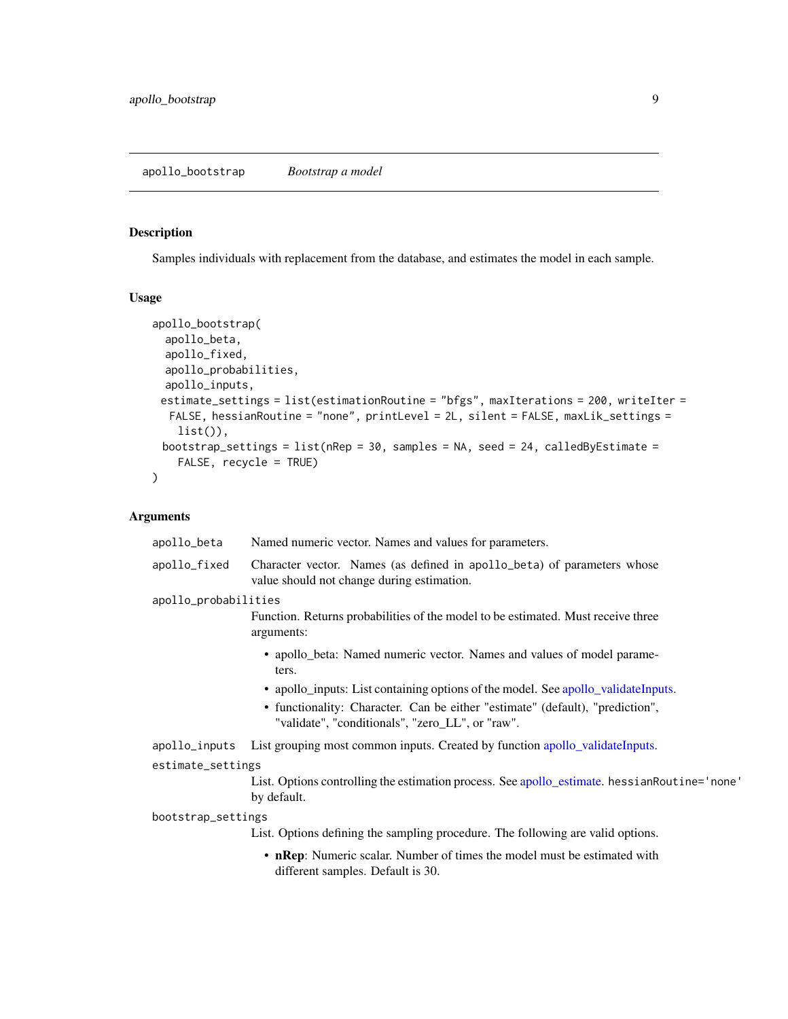<span id="page-8-0"></span>Samples individuals with replacement from the database, and estimates the model in each sample.

# Usage

```
apollo_bootstrap(
  apollo_beta,
  apollo_fixed,
  apollo_probabilities,
  apollo_inputs,
 estimate_settings = list(estimationRoutine = "bfgs", maxIterations = 200, writeIter =
  FALSE, hessianRoutine = "none", printLevel = 2L, silent = FALSE, maxLik_settings =
    list(),
 bootstrap_settings = list(nRep = 30, samples = NA, seed = 24, calledByEstimate =FALSE, recycle = TRUE)
)
```

| apollo_beta          | Named numeric vector. Names and values for parameters.                                                                            |
|----------------------|-----------------------------------------------------------------------------------------------------------------------------------|
| apollo_fixed         | Character vector. Names (as defined in apollo_beta) of parameters whose<br>value should not change during estimation.             |
| apollo_probabilities |                                                                                                                                   |
|                      | Function. Returns probabilities of the model to be estimated. Must receive three<br>arguments:                                    |
|                      | • apollo_beta: Named numeric vector. Names and values of model parame-<br>ters.                                                   |
|                      | • apollo_inputs: List containing options of the model. See apollo_validateInputs.                                                 |
|                      | • functionality: Character. Can be either "estimate" (default), "prediction",<br>"validate", "conditionals", "zero_LL", or "raw". |
| apollo_inputs        | List grouping most common inputs. Created by function apollo_validateInputs.                                                      |
| estimate_settings    |                                                                                                                                   |
|                      | List. Options controlling the estimation process. See apollo_estimate. hessianRoutine='none'<br>by default.                       |
| bootstrap_settings   |                                                                                                                                   |
|                      | List. Options defining the sampling procedure. The following are valid options.                                                   |
|                      | • nRep: Numeric scalar. Number of times the model must be estimated with<br>different samples. Default is 30.                     |
|                      |                                                                                                                                   |
|                      |                                                                                                                                   |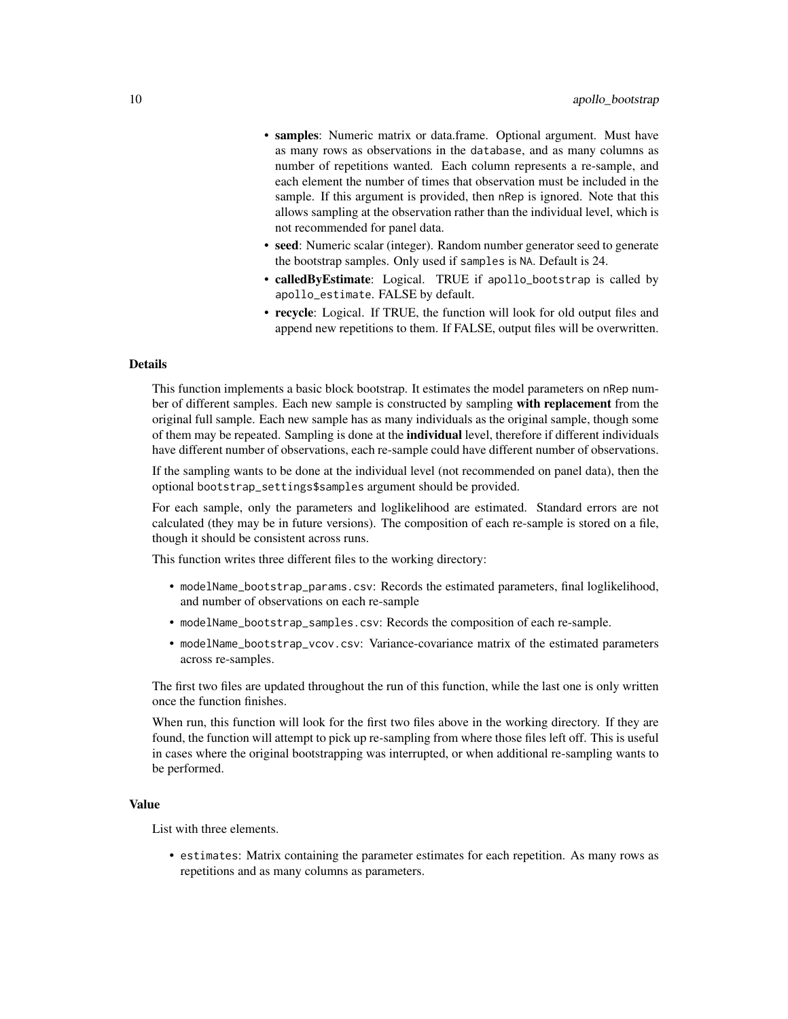- samples: Numeric matrix or data.frame. Optional argument. Must have as many rows as observations in the database, and as many columns as number of repetitions wanted. Each column represents a re-sample, and each element the number of times that observation must be included in the sample. If this argument is provided, then nRep is ignored. Note that this allows sampling at the observation rather than the individual level, which is not recommended for panel data.
- seed: Numeric scalar (integer). Random number generator seed to generate the bootstrap samples. Only used if samples is NA. Default is 24.
- calledByEstimate: Logical. TRUE if apollo\_bootstrap is called by apollo\_estimate. FALSE by default.
- recycle: Logical. If TRUE, the function will look for old output files and append new repetitions to them. If FALSE, output files will be overwritten.

## Details

This function implements a basic block bootstrap. It estimates the model parameters on nRep number of different samples. Each new sample is constructed by sampling with replacement from the original full sample. Each new sample has as many individuals as the original sample, though some of them may be repeated. Sampling is done at the **individual** level, therefore if different individuals have different number of observations, each re-sample could have different number of observations.

If the sampling wants to be done at the individual level (not recommended on panel data), then the optional bootstrap\_settings\$samples argument should be provided.

For each sample, only the parameters and loglikelihood are estimated. Standard errors are not calculated (they may be in future versions). The composition of each re-sample is stored on a file, though it should be consistent across runs.

This function writes three different files to the working directory:

- modelName\_bootstrap\_params.csv: Records the estimated parameters, final loglikelihood, and number of observations on each re-sample
- modelName\_bootstrap\_samples.csv: Records the composition of each re-sample.
- modelName\_bootstrap\_vcov.csv: Variance-covariance matrix of the estimated parameters across re-samples.

The first two files are updated throughout the run of this function, while the last one is only written once the function finishes.

When run, this function will look for the first two files above in the working directory. If they are found, the function will attempt to pick up re-sampling from where those files left off. This is useful in cases where the original bootstrapping was interrupted, or when additional re-sampling wants to be performed.

#### Value

List with three elements.

• estimates: Matrix containing the parameter estimates for each repetition. As many rows as repetitions and as many columns as parameters.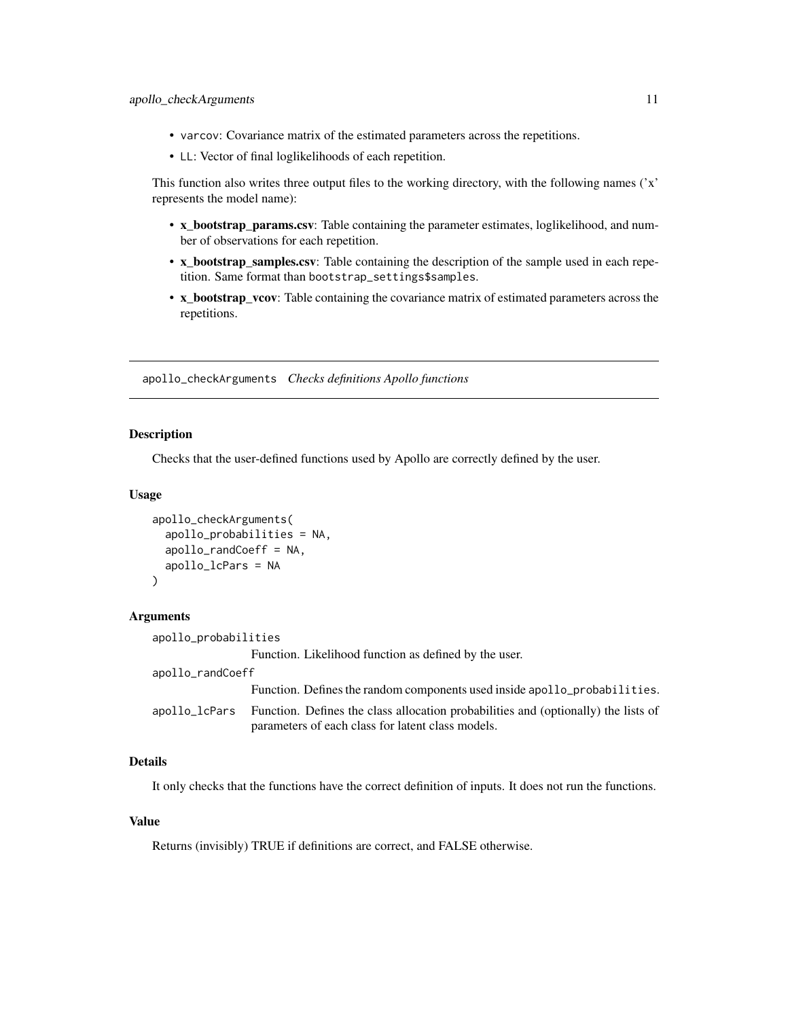- <span id="page-10-0"></span>• varcov: Covariance matrix of the estimated parameters across the repetitions.
- LL: Vector of final loglikelihoods of each repetition.

This function also writes three output files to the working directory, with the following names ('x' represents the model name):

- x\_bootstrap\_params.csv: Table containing the parameter estimates, loglikelihood, and number of observations for each repetition.
- x\_bootstrap\_samples.csv: Table containing the description of the sample used in each repetition. Same format than bootstrap\_settings\$samples.
- x\_bootstrap\_vcov: Table containing the covariance matrix of estimated parameters across the repetitions.

apollo\_checkArguments *Checks definitions Apollo functions*

#### Description

Checks that the user-defined functions used by Apollo are correctly defined by the user.

#### Usage

```
apollo_checkArguments(
  apollo_probabilities = NA,
  apollo_randCoeff = NA,
  apollo_lcPars = NA
)
```
### Arguments

| apollo_probabilities |                                                                                                                                         |
|----------------------|-----------------------------------------------------------------------------------------------------------------------------------------|
|                      | Function. Likelihood function as defined by the user.                                                                                   |
| apollo_randCoeff     |                                                                                                                                         |
|                      | Function. Defines the random components used inside apollo_probabilities.                                                               |
| apollo_lcPars        | Function. Defines the class allocation probabilities and (optionally) the lists of<br>parameters of each class for latent class models. |

# Details

It only checks that the functions have the correct definition of inputs. It does not run the functions.

# Value

Returns (invisibly) TRUE if definitions are correct, and FALSE otherwise.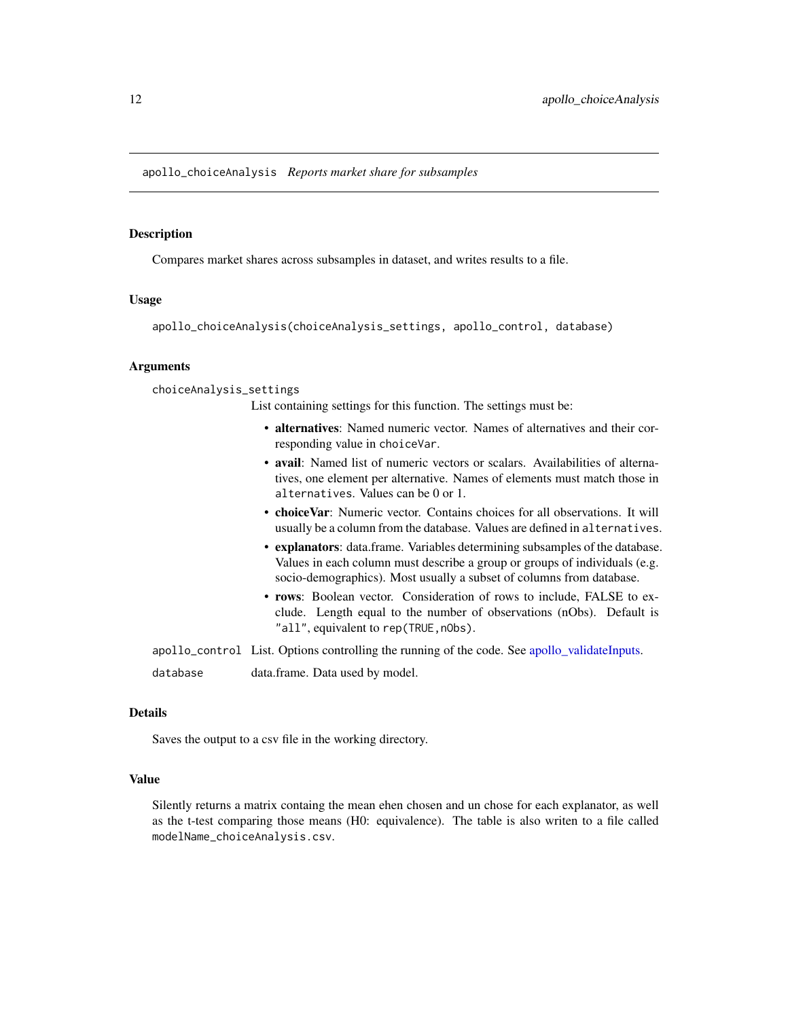<span id="page-11-0"></span>Compares market shares across subsamples in dataset, and writes results to a file.

#### Usage

apollo\_choiceAnalysis(choiceAnalysis\_settings, apollo\_control, database)

#### Arguments

choiceAnalysis\_settings

List containing settings for this function. The settings must be:

- alternatives: Named numeric vector. Names of alternatives and their corresponding value in choiceVar.
- avail: Named list of numeric vectors or scalars. Availabilities of alternatives, one element per alternative. Names of elements must match those in alternatives. Values can be 0 or 1.
- choiceVar: Numeric vector. Contains choices for all observations. It will usually be a column from the database. Values are defined in alternatives.
- explanators: data.frame. Variables determining subsamples of the database. Values in each column must describe a group or groups of individuals (e.g. socio-demographics). Most usually a subset of columns from database.
- rows: Boolean vector. Consideration of rows to include, FALSE to exclude. Length equal to the number of observations (nObs). Default is "all", equivalent to rep(TRUE, n0bs).

apollo\_control List. Options controlling the running of the code. See [apollo\\_validateInputs.](#page-80-1)

database data.frame. Data used by model.

### Details

Saves the output to a csv file in the working directory.

# Value

Silently returns a matrix containg the mean ehen chosen and un chose for each explanator, as well as the t-test comparing those means (H0: equivalence). The table is also writen to a file called modelName\_choiceAnalysis.csv.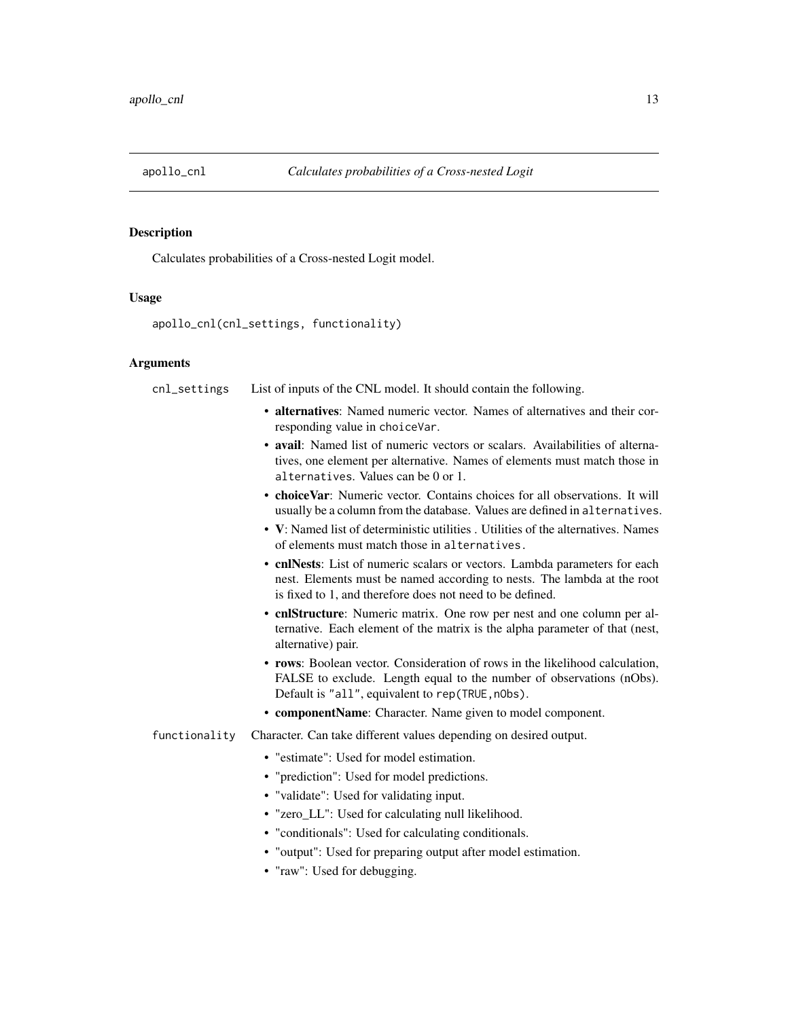<span id="page-12-0"></span>

Calculates probabilities of a Cross-nested Logit model.

#### Usage

apollo\_cnl(cnl\_settings, functionality)

#### Arguments

cnl\_settings List of inputs of the CNL model. It should contain the following.

- alternatives: Named numeric vector. Names of alternatives and their corresponding value in choiceVar.
- avail: Named list of numeric vectors or scalars. Availabilities of alternatives, one element per alternative. Names of elements must match those in alternatives. Values can be 0 or 1.
- choiceVar: Numeric vector. Contains choices for all observations. It will usually be a column from the database. Values are defined in alternatives.
- V: Named list of deterministic utilities . Utilities of the alternatives. Names of elements must match those in alternatives.
- cnlNests: List of numeric scalars or vectors. Lambda parameters for each nest. Elements must be named according to nests. The lambda at the root is fixed to 1, and therefore does not need to be defined.
- cnlStructure: Numeric matrix. One row per nest and one column per alternative. Each element of the matrix is the alpha parameter of that (nest, alternative) pair.
- rows: Boolean vector. Consideration of rows in the likelihood calculation, FALSE to exclude. Length equal to the number of observations (nObs). Default is "all", equivalent to rep(TRUE, n0bs).
- componentName: Character. Name given to model component.
- functionality Character. Can take different values depending on desired output.
	- "estimate": Used for model estimation.
	- "prediction": Used for model predictions.
	- "validate": Used for validating input.
	- "zero\_LL": Used for calculating null likelihood.
	- "conditionals": Used for calculating conditionals.
	- "output": Used for preparing output after model estimation.
	- "raw": Used for debugging.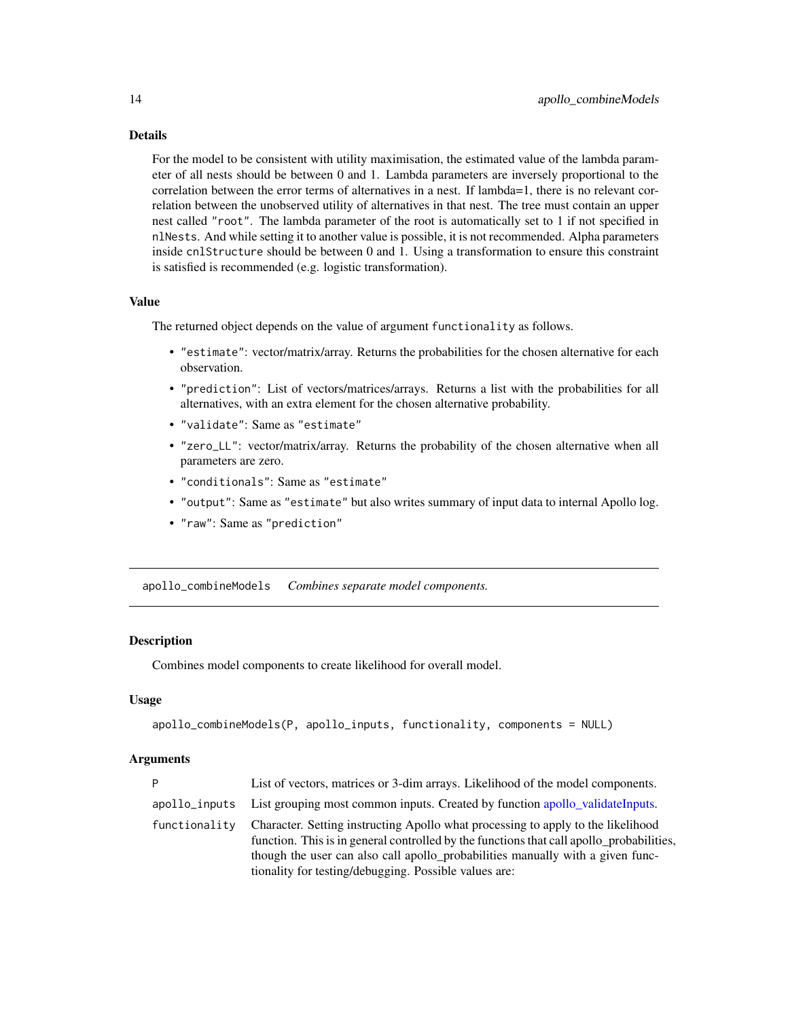# <span id="page-13-0"></span>Details

For the model to be consistent with utility maximisation, the estimated value of the lambda parameter of all nests should be between 0 and 1. Lambda parameters are inversely proportional to the correlation between the error terms of alternatives in a nest. If lambda=1, there is no relevant correlation between the unobserved utility of alternatives in that nest. The tree must contain an upper nest called "root". The lambda parameter of the root is automatically set to 1 if not specified in nlNests. And while setting it to another value is possible, it is not recommended. Alpha parameters inside cnlStructure should be between 0 and 1. Using a transformation to ensure this constraint is satisfied is recommended (e.g. logistic transformation).

#### Value

The returned object depends on the value of argument functionality as follows.

- "estimate": vector/matrix/array. Returns the probabilities for the chosen alternative for each observation.
- "prediction": List of vectors/matrices/arrays. Returns a list with the probabilities for all alternatives, with an extra element for the chosen alternative probability.
- "validate": Same as "estimate"
- "zero\_LL": vector/matrix/array. Returns the probability of the chosen alternative when all parameters are zero.
- "conditionals": Same as "estimate"
- "output": Same as "estimate" but also writes summary of input data to internal Apollo log.
- "raw": Same as "prediction"

apollo\_combineModels *Combines separate model components.*

#### **Description**

Combines model components to create likelihood for overall model.

## Usage

```
apollo_combineModels(P, apollo_inputs, functionality, components = NULL)
```

| P             | List of vectors, matrices or 3-dim arrays. Likelihood of the model components.                                                                                                                                                                                                                                          |
|---------------|-------------------------------------------------------------------------------------------------------------------------------------------------------------------------------------------------------------------------------------------------------------------------------------------------------------------------|
| apollo_inputs | List grouping most common inputs. Created by function apollo_validateInputs.                                                                                                                                                                                                                                            |
| functionality | Character. Setting instructing Apollo what processing to apply to the likelihood<br>function. This is in general controlled by the functions that call apollo probabilities,<br>though the user can also call apollo_probabilities manually with a given func-<br>tionality for testing/debugging. Possible values are: |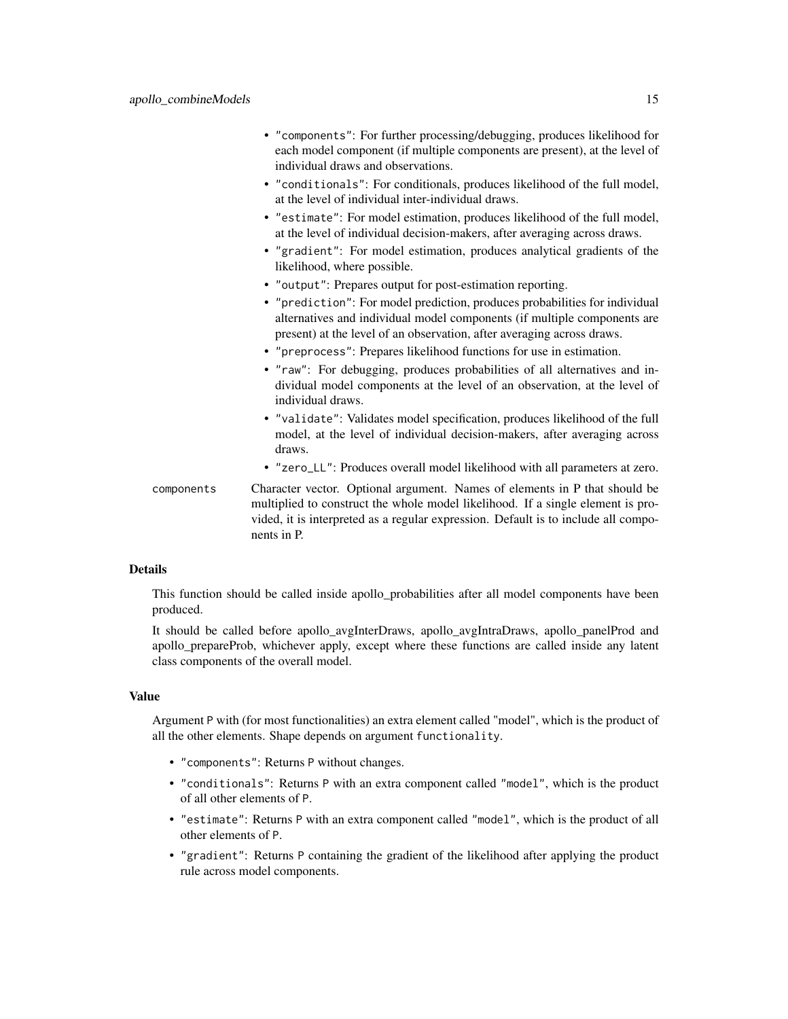- "components": For further processing/debugging, produces likelihood for each model component (if multiple components are present), at the level of individual draws and observations.
- "conditionals": For conditionals, produces likelihood of the full model, at the level of individual inter-individual draws.
- "estimate": For model estimation, produces likelihood of the full model, at the level of individual decision-makers, after averaging across draws.
- "gradient": For model estimation, produces analytical gradients of the likelihood, where possible.
- "output": Prepares output for post-estimation reporting.
- "prediction": For model prediction, produces probabilities for individual alternatives and individual model components (if multiple components are present) at the level of an observation, after averaging across draws.
- "preprocess": Prepares likelihood functions for use in estimation.
- "raw": For debugging, produces probabilities of all alternatives and individual model components at the level of an observation, at the level of individual draws.
- "validate": Validates model specification, produces likelihood of the full model, at the level of individual decision-makers, after averaging across draws.
- "zero\_LL": Produces overall model likelihood with all parameters at zero.
- components Character vector. Optional argument. Names of elements in P that should be multiplied to construct the whole model likelihood. If a single element is provided, it is interpreted as a regular expression. Default is to include all components in P.

### Details

This function should be called inside apollo\_probabilities after all model components have been produced.

It should be called before apollo\_avgInterDraws, apollo\_avgIntraDraws, apollo\_panelProd and apollo prepareProb, whichever apply, except where these functions are called inside any latent class components of the overall model.

#### Value

Argument P with (for most functionalities) an extra element called "model", which is the product of all the other elements. Shape depends on argument functionality.

- "components": Returns P without changes.
- "conditionals": Returns P with an extra component called "model", which is the product of all other elements of P.
- "estimate": Returns P with an extra component called "model", which is the product of all other elements of P.
- "gradient": Returns P containing the gradient of the likelihood after applying the product rule across model components.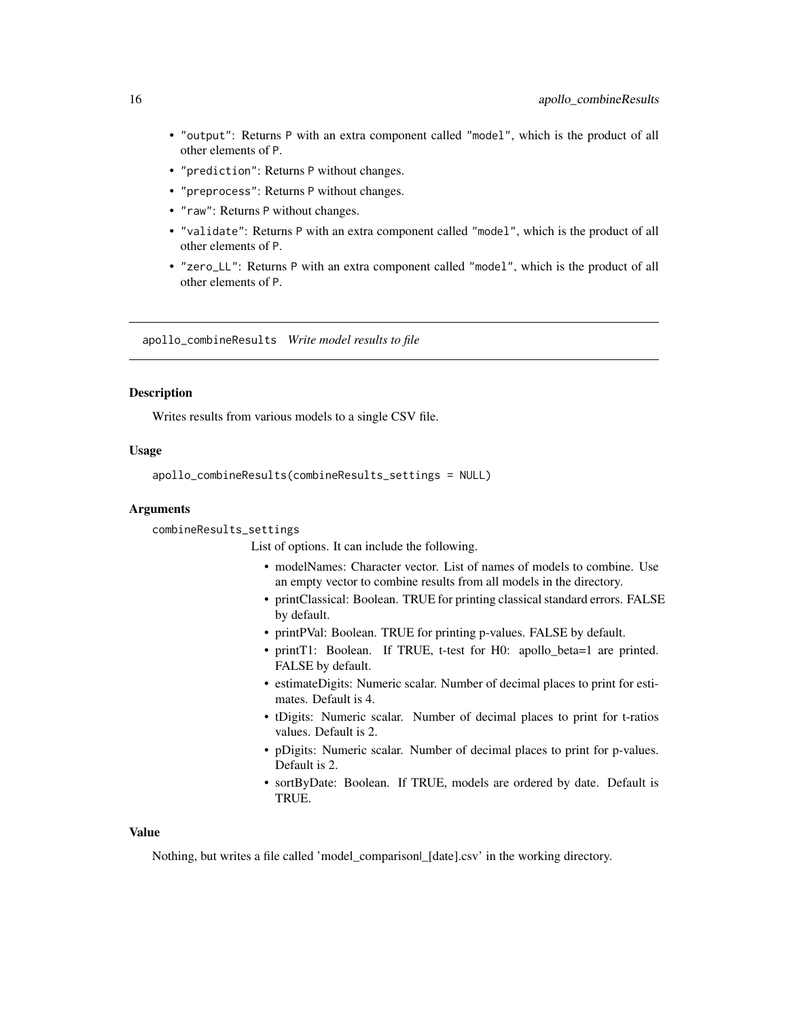- <span id="page-15-0"></span>• "output": Returns P with an extra component called "model", which is the product of all other elements of P.
- "prediction": Returns P without changes.
- "preprocess": Returns P without changes.
- "raw": Returns P without changes.
- "validate": Returns P with an extra component called "model", which is the product of all other elements of P.
- "zero\_LL": Returns P with an extra component called "model", which is the product of all other elements of P.

apollo\_combineResults *Write model results to file*

#### Description

Writes results from various models to a single CSV file.

# Usage

```
apollo_combineResults(combineResults_settings = NULL)
```
## Arguments

combineResults\_settings

List of options. It can include the following.

- modelNames: Character vector. List of names of models to combine. Use an empty vector to combine results from all models in the directory.
- printClassical: Boolean. TRUE for printing classical standard errors. FALSE by default.
- printPVal: Boolean. TRUE for printing p-values. FALSE by default.
- printT1: Boolean. If TRUE, t-test for H0: apollo\_beta=1 are printed. FALSE by default.
- estimateDigits: Numeric scalar. Number of decimal places to print for estimates. Default is 4.
- tDigits: Numeric scalar. Number of decimal places to print for t-ratios values. Default is 2.
- pDigits: Numeric scalar. Number of decimal places to print for p-values. Default is 2.
- sortByDate: Boolean. If TRUE, models are ordered by date. Default is TRUE.

#### Value

Nothing, but writes a file called 'model\_comparison| [date].csv' in the working directory.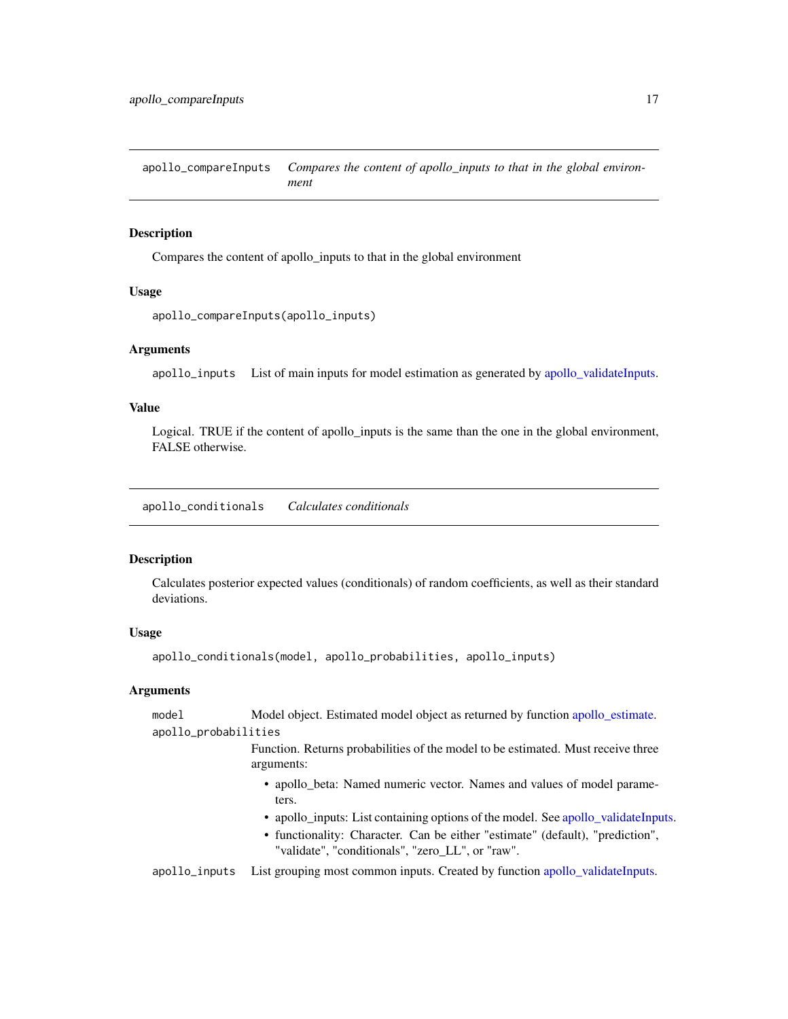<span id="page-16-0"></span>apollo\_compareInputs *Compares the content of apollo\_inputs to that in the global environment*

# Description

Compares the content of apollo\_inputs to that in the global environment

### Usage

```
apollo_compareInputs(apollo_inputs)
```
#### **Arguments**

apollo\_inputs List of main inputs for model estimation as generated by [apollo\\_validateInputs.](#page-80-1)

# Value

Logical. TRUE if the content of apollo\_inputs is the same than the one in the global environment, FALSE otherwise.

apollo\_conditionals *Calculates conditionals*

#### Description

Calculates posterior expected values (conditionals) of random coefficients, as well as their standard deviations.

### Usage

```
apollo_conditionals(model, apollo_probabilities, apollo_inputs)
```
#### Arguments

model Model object. Estimated model object as returned by function [apollo\\_estimate.](#page-25-1) apollo\_probabilities

> Function. Returns probabilities of the model to be estimated. Must receive three arguments:

- apollo\_beta: Named numeric vector. Names and values of model parameters.
- apollo\_inputs: List containing options of the model. See [apollo\\_validateInputs.](#page-80-1)
- functionality: Character. Can be either "estimate" (default), "prediction", "validate", "conditionals", "zero\_LL", or "raw".

apollo\_inputs List grouping most common inputs. Created by function [apollo\\_validateInputs.](#page-80-1)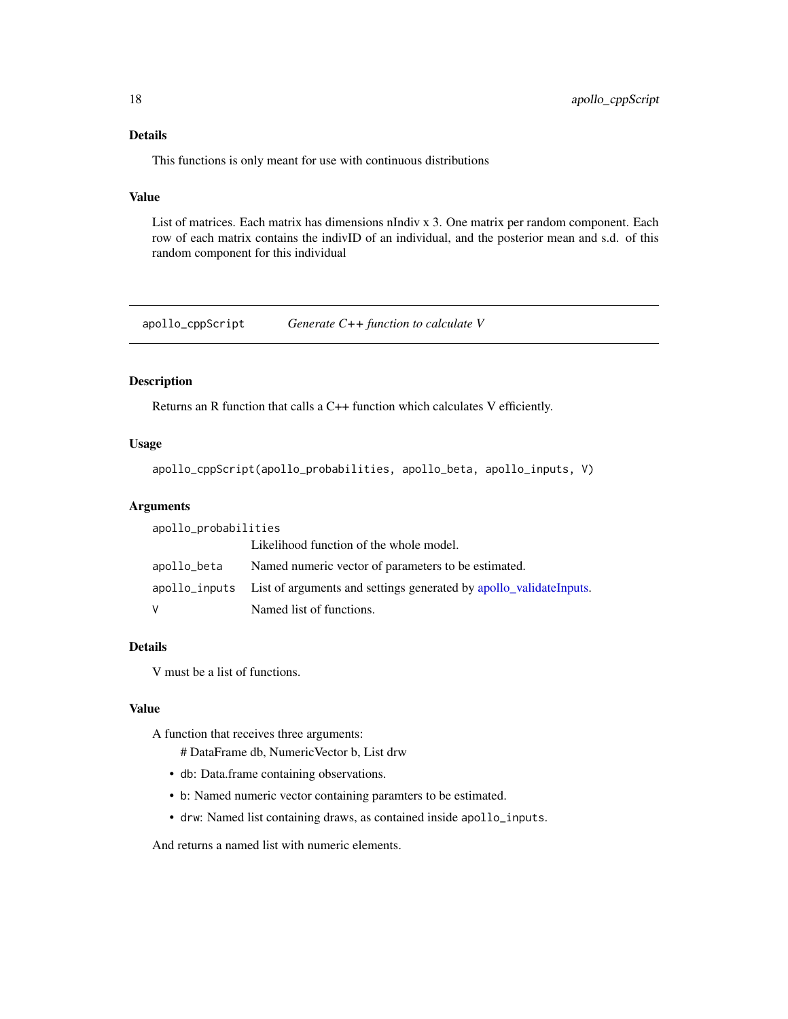# <span id="page-17-0"></span>Details

This functions is only meant for use with continuous distributions

# Value

List of matrices. Each matrix has dimensions nIndiv x 3. One matrix per random component. Each row of each matrix contains the indivID of an individual, and the posterior mean and s.d. of this random component for this individual

apollo\_cppScript *Generate C++ function to calculate V*

# Description

Returns an R function that calls a C++ function which calculates V efficiently.

## Usage

```
apollo_cppScript(apollo_probabilities, apollo_beta, apollo_inputs, V)
```
#### Arguments

| apollo_probabilities |                                                                                  |
|----------------------|----------------------------------------------------------------------------------|
|                      | Likelihood function of the whole model.                                          |
| apollo_beta          | Named numeric vector of parameters to be estimated.                              |
|                      | apollo_inputs List of arguments and settings generated by apollo_validateInputs. |
| V                    | Named list of functions.                                                         |

# Details

V must be a list of functions.

# Value

A function that receives three arguments:

# DataFrame db, NumericVector b, List drw

- db: Data.frame containing observations.
- b: Named numeric vector containing paramters to be estimated.
- drw: Named list containing draws, as contained inside apollo\_inputs.

And returns a named list with numeric elements.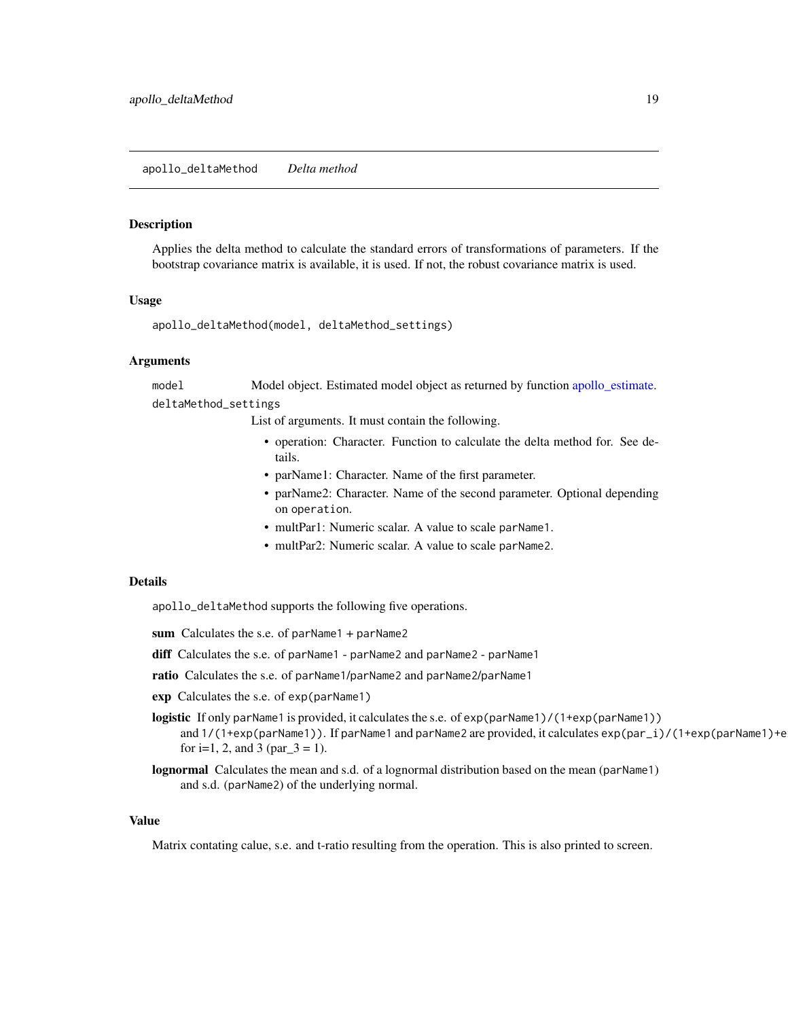<span id="page-18-0"></span>Applies the delta method to calculate the standard errors of transformations of parameters. If the bootstrap covariance matrix is available, it is used. If not, the robust covariance matrix is used.

#### Usage

apollo\_deltaMethod(model, deltaMethod\_settings)

#### Arguments

model Model object. Estimated model object as returned by function [apollo\\_estimate.](#page-25-1) deltaMethod\_settings

List of arguments. It must contain the following.

- operation: Character. Function to calculate the delta method for. See details.
- parName1: Character. Name of the first parameter.
- parName2: Character. Name of the second parameter. Optional depending on operation.
- multPar1: Numeric scalar. A value to scale parName1.
- multPar2: Numeric scalar. A value to scale parName2.

# Details

apollo\_deltaMethod supports the following five operations.

- sum Calculates the s.e. of parName1 + parName2
- diff Calculates the s.e. of parName1 parName2 and parName2 parName1
- ratio Calculates the s.e. of parName1/parName2 and parName2/parName1
- exp Calculates the s.e. of exp(parName1)
- logistic If only parName1 is provided, it calculates the s.e. of exp(parName1)/(1+exp(parName1)) and 1/(1+exp(parName1)). If parName1 and parName2 are provided, it calculates exp(par\_i)/(1+exp(parName1)+e for i=1, 2, and 3 (par $_3$  = 1).
- lognormal Calculates the mean and s.d. of a lognormal distribution based on the mean (parName1) and s.d. (parName2) of the underlying normal.

# Value

Matrix contating calue, s.e. and t-ratio resulting from the operation. This is also printed to screen.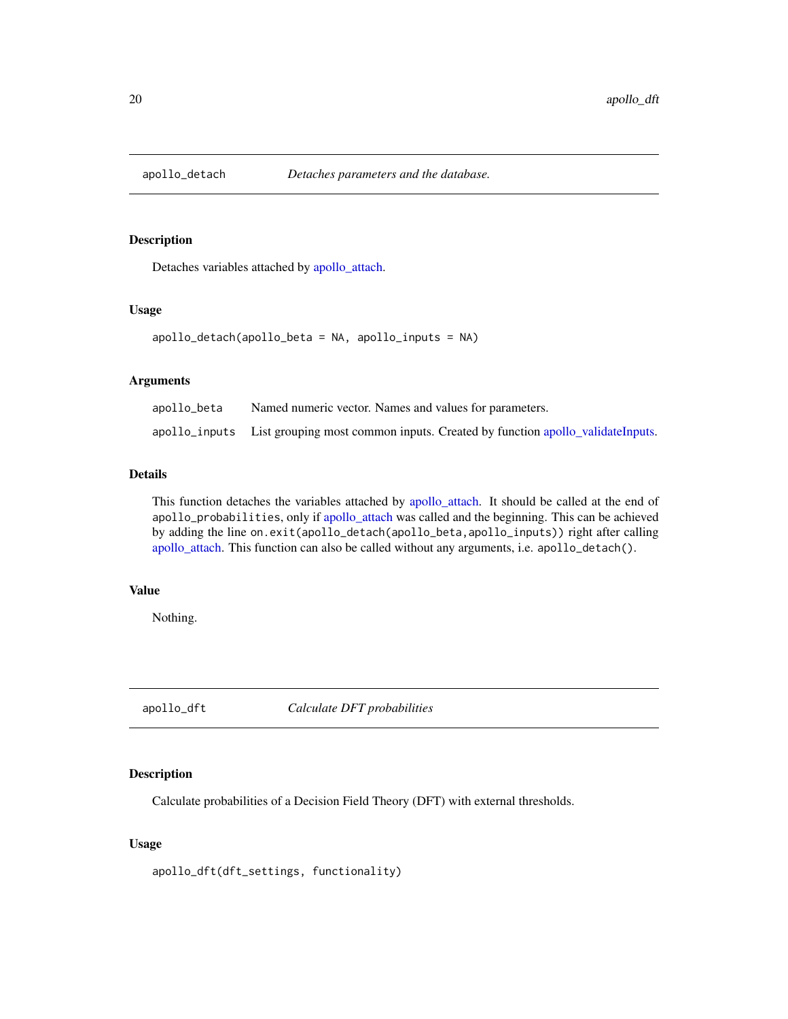<span id="page-19-1"></span><span id="page-19-0"></span>

Detaches variables attached by [apollo\\_attach.](#page-4-1)

# Usage

apollo\_detach(apollo\_beta = NA, apollo\_inputs = NA)

# Arguments

| apollo_beta | Named numeric vector. Names and values for parameters.                                     |
|-------------|--------------------------------------------------------------------------------------------|
|             | apollo_inputs List grouping most common inputs. Created by function apollo_validateInputs. |

# Details

This function detaches the variables attached by [apollo\\_attach.](#page-4-1) It should be called at the end of apollo\_probabilities, only if [apollo\\_attach](#page-4-1) was called and the beginning. This can be achieved by adding the line on.exit(apollo\_detach(apollo\_beta,apollo\_inputs)) right after calling [apollo\\_attach.](#page-4-1) This function can also be called without any arguments, i.e. apollo\_detach().

#### Value

Nothing.

apollo\_dft *Calculate DFT probabilities*

# Description

Calculate probabilities of a Decision Field Theory (DFT) with external thresholds.

# Usage

apollo\_dft(dft\_settings, functionality)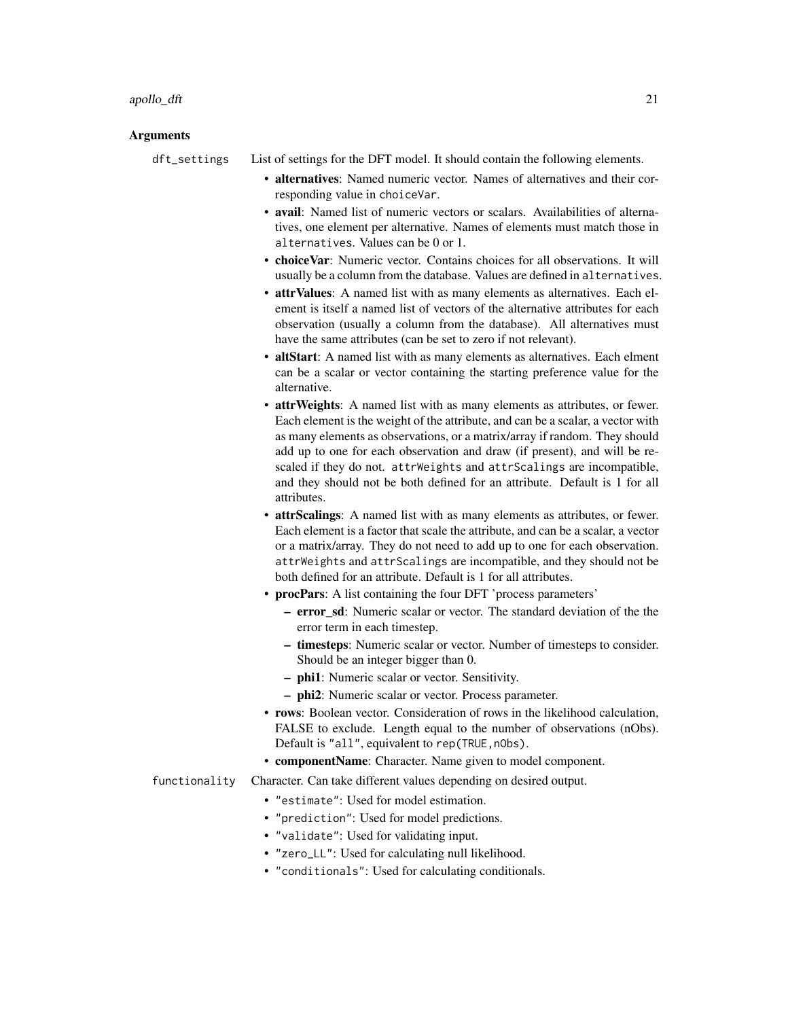#### Arguments

dft\_settings List of settings for the DFT model. It should contain the following elements.

- alternatives: Named numeric vector. Names of alternatives and their corresponding value in choiceVar.
- avail: Named list of numeric vectors or scalars. Availabilities of alternatives, one element per alternative. Names of elements must match those in alternatives. Values can be 0 or 1.
- choiceVar: Numeric vector. Contains choices for all observations. It will usually be a column from the database. Values are defined in alternatives.
- attrValues: A named list with as many elements as alternatives. Each element is itself a named list of vectors of the alternative attributes for each observation (usually a column from the database). All alternatives must have the same attributes (can be set to zero if not relevant).
- altStart: A named list with as many elements as alternatives. Each elment can be a scalar or vector containing the starting preference value for the alternative.
- **attrWeights**: A named list with as many elements as attributes, or fewer. Each element is the weight of the attribute, and can be a scalar, a vector with as many elements as observations, or a matrix/array if random. They should add up to one for each observation and draw (if present), and will be rescaled if they do not. attrWeights and attrScalings are incompatible, and they should not be both defined for an attribute. Default is 1 for all attributes.
- attrScalings: A named list with as many elements as attributes, or fewer. Each element is a factor that scale the attribute, and can be a scalar, a vector or a matrix/array. They do not need to add up to one for each observation. attrWeights and attrScalings are incompatible, and they should not be both defined for an attribute. Default is 1 for all attributes.
- procPars: A list containing the four DFT 'process parameters'
	- error\_sd: Numeric scalar or vector. The standard deviation of the the error term in each timestep.
	- timesteps: Numeric scalar or vector. Number of timesteps to consider. Should be an integer bigger than 0.
	- phi1: Numeric scalar or vector. Sensitivity.
	- phi2: Numeric scalar or vector. Process parameter.
- rows: Boolean vector. Consideration of rows in the likelihood calculation, FALSE to exclude. Length equal to the number of observations (nObs). Default is "all", equivalent to rep(TRUE,nObs).
- componentName: Character. Name given to model component.
- functionality Character. Can take different values depending on desired output.
	- "estimate": Used for model estimation.
	- "prediction": Used for model predictions.
	- "validate": Used for validating input.
	- "zero\_LL": Used for calculating null likelihood.
	- "conditionals": Used for calculating conditionals.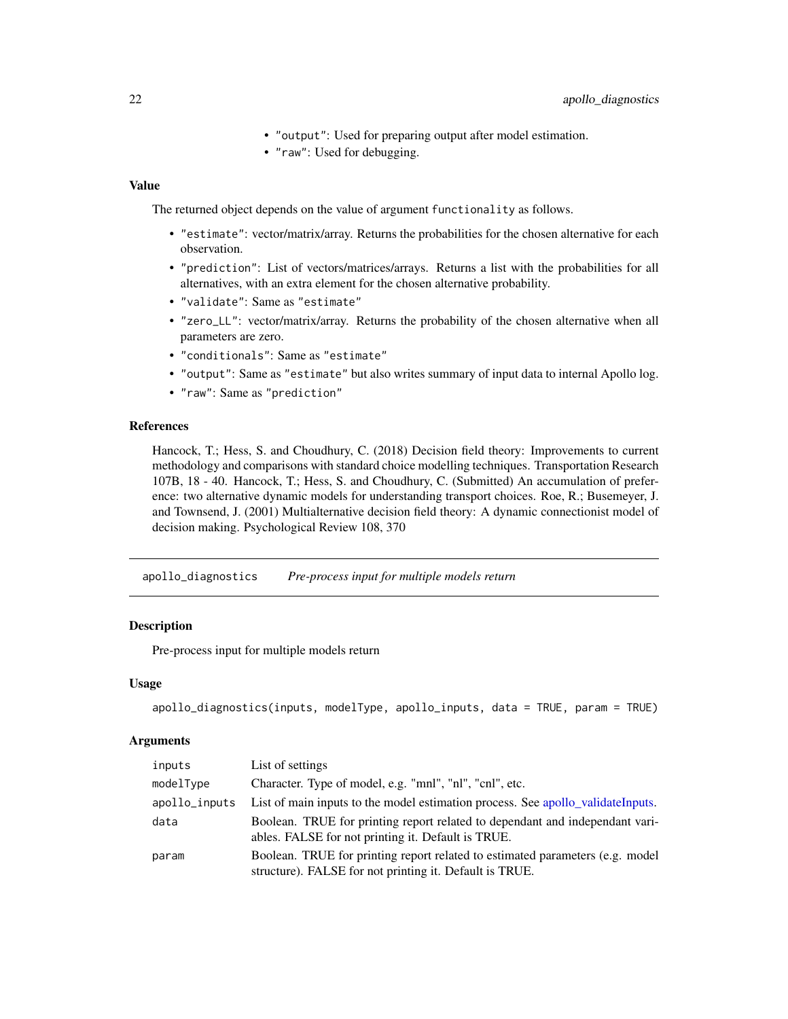- "output": Used for preparing output after model estimation.
- "raw": Used for debugging.

#### <span id="page-21-0"></span>Value

The returned object depends on the value of argument functionality as follows.

- "estimate": vector/matrix/array. Returns the probabilities for the chosen alternative for each observation.
- "prediction": List of vectors/matrices/arrays. Returns a list with the probabilities for all alternatives, with an extra element for the chosen alternative probability.
- "validate": Same as "estimate"
- "zero\_LL": vector/matrix/array. Returns the probability of the chosen alternative when all parameters are zero.
- "conditionals": Same as "estimate"
- "output": Same as "estimate" but also writes summary of input data to internal Apollo log.
- "raw": Same as "prediction"

# References

Hancock, T.; Hess, S. and Choudhury, C. (2018) Decision field theory: Improvements to current methodology and comparisons with standard choice modelling techniques. Transportation Research 107B, 18 - 40. Hancock, T.; Hess, S. and Choudhury, C. (Submitted) An accumulation of preference: two alternative dynamic models for understanding transport choices. Roe, R.; Busemeyer, J. and Townsend, J. (2001) Multialternative decision field theory: A dynamic connectionist model of decision making. Psychological Review 108, 370

apollo\_diagnostics *Pre-process input for multiple models return*

# Description

Pre-process input for multiple models return

## Usage

```
apollo_diagnostics(inputs, modelType, apollo_inputs, data = TRUE, param = TRUE)
```

| inputs        | List of settings                                                                                                                         |
|---------------|------------------------------------------------------------------------------------------------------------------------------------------|
| modelType     | Character. Type of model, e.g. "mnl", "nl", "cnl", etc.                                                                                  |
| apollo_inputs | List of main inputs to the model estimation process. See apollo_validateInputs.                                                          |
| data          | Boolean. TRUE for printing report related to dependant and independant vari-<br>ables. FALSE for not printing it. Default is TRUE.       |
| param         | Boolean. TRUE for printing report related to estimated parameters (e.g. model<br>structure). FALSE for not printing it. Default is TRUE. |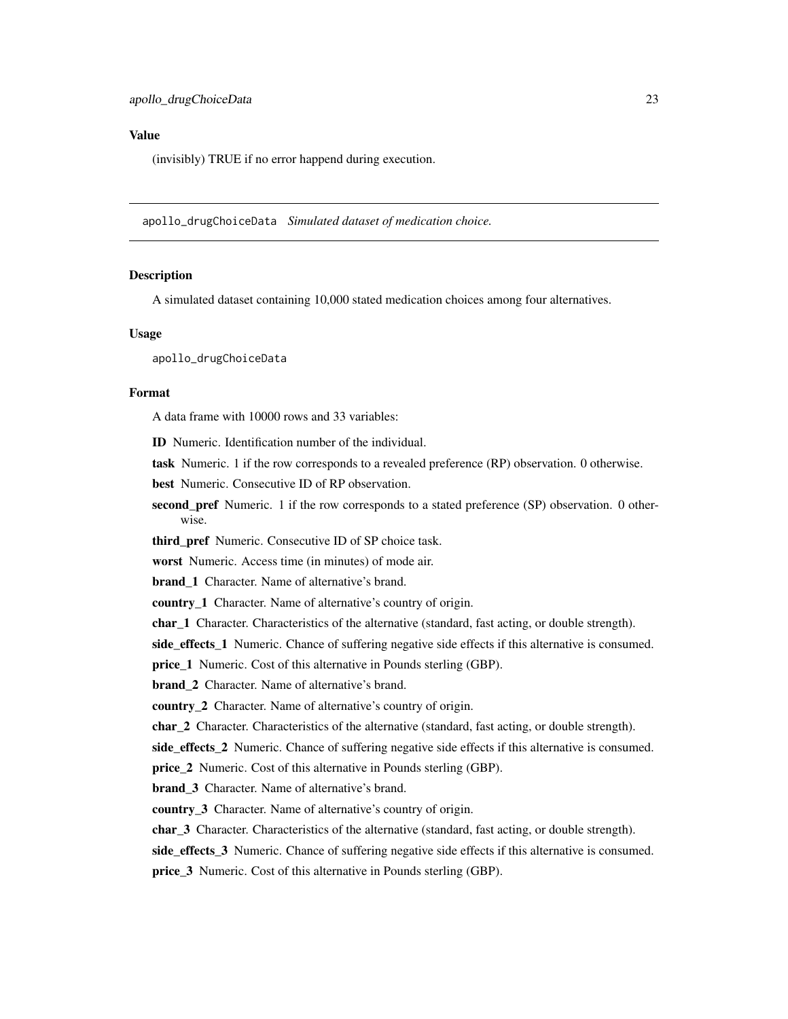#### <span id="page-22-0"></span>Value

(invisibly) TRUE if no error happend during execution.

apollo\_drugChoiceData *Simulated dataset of medication choice.*

#### Description

A simulated dataset containing 10,000 stated medication choices among four alternatives.

#### Usage

apollo\_drugChoiceData

# Format

A data frame with 10000 rows and 33 variables:

ID Numeric. Identification number of the individual.

task Numeric. 1 if the row corresponds to a revealed preference (RP) observation. 0 otherwise.

best Numeric. Consecutive ID of RP observation.

second pref Numeric. 1 if the row corresponds to a stated preference (SP) observation. 0 otherwise.

third\_pref Numeric. Consecutive ID of SP choice task.

worst Numeric. Access time (in minutes) of mode air.

brand\_1 Character. Name of alternative's brand.

country 1 Character. Name of alternative's country of origin.

char<sub>1</sub> Character. Characteristics of the alternative (standard, fast acting, or double strength).

side\_effects\_1 Numeric. Chance of suffering negative side effects if this alternative is consumed.

price\_1 Numeric. Cost of this alternative in Pounds sterling (GBP).

brand\_2 Character. Name of alternative's brand.

country\_2 Character. Name of alternative's country of origin.

char\_2 Character. Characteristics of the alternative (standard, fast acting, or double strength).

side\_effects\_2 Numeric. Chance of suffering negative side effects if this alternative is consumed.

**price** 2 Numeric. Cost of this alternative in Pounds sterling (GBP).

brand\_3 Character. Name of alternative's brand.

country\_3 Character. Name of alternative's country of origin.

char 3 Character. Characteristics of the alternative (standard, fast acting, or double strength).

side\_effects\_3 Numeric. Chance of suffering negative side effects if this alternative is consumed.

price\_3 Numeric. Cost of this alternative in Pounds sterling (GBP).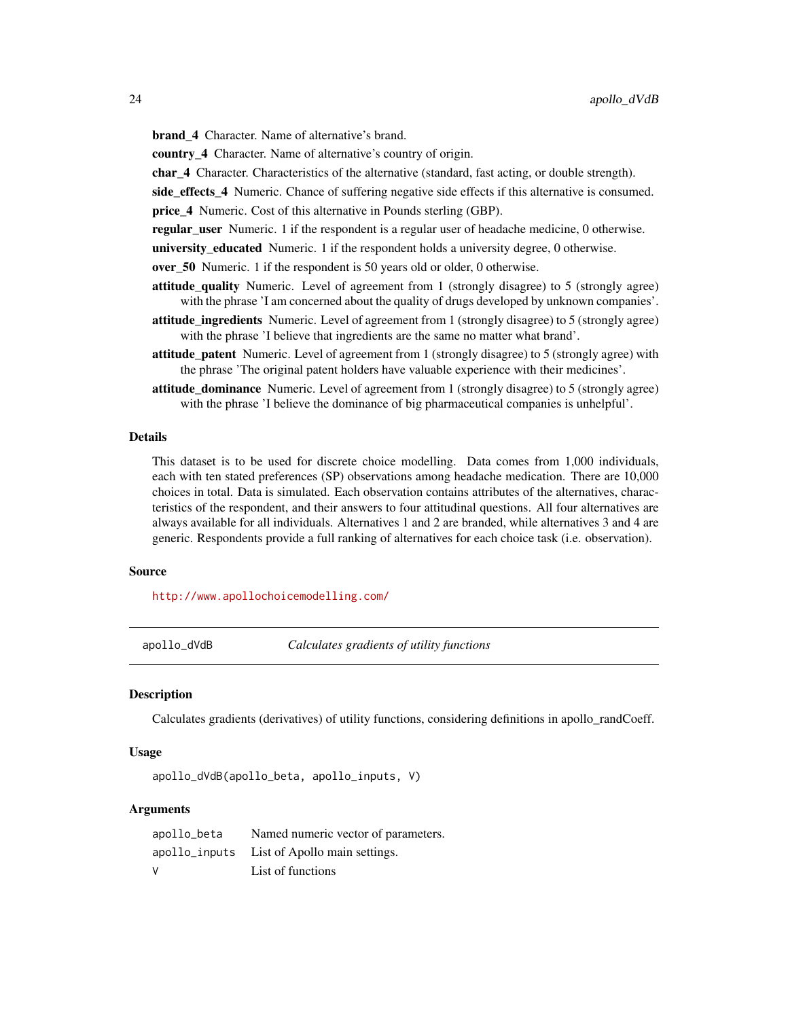<span id="page-23-0"></span>brand\_4 Character. Name of alternative's brand.

country 4 Character. Name of alternative's country of origin.

char<sub>4</sub> Character. Characteristics of the alternative (standard, fast acting, or double strength).

side\_effects\_4 Numeric. Chance of suffering negative side effects if this alternative is consumed.

price\_4 Numeric. Cost of this alternative in Pounds sterling (GBP).

regular\_user Numeric. 1 if the respondent is a regular user of headache medicine, 0 otherwise.

university\_educated Numeric. 1 if the respondent holds a university degree, 0 otherwise.

- over\_50 Numeric. 1 if the respondent is 50 years old or older, 0 otherwise.
- attitude\_quality Numeric. Level of agreement from 1 (strongly disagree) to 5 (strongly agree) with the phrase 'I am concerned about the quality of drugs developed by unknown companies'.
- attitude ingredients Numeric. Level of agreement from 1 (strongly disagree) to 5 (strongly agree) with the phrase 'I believe that ingredients are the same no matter what brand'.
- attitude\_patent Numeric. Level of agreement from 1 (strongly disagree) to 5 (strongly agree) with the phrase 'The original patent holders have valuable experience with their medicines'.
- attitude\_dominance Numeric. Level of agreement from 1 (strongly disagree) to 5 (strongly agree) with the phrase 'I believe the dominance of big pharmaceutical companies is unhelpful'.

#### Details

This dataset is to be used for discrete choice modelling. Data comes from 1,000 individuals, each with ten stated preferences (SP) observations among headache medication. There are 10,000 choices in total. Data is simulated. Each observation contains attributes of the alternatives, characteristics of the respondent, and their answers to four attitudinal questions. All four alternatives are always available for all individuals. Alternatives 1 and 2 are branded, while alternatives 3 and 4 are generic. Respondents provide a full ranking of alternatives for each choice task (i.e. observation).

#### Source

<http://www.apollochoicemodelling.com/>

apollo\_dVdB *Calculates gradients of utility functions*

#### **Description**

Calculates gradients (derivatives) of utility functions, considering definitions in apollo\_randCoeff.

#### Usage

```
apollo_dVdB(apollo_beta, apollo_inputs, V)
```

| apollo_beta | Named numeric vector of parameters.         |
|-------------|---------------------------------------------|
|             | apollo_inputs List of Apollo main settings. |
| V           | List of functions                           |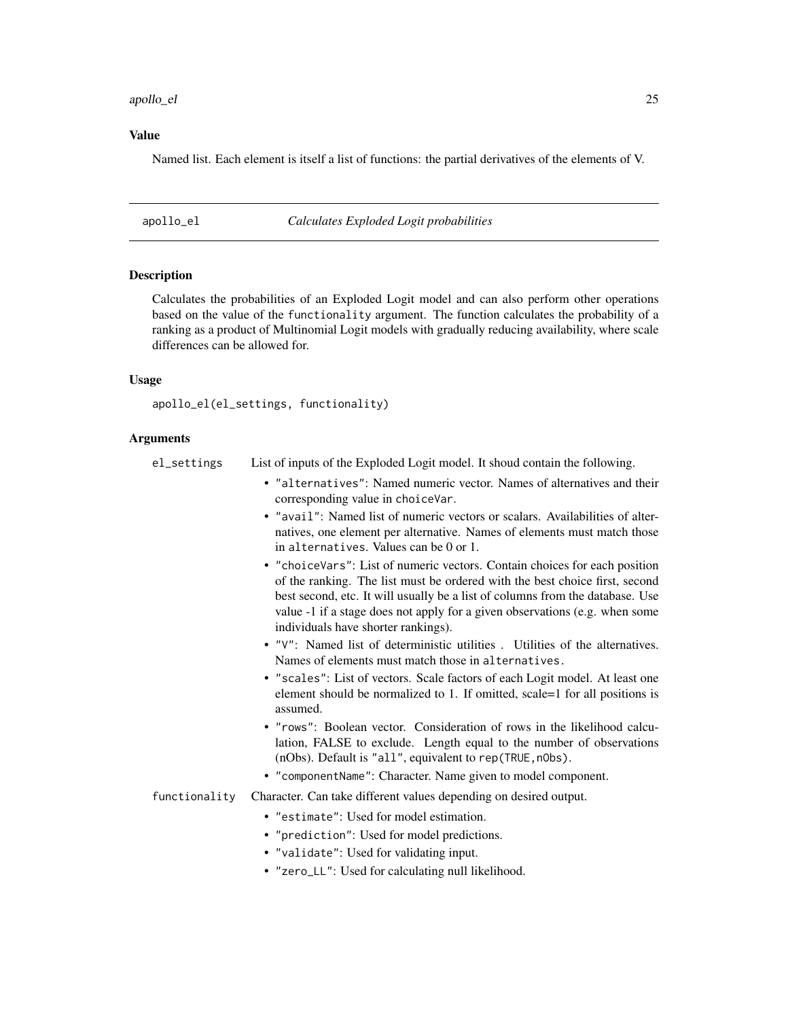#### <span id="page-24-0"></span>apollo\_el 25

#### Value

Named list. Each element is itself a list of functions: the partial derivatives of the elements of V.

apollo\_el *Calculates Exploded Logit probabilities*

#### Description

Calculates the probabilities of an Exploded Logit model and can also perform other operations based on the value of the functionality argument. The function calculates the probability of a ranking as a product of Multinomial Logit models with gradually reducing availability, where scale differences can be allowed for.

#### Usage

apollo\_el(el\_settings, functionality)

#### Arguments

- el\_settings List of inputs of the Exploded Logit model. It shoud contain the following.
	- "alternatives": Named numeric vector. Names of alternatives and their corresponding value in choiceVar.
	- "avail": Named list of numeric vectors or scalars. Availabilities of alternatives, one element per alternative. Names of elements must match those in alternatives. Values can be 0 or 1.
	- "choiceVars": List of numeric vectors. Contain choices for each position of the ranking. The list must be ordered with the best choice first, second best second, etc. It will usually be a list of columns from the database. Use value -1 if a stage does not apply for a given observations (e.g. when some individuals have shorter rankings).
	- "V": Named list of deterministic utilities . Utilities of the alternatives. Names of elements must match those in alternatives.
	- "scales": List of vectors. Scale factors of each Logit model. At least one element should be normalized to 1. If omitted, scale=1 for all positions is assumed.
	- "rows": Boolean vector. Consideration of rows in the likelihood calculation, FALSE to exclude. Length equal to the number of observations (nObs). Default is "all", equivalent to rep(TRUE,nObs).
	- "componentName": Character. Name given to model component.

functionality Character. Can take different values depending on desired output.

- "estimate": Used for model estimation.
- "prediction": Used for model predictions.
- "validate": Used for validating input.
- "zero\_LL": Used for calculating null likelihood.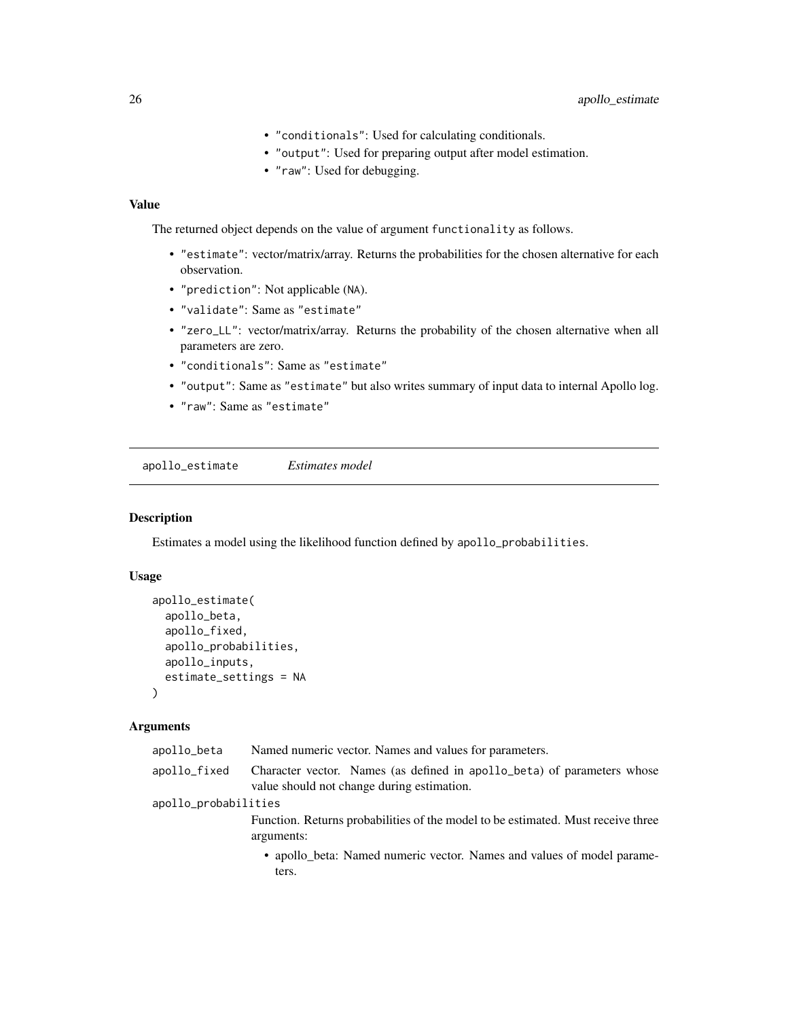- "conditionals": Used for calculating conditionals.
- "output": Used for preparing output after model estimation.
- "raw": Used for debugging.

# <span id="page-25-0"></span>Value

The returned object depends on the value of argument functionality as follows.

- "estimate": vector/matrix/array. Returns the probabilities for the chosen alternative for each observation.
- "prediction": Not applicable (NA).
- "validate": Same as "estimate"
- "zero\_LL": vector/matrix/array. Returns the probability of the chosen alternative when all parameters are zero.
- "conditionals": Same as "estimate"
- "output": Same as "estimate" but also writes summary of input data to internal Apollo log.
- "raw": Same as "estimate"

<span id="page-25-1"></span>apollo\_estimate *Estimates model*

# Description

Estimates a model using the likelihood function defined by apollo\_probabilities.

# Usage

```
apollo_estimate(
  apollo_beta,
  apollo_fixed,
  apollo_probabilities,
  apollo_inputs,
  estimate_settings = NA
\lambda
```

| apollo_beta          | Named numeric vector. Names and values for parameters.                                                                |
|----------------------|-----------------------------------------------------------------------------------------------------------------------|
| apollo_fixed         | Character vector. Names (as defined in apollo_beta) of parameters whose<br>value should not change during estimation. |
| apollo_probabilities |                                                                                                                       |
|                      | Function. Returns probabilities of the model to be estimated. Must receive three<br>arguments:                        |
|                      | • apollo_beta: Named numeric vector. Names and values of model parame-<br>ters.                                       |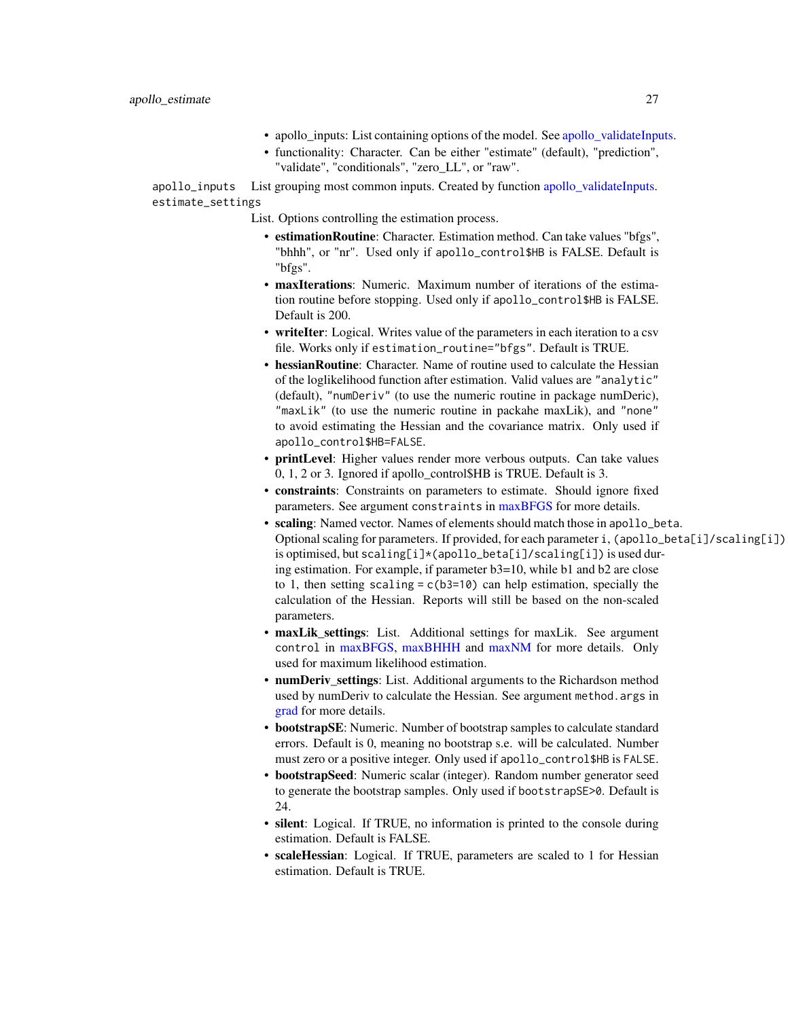- apollo\_inputs: List containing options of the model. See [apollo\\_validateInputs.](#page-80-1)
- functionality: Character. Can be either "estimate" (default), "prediction", "validate", "conditionals", "zero\_LL", or "raw".

apollo\_inputs List grouping most common inputs. Created by function [apollo\\_validateInputs.](#page-80-1) estimate\_settings

List. Options controlling the estimation process.

- estimationRoutine: Character. Estimation method. Can take values "bfgs", "bhhh", or "nr". Used only if apollo\_control\$HB is FALSE. Default is "bfgs".
- maxIterations: Numeric. Maximum number of iterations of the estimation routine before stopping. Used only if apollo\_control\$HB is FALSE. Default is 200.
- writeIter: Logical. Writes value of the parameters in each iteration to a csv file. Works only if estimation\_routine="bfgs". Default is TRUE.
- hessianRoutine: Character. Name of routine used to calculate the Hessian of the loglikelihood function after estimation. Valid values are "analytic" (default), "numDeriv" (to use the numeric routine in package numDeric), "maxLik" (to use the numeric routine in packahe maxLik), and "none" to avoid estimating the Hessian and the covariance matrix. Only used if apollo\_control\$HB=FALSE.
- printLevel: Higher values render more verbous outputs. Can take values 0, 1, 2 or 3. Ignored if apollo\_control\$HB is TRUE. Default is 3.
- constraints: Constraints on parameters to estimate. Should ignore fixed parameters. See argument constraints in [maxBFGS](#page-0-0) for more details.
- scaling: Named vector. Names of elements should match those in apollo\_beta. Optional scaling for parameters. If provided, for each parameter i, (apollo\_beta[i]/scaling[i]) is optimised, but scaling[i]\*(apollo\_beta[i]/scaling[i]) is used during estimation. For example, if parameter b3=10, while b1 and b2 are close to 1, then setting scaling  $= c(b3=10)$  can help estimation, specially the calculation of the Hessian. Reports will still be based on the non-scaled parameters.
- maxLik\_settings: List. Additional settings for maxLik. See argument control in [maxBFGS,](#page-0-0) [maxBHHH](#page-0-0) and [maxNM](#page-0-0) for more details. Only used for maximum likelihood estimation.
- numDeriv\_settings: List. Additional arguments to the Richardson method used by numDeriv to calculate the Hessian. See argument method.args in [grad](#page-0-0) for more details.
- bootstrapSE: Numeric. Number of bootstrap samples to calculate standard errors. Default is 0, meaning no bootstrap s.e. will be calculated. Number must zero or a positive integer. Only used if apollo\_control\$HB is FALSE.
- bootstrapSeed: Numeric scalar (integer). Random number generator seed to generate the bootstrap samples. Only used if bootstrapSE>0. Default is 24.
- silent: Logical. If TRUE, no information is printed to the console during estimation. Default is FALSE.
- scaleHessian: Logical. If TRUE, parameters are scaled to 1 for Hessian estimation. Default is TRUE.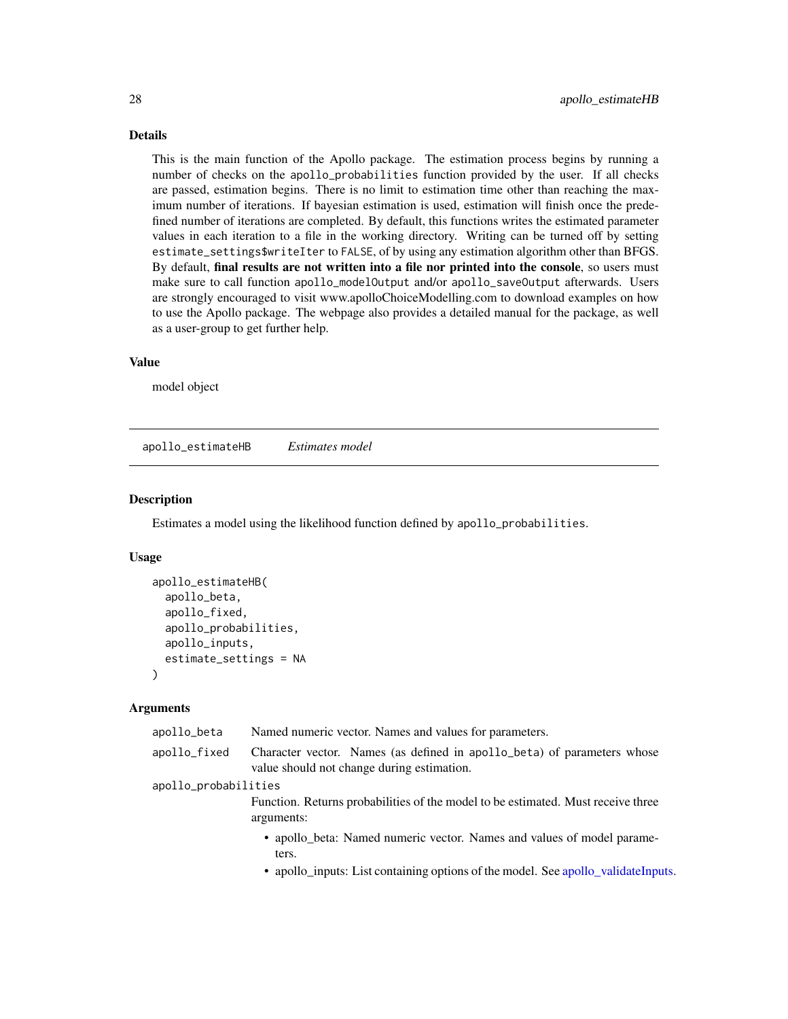# <span id="page-27-0"></span>Details

This is the main function of the Apollo package. The estimation process begins by running a number of checks on the apollo\_probabilities function provided by the user. If all checks are passed, estimation begins. There is no limit to estimation time other than reaching the maximum number of iterations. If bayesian estimation is used, estimation will finish once the predefined number of iterations are completed. By default, this functions writes the estimated parameter values in each iteration to a file in the working directory. Writing can be turned off by setting estimate\_settings\$writeIter to FALSE, of by using any estimation algorithm other than BFGS. By default, final results are not written into a file nor printed into the console, so users must make sure to call function apollo\_modelOutput and/or apollo\_saveOutput afterwards. Users are strongly encouraged to visit www.apolloChoiceModelling.com to download examples on how to use the Apollo package. The webpage also provides a detailed manual for the package, as well as a user-group to get further help.

#### Value

model object

apollo\_estimateHB *Estimates model*

#### **Description**

Estimates a model using the likelihood function defined by apollo\_probabilities.

#### Usage

```
apollo_estimateHB(
  apollo_beta,
  apollo_fixed,
  apollo_probabilities,
  apollo_inputs,
  estimate_settings = NA
)
```

| apollo_beta          | Named numeric vector. Names and values for parameters.                                                                                                               |
|----------------------|----------------------------------------------------------------------------------------------------------------------------------------------------------------------|
| apollo_fixed         | Character vector. Names (as defined in apollo_beta) of parameters whose<br>value should not change during estimation.                                                |
| apollo_probabilities |                                                                                                                                                                      |
|                      | Function. Returns probabilities of the model to be estimated. Must receive three<br>arguments:                                                                       |
|                      | • apollo_beta: Named numeric vector. Names and values of model parame-<br>ters.<br>• apollo_inputs: List containing options of the model. See apollo_validateInputs. |
|                      |                                                                                                                                                                      |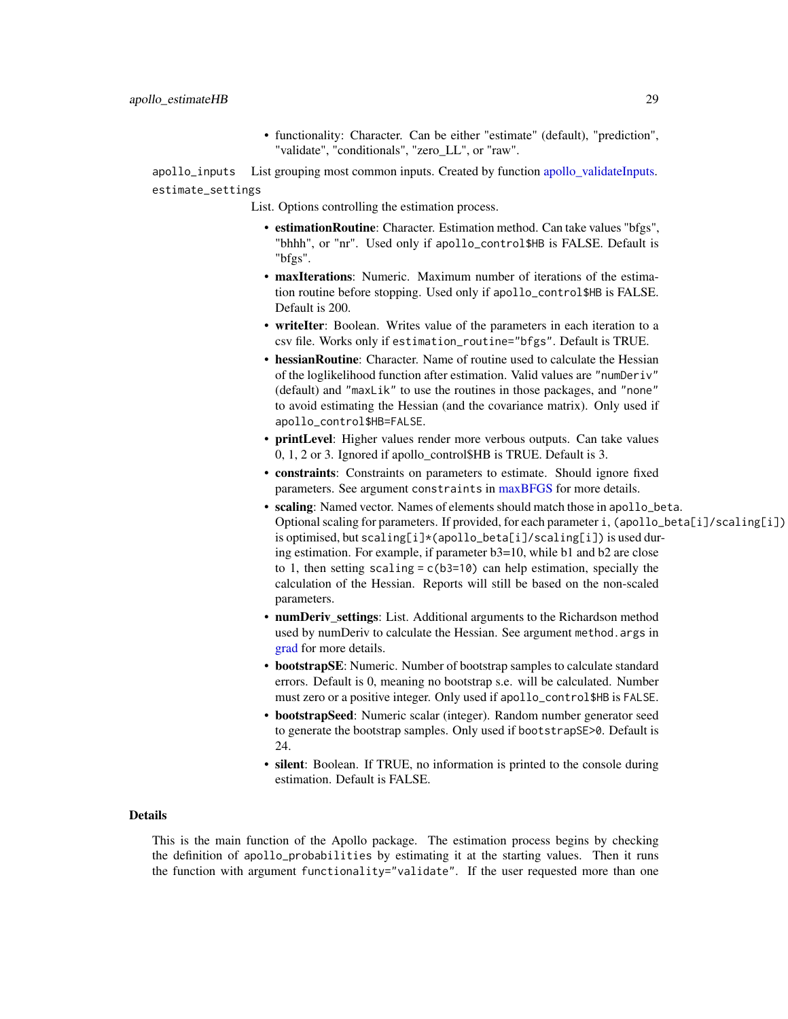• functionality: Character. Can be either "estimate" (default), "prediction", "validate", "conditionals", "zero\_LL", or "raw".

apollo\_inputs List grouping most common inputs. Created by function apollo validateInputs. estimate\_settings

- List. Options controlling the estimation process.
	- estimationRoutine: Character. Estimation method. Can take values "bfgs", "bhhh", or "nr". Used only if apollo\_control\$HB is FALSE. Default is "bfgs".
	- maxIterations: Numeric. Maximum number of iterations of the estimation routine before stopping. Used only if apollo\_control\$HB is FALSE. Default is 200.
	- writeIter: Boolean. Writes value of the parameters in each iteration to a csv file. Works only if estimation\_routine="bfgs". Default is TRUE.
	- hessianRoutine: Character. Name of routine used to calculate the Hessian of the loglikelihood function after estimation. Valid values are "numDeriv" (default) and "maxLik" to use the routines in those packages, and "none" to avoid estimating the Hessian (and the covariance matrix). Only used if apollo\_control\$HB=FALSE.
	- printLevel: Higher values render more verbous outputs. Can take values 0, 1, 2 or 3. Ignored if apollo\_control\$HB is TRUE. Default is 3.
	- constraints: Constraints on parameters to estimate. Should ignore fixed parameters. See argument constraints in [maxBFGS](#page-0-0) for more details.
	- scaling: Named vector. Names of elements should match those in apollo\_beta. Optional scaling for parameters. If provided, for each parameter i, (apollo\_beta[i]/scaling[i]) is optimised, but scaling[i]\*(apollo\_beta[i]/scaling[i]) is used during estimation. For example, if parameter b3=10, while b1 and b2 are close to 1, then setting scaling  $= c(b3=10)$  can help estimation, specially the calculation of the Hessian. Reports will still be based on the non-scaled parameters.
	- numDeriv settings: List. Additional arguments to the Richardson method used by numDeriv to calculate the Hessian. See argument method.args in [grad](#page-0-0) for more details.
	- bootstrapSE: Numeric. Number of bootstrap samples to calculate standard errors. Default is 0, meaning no bootstrap s.e. will be calculated. Number must zero or a positive integer. Only used if apollo\_control\$HB is FALSE.
	- bootstrapSeed: Numeric scalar (integer). Random number generator seed to generate the bootstrap samples. Only used if bootstrapSE>0. Default is 24.
	- silent: Boolean. If TRUE, no information is printed to the console during estimation. Default is FALSE.

# Details

This is the main function of the Apollo package. The estimation process begins by checking the definition of apollo\_probabilities by estimating it at the starting values. Then it runs the function with argument functionality="validate". If the user requested more than one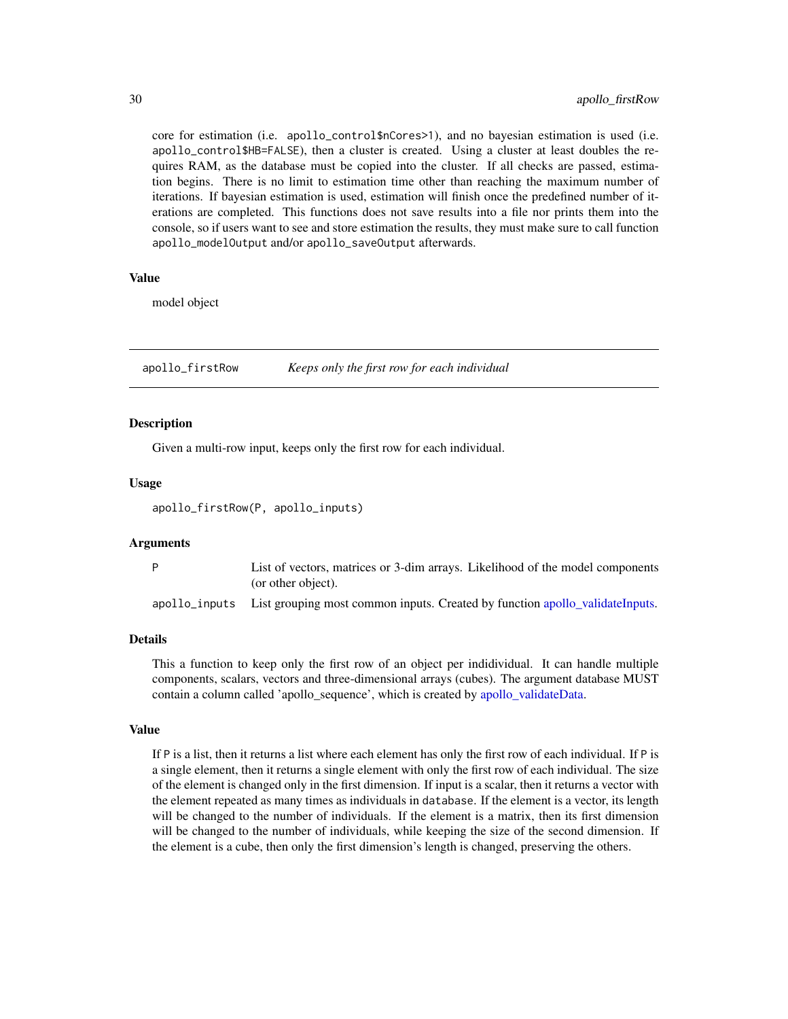core for estimation (i.e. apollo\_control\$nCores>1), and no bayesian estimation is used (i.e. apollo\_control\$HB=FALSE), then a cluster is created. Using a cluster at least doubles the requires RAM, as the database must be copied into the cluster. If all checks are passed, estimation begins. There is no limit to estimation time other than reaching the maximum number of iterations. If bayesian estimation is used, estimation will finish once the predefined number of iterations are completed. This functions does not save results into a file nor prints them into the console, so if users want to see and store estimation the results, they must make sure to call function apollo\_modelOutput and/or apollo\_saveOutput afterwards.

#### Value

model object

apollo\_firstRow *Keeps only the first row for each individual*

#### **Description**

Given a multi-row input, keeps only the first row for each individual.

#### Usage

apollo\_firstRow(P, apollo\_inputs)

# **Arguments**

| List of vectors, matrices or 3-dim arrays. Likelihood of the model components              |
|--------------------------------------------------------------------------------------------|
| (or other object).                                                                         |
| apollo_inputs List grouping most common inputs. Created by function apollo validateInputs. |

#### Details

This a function to keep only the first row of an object per indidividual. It can handle multiple components, scalars, vectors and three-dimensional arrays (cubes). The argument database MUST contain a column called 'apollo\_sequence', which is created by [apollo\\_validateData.](#page-78-1)

#### Value

If P is a list, then it returns a list where each element has only the first row of each individual. If P is a single element, then it returns a single element with only the first row of each individual. The size of the element is changed only in the first dimension. If input is a scalar, then it returns a vector with the element repeated as many times as individuals in database. If the element is a vector, its length will be changed to the number of individuals. If the element is a matrix, then its first dimension will be changed to the number of individuals, while keeping the size of the second dimension. If the element is a cube, then only the first dimension's length is changed, preserving the others.

<span id="page-29-0"></span>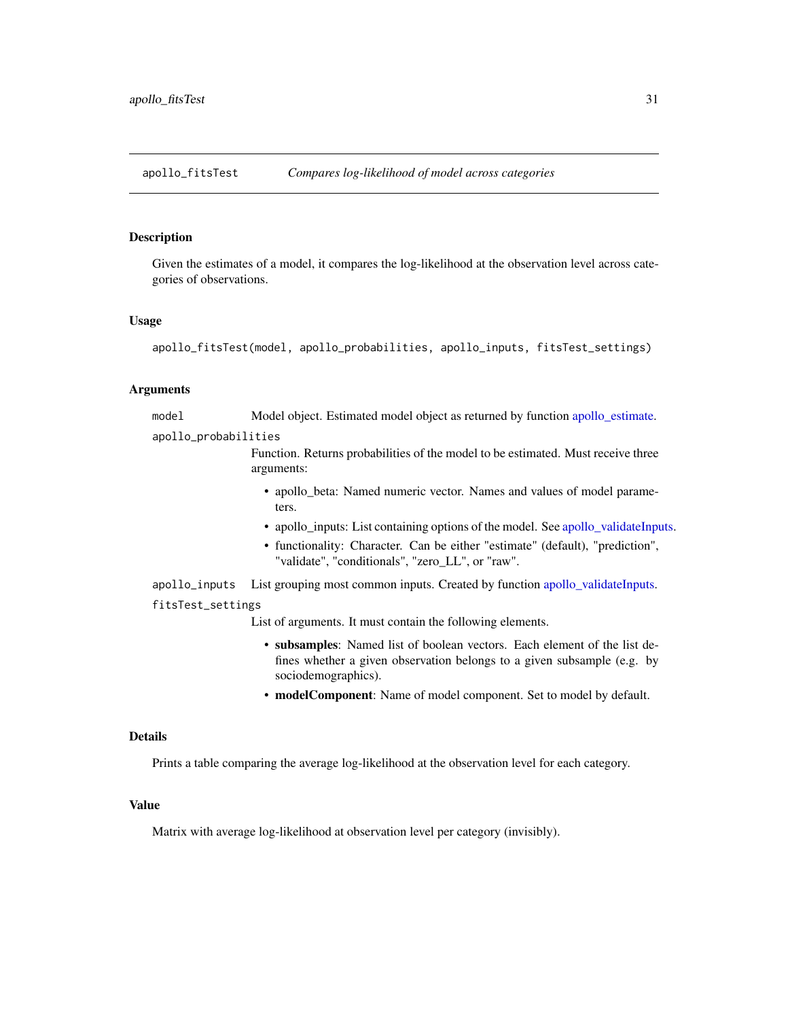<span id="page-30-0"></span>apollo\_fitsTest *Compares log-likelihood of model across categories*

#### Description

Given the estimates of a model, it compares the log-likelihood at the observation level across categories of observations.

#### Usage

```
apollo_fitsTest(model, apollo_probabilities, apollo_inputs, fitsTest_settings)
```
#### Arguments

model Model object. Estimated model object as returned by function [apollo\\_estimate.](#page-25-1)

apollo\_probabilities

Function. Returns probabilities of the model to be estimated. Must receive three arguments:

- apollo\_beta: Named numeric vector. Names and values of model parameters.
- apollo\_inputs: List containing options of the model. See [apollo\\_validateInputs.](#page-80-1)
- functionality: Character. Can be either "estimate" (default), "prediction", "validate", "conditionals", "zero\_LL", or "raw".
- apollo\_inputs List grouping most common inputs. Created by function [apollo\\_validateInputs.](#page-80-1)

## fitsTest\_settings

List of arguments. It must contain the following elements.

- subsamples: Named list of boolean vectors. Each element of the list defines whether a given observation belongs to a given subsample (e.g. by sociodemographics).
- modelComponent: Name of model component. Set to model by default.

#### Details

Prints a table comparing the average log-likelihood at the observation level for each category.

# Value

Matrix with average log-likelihood at observation level per category (invisibly).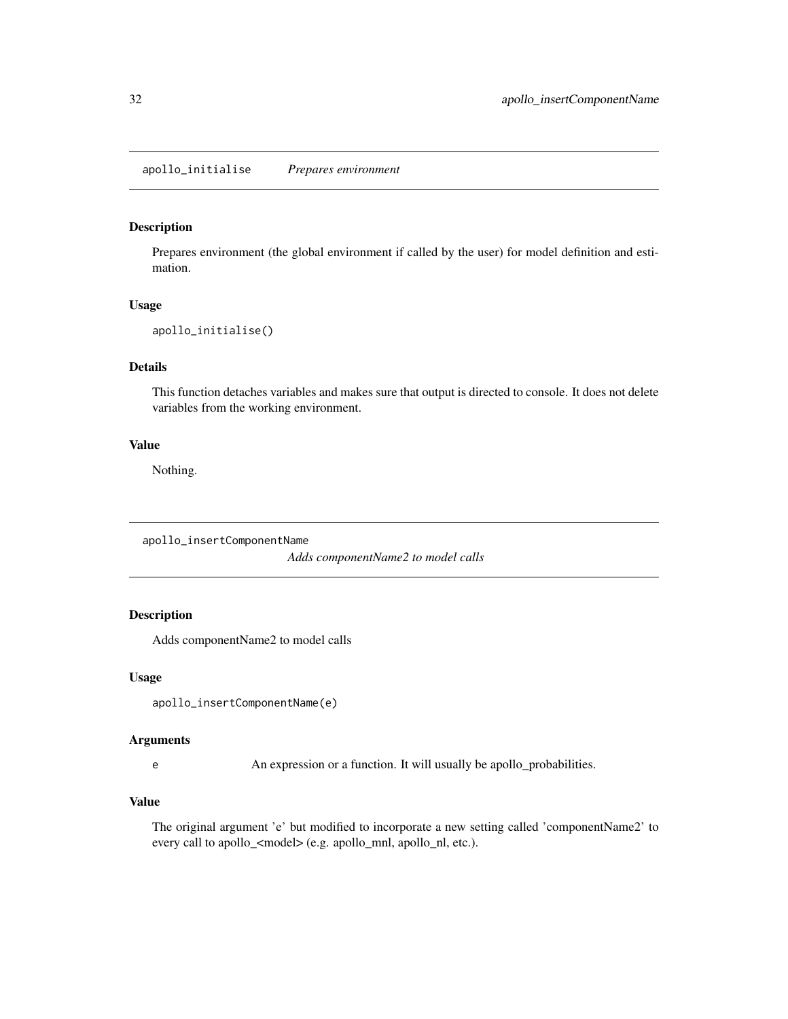<span id="page-31-0"></span>Prepares environment (the global environment if called by the user) for model definition and estimation.

#### Usage

```
apollo_initialise()
```
# Details

This function detaches variables and makes sure that output is directed to console. It does not delete variables from the working environment.

## Value

Nothing.

apollo\_insertComponentName

*Adds componentName2 to model calls*

# Description

Adds componentName2 to model calls

#### Usage

```
apollo_insertComponentName(e)
```
#### Arguments

e An expression or a function. It will usually be apollo\_probabilities.

# Value

The original argument 'e' but modified to incorporate a new setting called 'componentName2' to every call to apollo\_<model> (e.g. apollo\_mnl, apollo\_nl, etc.).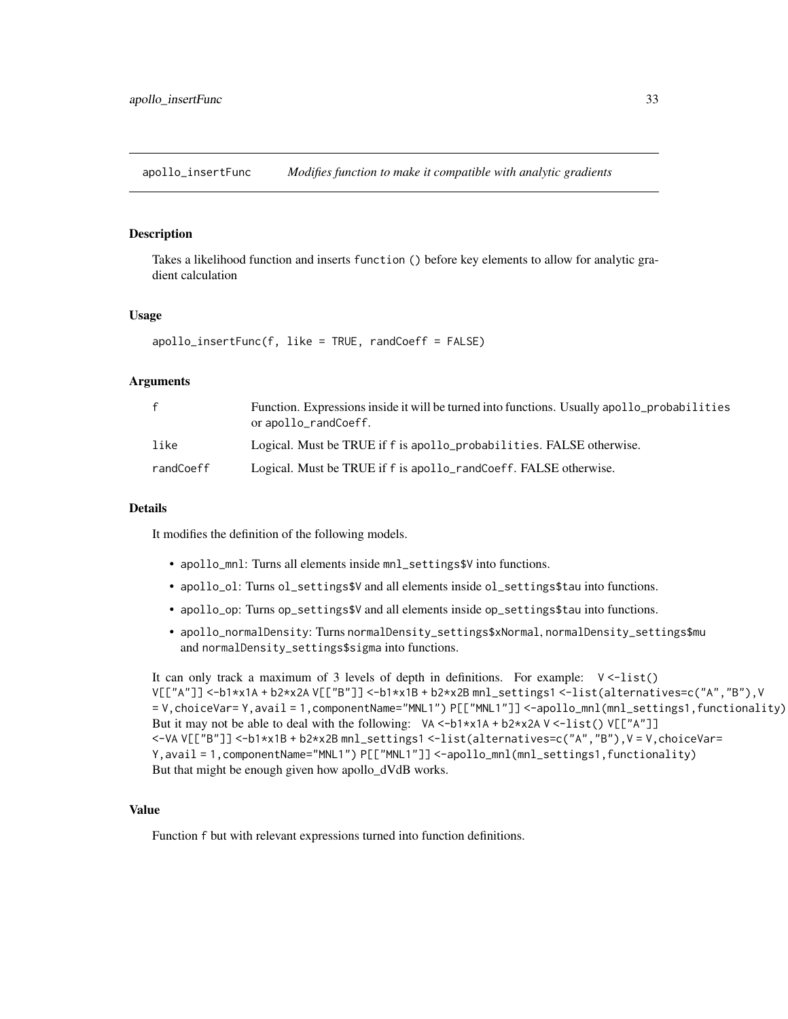<span id="page-32-0"></span>apollo\_insertFunc *Modifies function to make it compatible with analytic gradients*

#### Description

Takes a likelihood function and inserts function () before key elements to allow for analytic gradient calculation

#### Usage

```
apollo_insertFunc(f, like = TRUE, randCoeff = FALSE)
```
# **Arguments**

| $\mathbf{f}$ | Function. Expressions inside it will be turned into functions. Usually apollo probabilities<br>or apollo_randCoeff. |
|--------------|---------------------------------------------------------------------------------------------------------------------|
| like         | Logical. Must be TRUE if f is apollo_probabilities. FALSE otherwise.                                                |
| randCoeff    | Logical. Must be TRUE if f is apollo_randCoeff. FALSE otherwise.                                                    |

#### Details

It modifies the definition of the following models.

- apollo\_mnl: Turns all elements inside mnl\_settings\$V into functions.
- apollo\_ol: Turns ol\_settings\$V and all elements inside ol\_settings\$tau into functions.
- apollo\_op: Turns op\_settings\$V and all elements inside op\_settings\$tau into functions.
- apollo\_normalDensity: Turns normalDensity\_settings\$xNormal, normalDensity\_settings\$mu and normalDensity\_settings\$sigma into functions.

It can only track a maximum of 3 levels of depth in definitions. For example: V <-list() V[["A"]] <-b1\*x1A + b2\*x2A V[["B"]] <-b1\*x1B + b2\*x2B mnl\_settings1 <-list(alternatives=c("A","B"),V = V,choiceVar= Y,avail = 1,componentName="MNL1") P[["MNL1"]] <-apollo\_mnl(mnl\_settings1,functionality) But it may not be able to deal with the following:  $VA < -b1*x1A + b2*x2A V < -l1st() V[[T'A'']]$ <-VA V[["B"]] <-b1\*x1B + b2\*x2B mnl\_settings1 <-list(alternatives=c("A","B"),V = V,choiceVar= Y,avail = 1,componentName="MNL1") P[["MNL1"]] <-apollo\_mnl(mnl\_settings1,functionality) But that might be enough given how apollo\_dVdB works.

# Value

Function f but with relevant expressions turned into function definitions.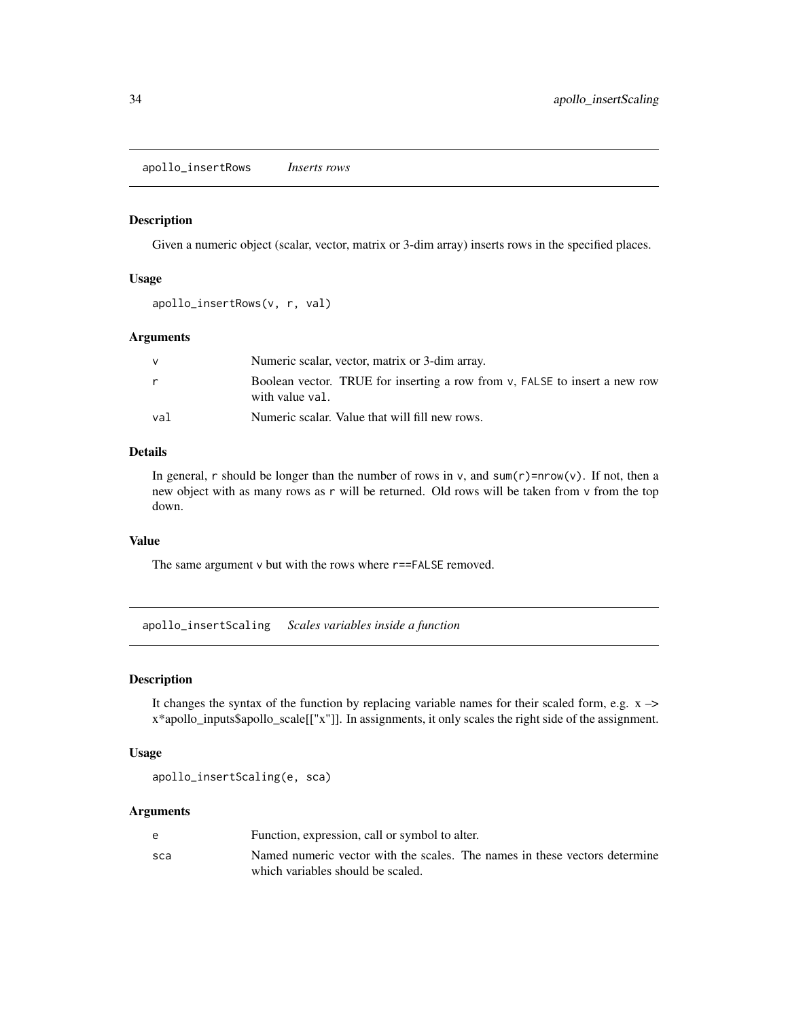<span id="page-33-0"></span>apollo\_insertRows *Inserts rows*

#### Description

Given a numeric object (scalar, vector, matrix or 3-dim array) inserts rows in the specified places.

#### Usage

```
apollo_insertRows(v, r, val)
```
#### Arguments

|     | Numeric scalar, vector, matrix or 3-dim array.                                                |
|-----|-----------------------------------------------------------------------------------------------|
|     | Boolean vector. TRUE for inserting a row from v, FALSE to insert a new row<br>with value val. |
| val | Numeric scalar. Value that will fill new rows.                                                |

# Details

In general, r should be longer than the number of rows in v, and  $sum(r)=nrow(v)$ . If not, then a new object with as many rows as r will be returned. Old rows will be taken from v from the top down.

# Value

The same argument v but with the rows where r==FALSE removed.

apollo\_insertScaling *Scales variables inside a function*

# **Description**

It changes the syntax of the function by replacing variable names for their scaled form, e.g.  $x \rightarrow$ x\*apollo\_inputs\$apollo\_scale[["x"]]. In assignments, it only scales the right side of the assignment.

#### Usage

apollo\_insertScaling(e, sca)

| e   | Function, expression, call or symbol to alter.                                                                  |
|-----|-----------------------------------------------------------------------------------------------------------------|
| sca | Named numeric vector with the scales. The names in these vectors determine<br>which variables should be scaled. |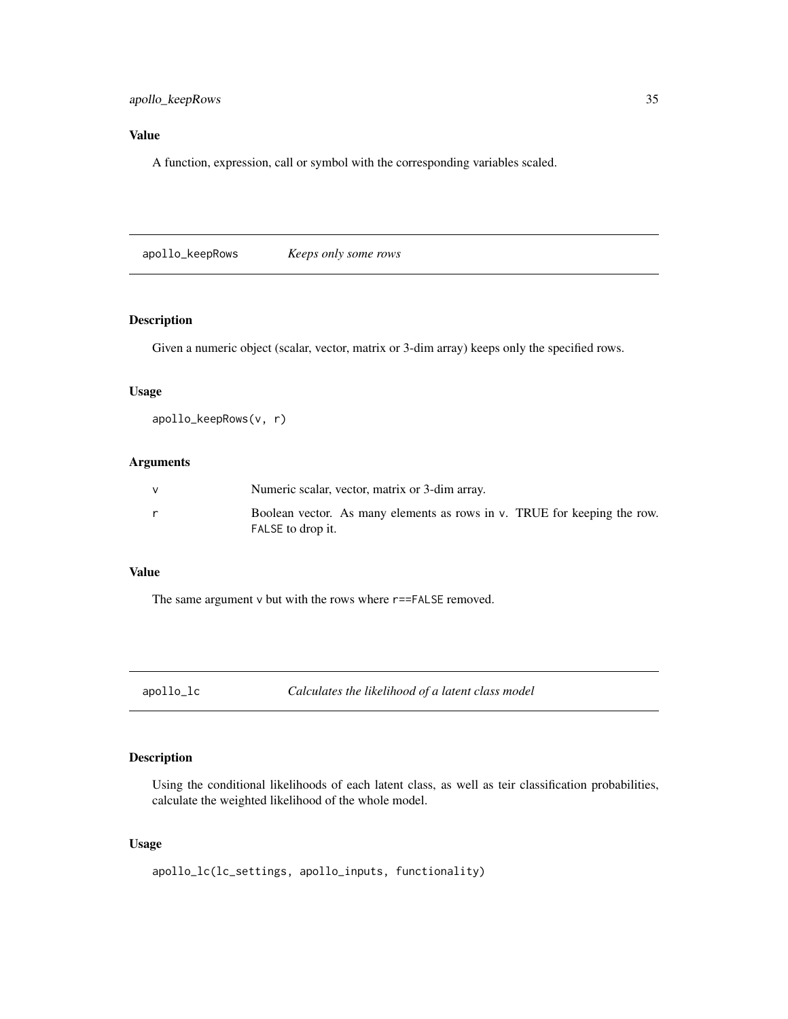# <span id="page-34-0"></span>apollo\_keepRows 35

# Value

A function, expression, call or symbol with the corresponding variables scaled.

apollo\_keepRows *Keeps only some rows*

# Description

Given a numeric object (scalar, vector, matrix or 3-dim array) keeps only the specified rows.

# Usage

```
apollo_keepRows(v, r)
```
# Arguments

| Numeric scalar, vector, matrix or 3-dim array.                                                   |
|--------------------------------------------------------------------------------------------------|
| Boolean vector. As many elements as rows in $v$ . TRUE for keeping the row.<br>FALSE to drop it. |

#### Value

The same argument  $v$  but with the rows where  $r$ ==FALSE removed.

apollo\_lc *Calculates the likelihood of a latent class model*

# Description

Using the conditional likelihoods of each latent class, as well as teir classification probabilities, calculate the weighted likelihood of the whole model.

# Usage

apollo\_lc(lc\_settings, apollo\_inputs, functionality)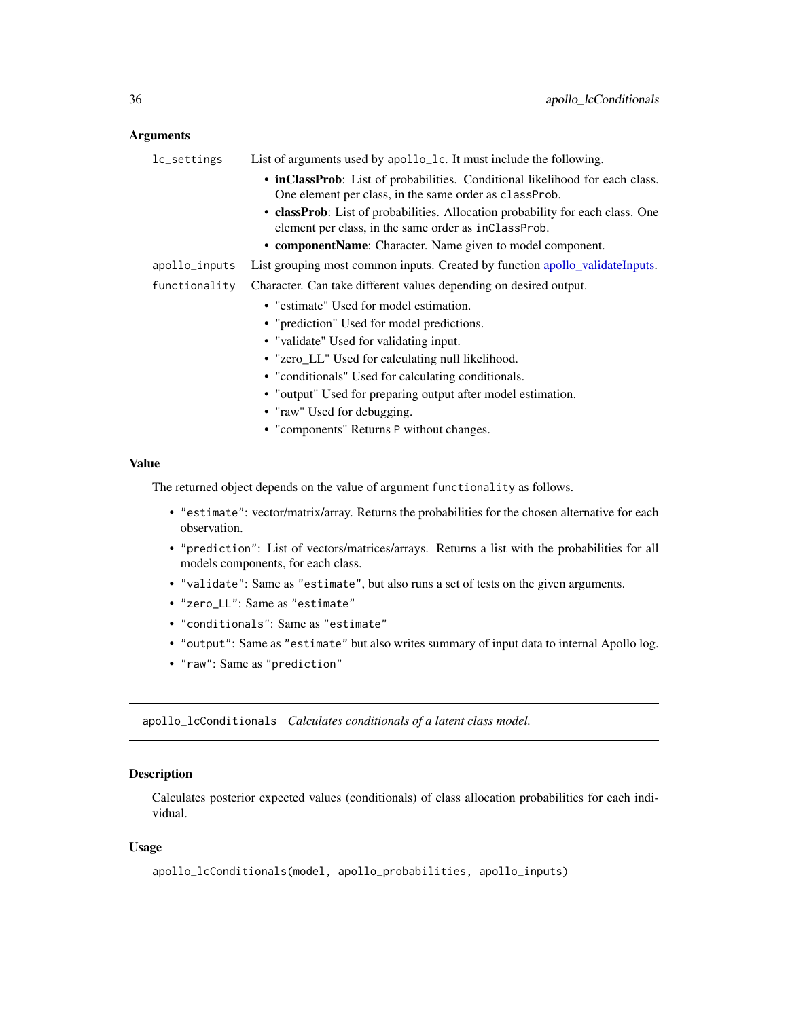# <span id="page-35-0"></span>Arguments

| lc_settings   | List of arguments used by apollo_1c. It must include the following.                                                                    |
|---------------|----------------------------------------------------------------------------------------------------------------------------------------|
|               | • inClassProb: List of probabilities. Conditional likelihood for each class.<br>One element per class, in the same order as classProb. |
|               | • classProb: List of probabilities. Allocation probability for each class. One<br>element per class, in the same order as inClassProb. |
|               | • componentName: Character. Name given to model component.                                                                             |
| apollo_inputs | List grouping most common inputs. Created by function apollo_validateInputs.                                                           |
| functionality | Character. Can take different values depending on desired output.                                                                      |
|               | • "estimate" Used for model estimation.                                                                                                |
|               | • "prediction" Used for model predictions.                                                                                             |
|               | • "validate" Used for validating input.                                                                                                |
|               | • "zero_LL" Used for calculating null likelihood.                                                                                      |
|               | • "conditionals" Used for calculating conditionals.                                                                                    |
|               | • "output" Used for preparing output after model estimation.                                                                           |
|               | • "raw" Used for debugging.                                                                                                            |
|               | • "components" Returns P without changes.                                                                                              |
|               |                                                                                                                                        |
| ıρ            |                                                                                                                                        |

# Value

The returned object depends on the value of argument functionality as follows.

- "estimate": vector/matrix/array. Returns the probabilities for the chosen alternative for each observation.
- "prediction": List of vectors/matrices/arrays. Returns a list with the probabilities for all models components, for each class.
- "validate": Same as "estimate", but also runs a set of tests on the given arguments.
- "zero\_LL": Same as "estimate"
- "conditionals": Same as "estimate"
- "output": Same as "estimate" but also writes summary of input data to internal Apollo log.
- "raw": Same as "prediction"

apollo\_lcConditionals *Calculates conditionals of a latent class model.*

# Description

Calculates posterior expected values (conditionals) of class allocation probabilities for each individual.

# Usage

```
apollo_lcConditionals(model, apollo_probabilities, apollo_inputs)
```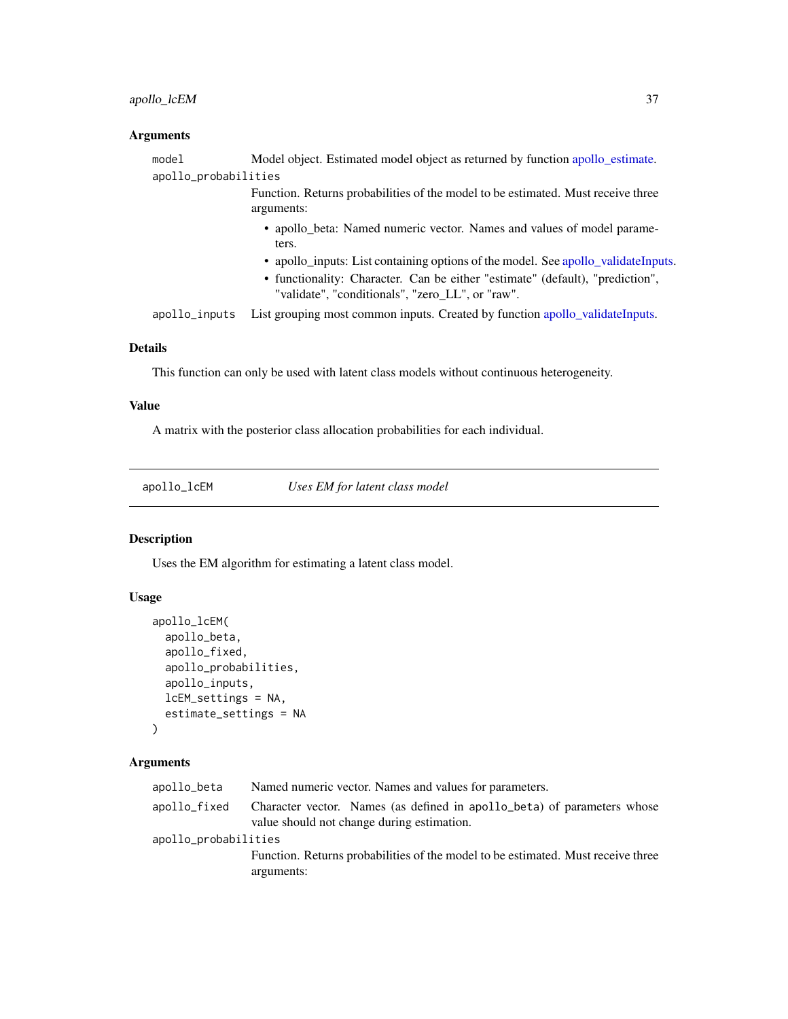## apollo\_lcEM 37

## Arguments

| model                | Model object. Estimated model object as returned by function apollo_estimate.                                                     |
|----------------------|-----------------------------------------------------------------------------------------------------------------------------------|
| apollo_probabilities |                                                                                                                                   |
|                      | Function. Returns probabilities of the model to be estimated. Must receive three<br>arguments:                                    |
|                      | • apollo_beta: Named numeric vector. Names and values of model parame-<br>ters.                                                   |
|                      | • apollo_inputs: List containing options of the model. See apollo_validateInputs.                                                 |
|                      | • functionality: Character. Can be either "estimate" (default), "prediction",<br>"validate", "conditionals", "zero LL", or "raw". |
| apollo inputs        | List grouping most common inputs. Created by function apollo_validateInputs.                                                      |
|                      |                                                                                                                                   |

# Details

This function can only be used with latent class models without continuous heterogeneity.

# Value

A matrix with the posterior class allocation probabilities for each individual.

apollo\_lcEM *Uses EM for latent class model*

# Description

Uses the EM algorithm for estimating a latent class model.

# Usage

```
apollo_lcEM(
  apollo_beta,
  apollo_fixed,
  apollo_probabilities,
  apollo_inputs,
 lcEM_settings = NA,
  estimate_settings = NA
)
```

| apollo_beta          | Named numeric vector. Names and values for parameters.                                                                |
|----------------------|-----------------------------------------------------------------------------------------------------------------------|
| apollo_fixed         | Character vector. Names (as defined in apollo_beta) of parameters whose<br>value should not change during estimation. |
| apollo_probabilities |                                                                                                                       |
|                      | Function. Returns probabilities of the model to be estimated. Must receive three                                      |
|                      | arguments:                                                                                                            |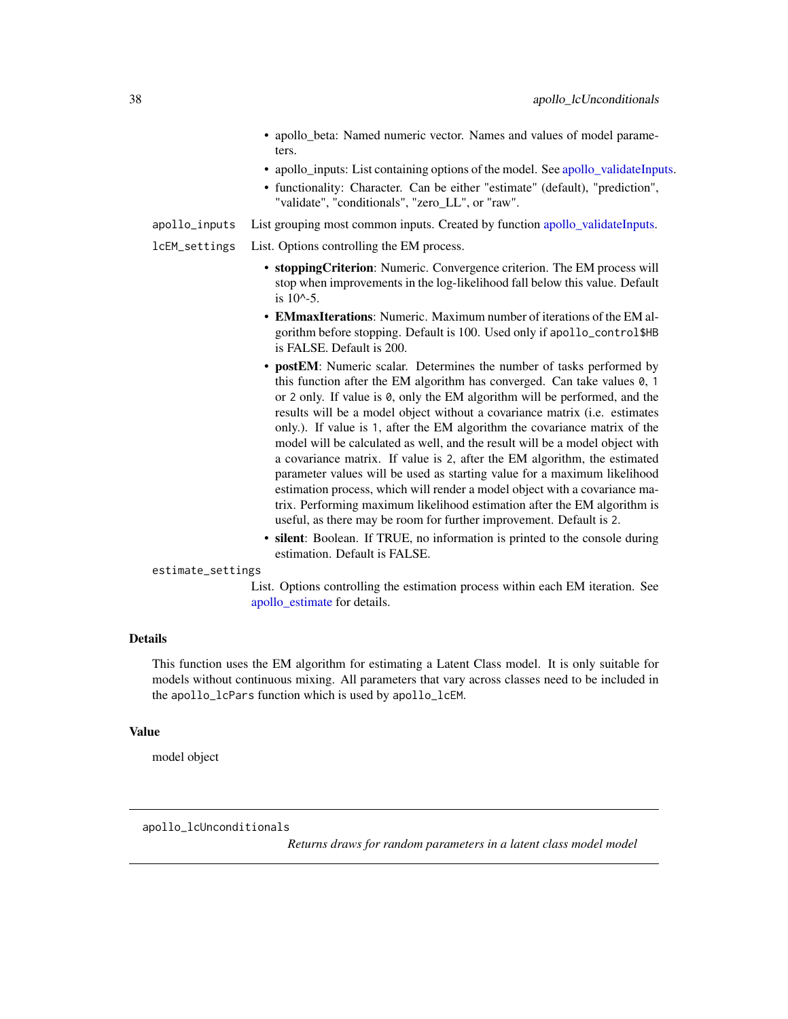- apollo\_beta: Named numeric vector. Names and values of model parameters.
- apollo\_inputs: List containing options of the model. See [apollo\\_validateInputs.](#page-80-0)
- functionality: Character. Can be either "estimate" (default), "prediction", "validate", "conditionals", "zero\_LL", or "raw".
- apollo\_inputs List grouping most common inputs. Created by function [apollo\\_validateInputs.](#page-80-0)
- lcEM\_settings List. Options controlling the EM process.
	- stoppingCriterion: Numeric. Convergence criterion. The EM process will stop when improvements in the log-likelihood fall below this value. Default is 10^-5.
	- EMmaxIterations: Numeric. Maximum number of iterations of the EM algorithm before stopping. Default is 100. Used only if apollo\_control\$HB is FALSE. Default is 200.
	- postEM: Numeric scalar. Determines the number of tasks performed by this function after the EM algorithm has converged. Can take values 0, 1 or 2 only. If value is 0, only the EM algorithm will be performed, and the results will be a model object without a covariance matrix (i.e. estimates only.). If value is 1, after the EM algorithm the covariance matrix of the model will be calculated as well, and the result will be a model object with a covariance matrix. If value is 2, after the EM algorithm, the estimated parameter values will be used as starting value for a maximum likelihood estimation process, which will render a model object with a covariance matrix. Performing maximum likelihood estimation after the EM algorithm is useful, as there may be room for further improvement. Default is 2.
	- silent: Boolean. If TRUE, no information is printed to the console during estimation. Default is FALSE.

### estimate\_settings

List. Options controlling the estimation process within each EM iteration. See [apollo\\_estimate](#page-25-0) for details.

### Details

This function uses the EM algorithm for estimating a Latent Class model. It is only suitable for models without continuous mixing. All parameters that vary across classes need to be included in the apollo\_lcPars function which is used by apollo\_lcEM.

### Value

model object

apollo\_lcUnconditionals

*Returns draws for random parameters in a latent class model model*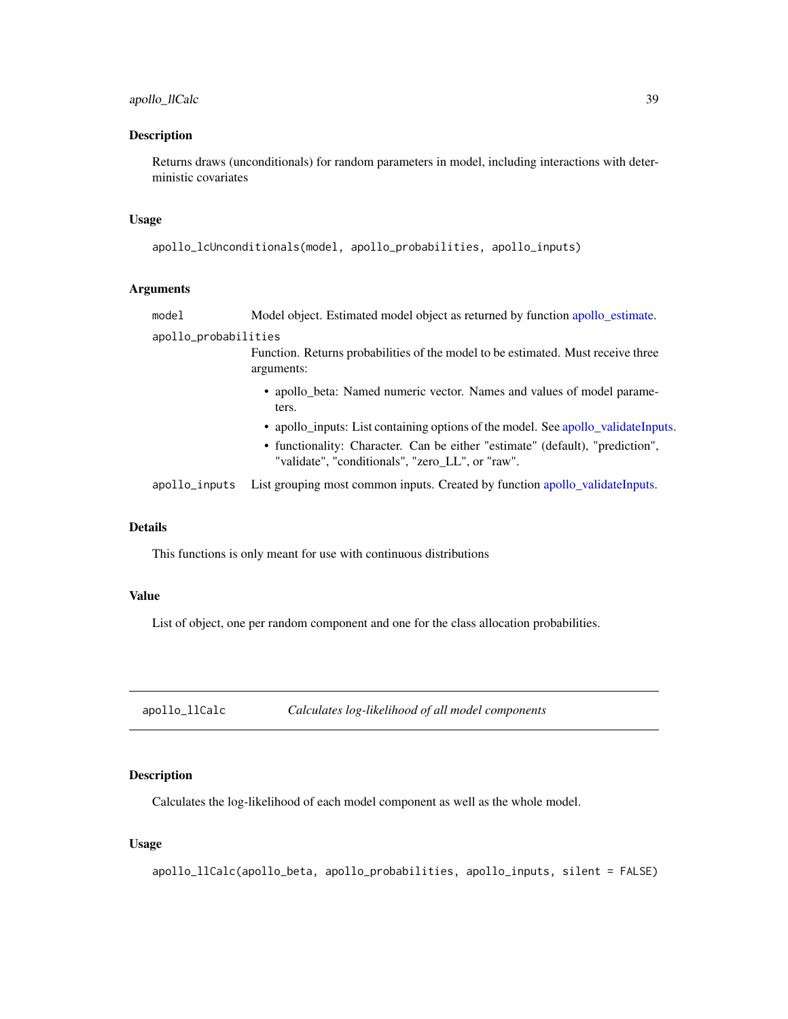## Description

Returns draws (unconditionals) for random parameters in model, including interactions with deterministic covariates

### Usage

```
apollo_lcUnconditionals(model, apollo_probabilities, apollo_inputs)
```
## Arguments

| model                | Model object. Estimated model object as returned by function apollo_estimate.                                                     |
|----------------------|-----------------------------------------------------------------------------------------------------------------------------------|
| apollo_probabilities |                                                                                                                                   |
|                      | Function. Returns probabilities of the model to be estimated. Must receive three<br>arguments:                                    |
|                      | • apollo_beta: Named numeric vector. Names and values of model parame-<br>ters.                                                   |
|                      | • apollo_inputs: List containing options of the model. See apollo_validateInputs.                                                 |
|                      | • functionality: Character. Can be either "estimate" (default), "prediction",<br>"validate", "conditionals", "zero LL", or "raw". |
| apollo_inputs        | List grouping most common inputs. Created by function apollo_validateInputs.                                                      |
|                      |                                                                                                                                   |

## Details

This functions is only meant for use with continuous distributions

### Value

List of object, one per random component and one for the class allocation probabilities.

apollo\_llCalc *Calculates log-likelihood of all model components*

## Description

Calculates the log-likelihood of each model component as well as the whole model.

## Usage

apollo\_llCalc(apollo\_beta, apollo\_probabilities, apollo\_inputs, silent = FALSE)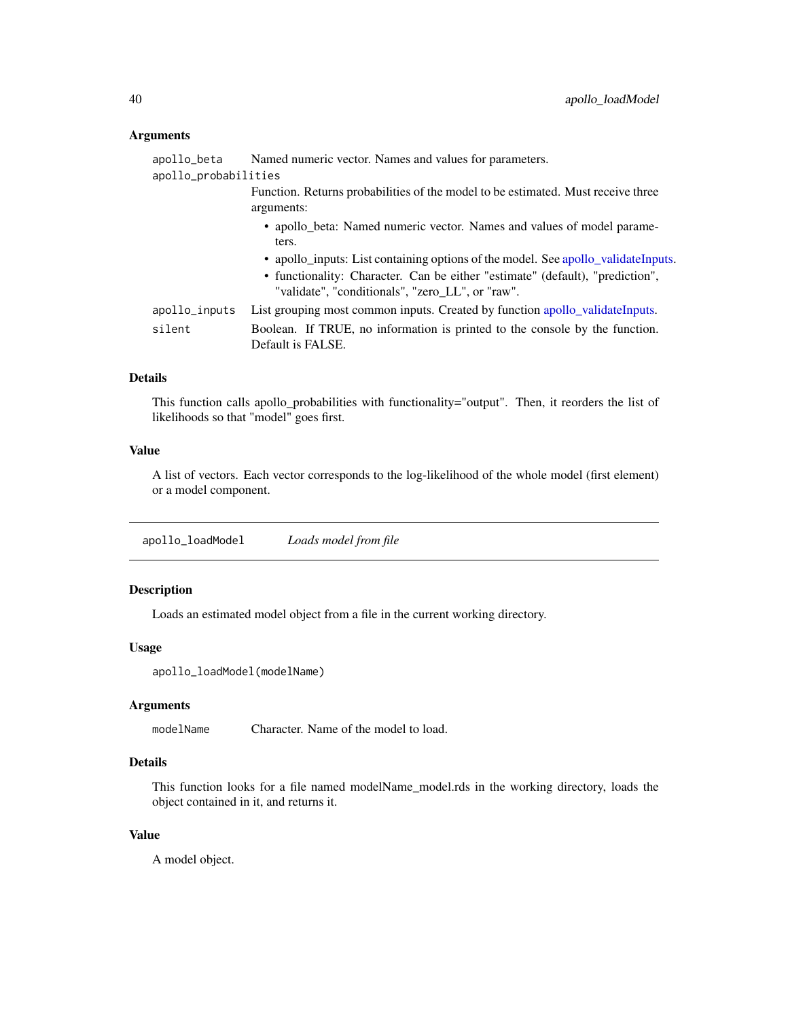## Arguments

| apollo_beta          | Named numeric vector. Names and values for parameters.                                                                                                                                                                                                                                                    |  |  |
|----------------------|-----------------------------------------------------------------------------------------------------------------------------------------------------------------------------------------------------------------------------------------------------------------------------------------------------------|--|--|
| apollo_probabilities |                                                                                                                                                                                                                                                                                                           |  |  |
|                      | Function. Returns probabilities of the model to be estimated. Must receive three<br>arguments:                                                                                                                                                                                                            |  |  |
|                      | • apollo_beta: Named numeric vector. Names and values of model parame-<br>ters.<br>• apollo_inputs: List containing options of the model. See apollo_validateInputs.<br>• functionality: Character. Can be either "estimate" (default), "prediction",<br>"validate", "conditionals", "zero_LL", or "raw". |  |  |
| apollo_inputs        | List grouping most common inputs. Created by function apollo_validateInputs.                                                                                                                                                                                                                              |  |  |
| silent               | Boolean. If TRUE, no information is printed to the console by the function.<br>Default is FALSE.                                                                                                                                                                                                          |  |  |

### Details

This function calls apollo\_probabilities with functionality="output". Then, it reorders the list of likelihoods so that "model" goes first.

### Value

A list of vectors. Each vector corresponds to the log-likelihood of the whole model (first element) or a model component.

<span id="page-39-0"></span>apollo\_loadModel *Loads model from file*

## Description

Loads an estimated model object from a file in the current working directory.

### Usage

apollo\_loadModel(modelName)

## Arguments

modelName Character. Name of the model to load.

## Details

This function looks for a file named modelName\_model.rds in the working directory, loads the object contained in it, and returns it.

## Value

A model object.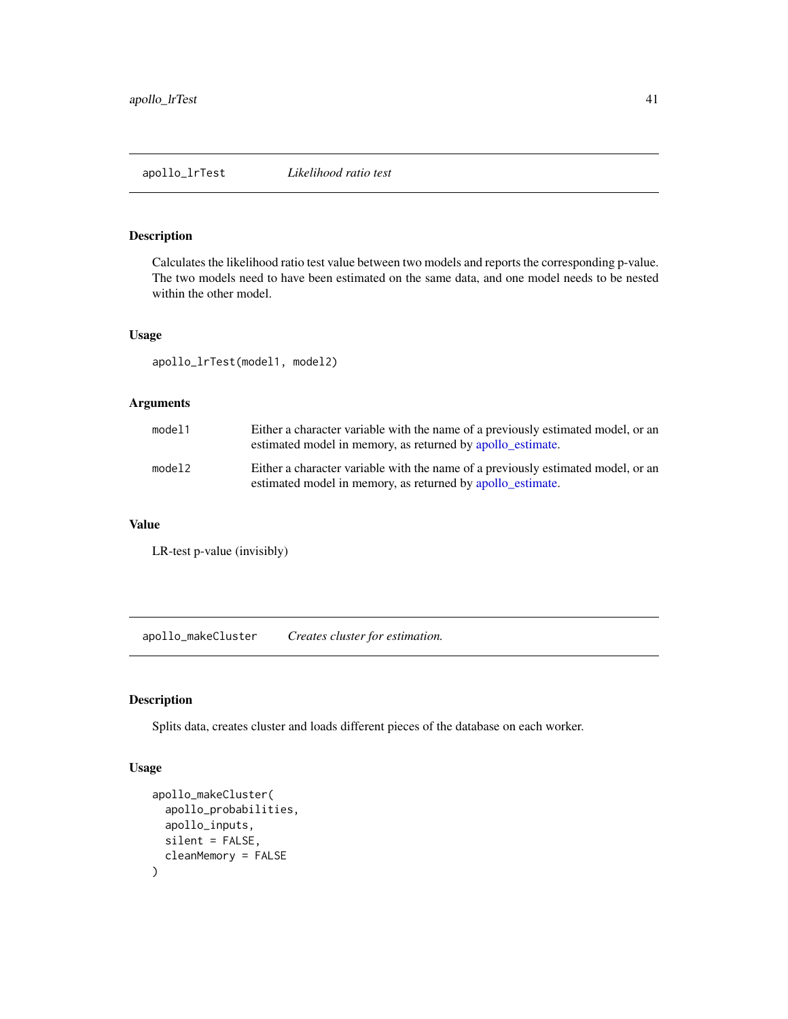### Description

Calculates the likelihood ratio test value between two models and reports the corresponding p-value. The two models need to have been estimated on the same data, and one model needs to be nested within the other model.

## Usage

apollo\_lrTest(model1, model2)

# Arguments

| model1 | Either a character variable with the name of a previously estimated model, or an<br>estimated model in memory, as returned by apollo_estimate. |
|--------|------------------------------------------------------------------------------------------------------------------------------------------------|
| model2 | Either a character variable with the name of a previously estimated model, or an<br>estimated model in memory, as returned by apollo_estimate. |

## Value

LR-test p-value (invisibly)

apollo\_makeCluster *Creates cluster for estimation.*

## Description

Splits data, creates cluster and loads different pieces of the database on each worker.

### Usage

```
apollo_makeCluster(
  apollo_probabilities,
  apollo_inputs,
  silent = FALSE,
  cleanMemory = FALSE
)
```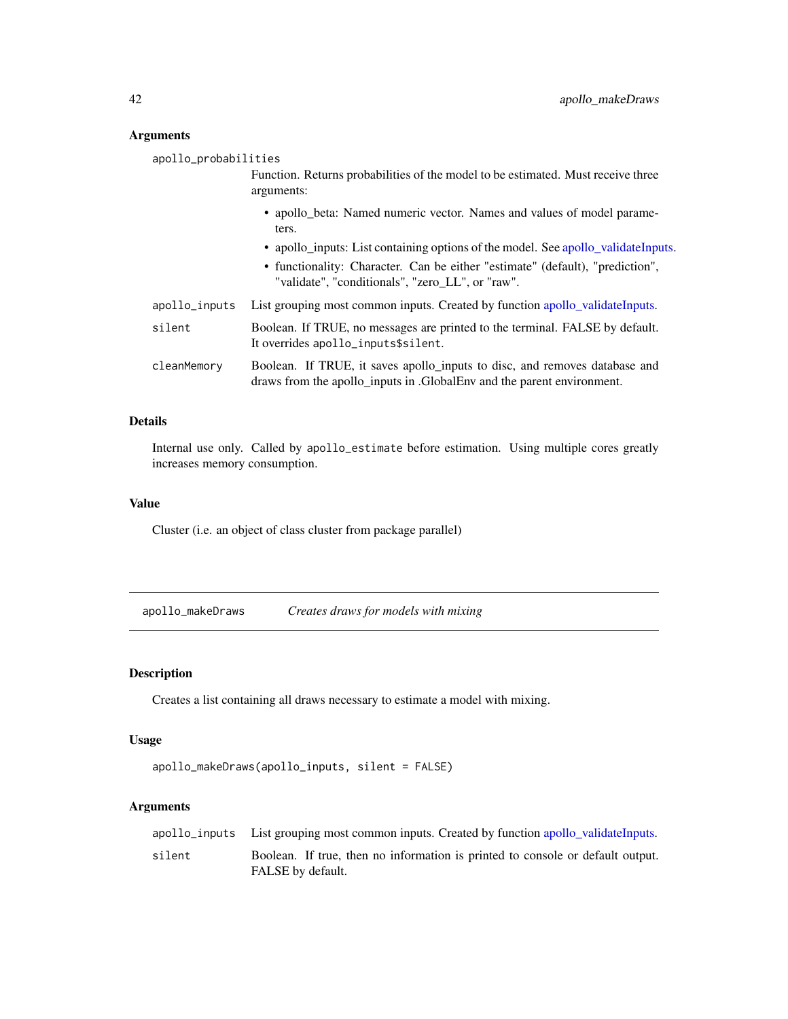## Arguments

| apollo_probabilities |               |                                                                                                                                                     |
|----------------------|---------------|-----------------------------------------------------------------------------------------------------------------------------------------------------|
|                      |               | Function. Returns probabilities of the model to be estimated. Must receive three<br>arguments:                                                      |
|                      |               | • apollo_beta: Named numeric vector. Names and values of model parame-<br>ters.                                                                     |
|                      |               | • apollo_inputs: List containing options of the model. See apollo_validateInputs.                                                                   |
|                      |               | • functionality: Character. Can be either "estimate" (default), "prediction",<br>"validate", "conditionals", "zero_LL", or "raw".                   |
|                      | apollo_inputs | List grouping most common inputs. Created by function apollo_validateInputs.                                                                        |
|                      | silent        | Boolean. If TRUE, no messages are printed to the terminal. FALSE by default.<br>It overrides apollo_inputs\$silent.                                 |
|                      | cleanMemory   | Boolean. If TRUE, it saves apollo_inputs to disc, and removes database and<br>draws from the apollo inputs in GlobalEnv and the parent environment. |

### Details

Internal use only. Called by apollo\_estimate before estimation. Using multiple cores greatly increases memory consumption.

# Value

Cluster (i.e. an object of class cluster from package parallel)

apollo\_makeDraws *Creates draws for models with mixing*

# Description

Creates a list containing all draws necessary to estimate a model with mixing.

## Usage

```
apollo_makeDraws(apollo_inputs, silent = FALSE)
```

|        | apollo_inputs List grouping most common inputs. Created by function apollo_validateInputs.          |
|--------|-----------------------------------------------------------------------------------------------------|
| silent | Boolean. If true, then no information is printed to console or default output.<br>FALSE by default. |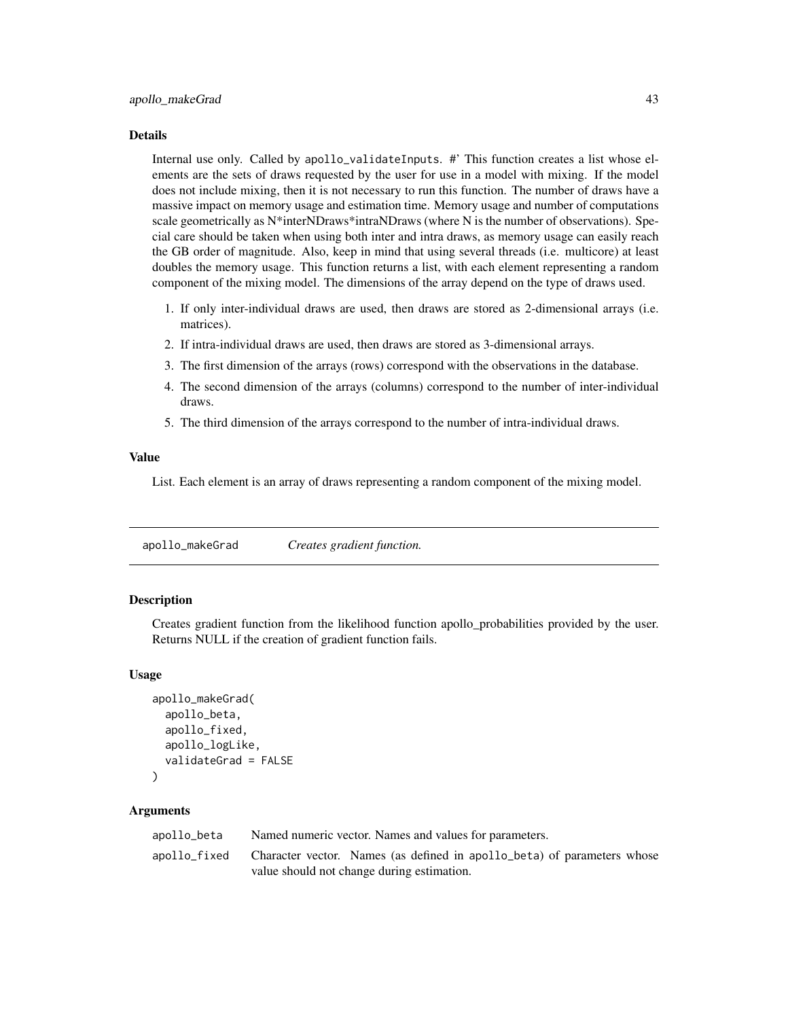#### Details

Internal use only. Called by apollo\_validateInputs. #' This function creates a list whose elements are the sets of draws requested by the user for use in a model with mixing. If the model does not include mixing, then it is not necessary to run this function. The number of draws have a massive impact on memory usage and estimation time. Memory usage and number of computations scale geometrically as  $N^*$ interNDraws\*intraNDraws (where N is the number of observations). Special care should be taken when using both inter and intra draws, as memory usage can easily reach the GB order of magnitude. Also, keep in mind that using several threads (i.e. multicore) at least doubles the memory usage. This function returns a list, with each element representing a random component of the mixing model. The dimensions of the array depend on the type of draws used.

- 1. If only inter-individual draws are used, then draws are stored as 2-dimensional arrays (i.e. matrices).
- 2. If intra-individual draws are used, then draws are stored as 3-dimensional arrays.
- 3. The first dimension of the arrays (rows) correspond with the observations in the database.
- 4. The second dimension of the arrays (columns) correspond to the number of inter-individual draws.
- 5. The third dimension of the arrays correspond to the number of intra-individual draws.

#### Value

List. Each element is an array of draws representing a random component of the mixing model.

apollo\_makeGrad *Creates gradient function.*

### Description

Creates gradient function from the likelihood function apollo\_probabilities provided by the user. Returns NULL if the creation of gradient function fails.

#### Usage

```
apollo_makeGrad(
  apollo_beta,
  apollo_fixed,
  apollo_logLike,
  validateGrad = FALSE
)
```

| apollo_beta  | Named numeric vector. Names and values for parameters.                  |
|--------------|-------------------------------------------------------------------------|
| apollo_fixed | Character vector. Names (as defined in apollo beta) of parameters whose |
|              | value should not change during estimation.                              |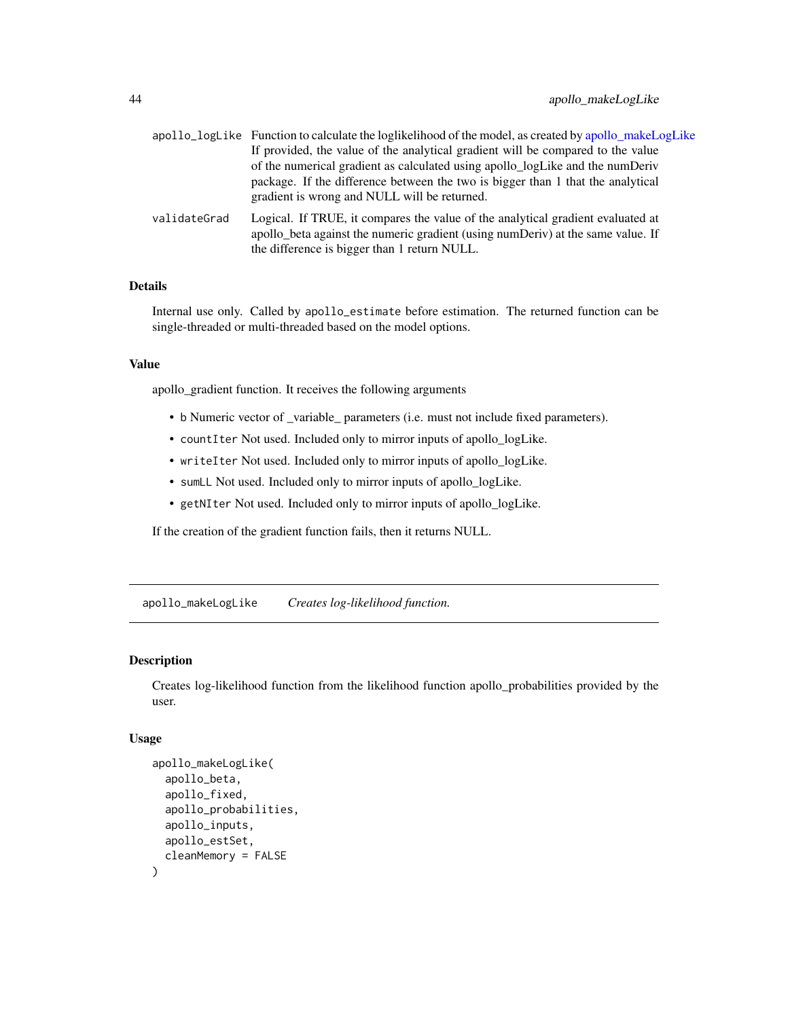|              | apollo_logLike Function to calculate the loglikelihood of the model, as created by apollo_makeLogLike                                                                                                              |
|--------------|--------------------------------------------------------------------------------------------------------------------------------------------------------------------------------------------------------------------|
|              | If provided, the value of the analytical gradient will be compared to the value                                                                                                                                    |
|              | of the numerical gradient as calculated using apollo_logLike and the numDeriv                                                                                                                                      |
|              | package. If the difference between the two is bigger than 1 that the analytical<br>gradient is wrong and NULL will be returned.                                                                                    |
| validateGrad | Logical. If TRUE, it compares the value of the analytical gradient evaluated at<br>apollo beta against the numeric gradient (using numDeriv) at the same value. If<br>the difference is bigger than 1 return NULL. |

## Details

Internal use only. Called by apollo\_estimate before estimation. The returned function can be single-threaded or multi-threaded based on the model options.

## Value

apollo\_gradient function. It receives the following arguments

- b Numeric vector of \_variable\_ parameters (i.e. must not include fixed parameters).
- countIter Not used. Included only to mirror inputs of apollo\_logLike.
- writeIter Not used. Included only to mirror inputs of apollo\_logLike.
- sumLL Not used. Included only to mirror inputs of apollo\_logLike.
- getNIter Not used. Included only to mirror inputs of apollo\_logLike.

If the creation of the gradient function fails, then it returns NULL.

<span id="page-43-0"></span>apollo\_makeLogLike *Creates log-likelihood function.*

## Description

Creates log-likelihood function from the likelihood function apollo\_probabilities provided by the user.

## Usage

```
apollo_makeLogLike(
  apollo_beta,
  apollo_fixed,
  apollo_probabilities,
  apollo_inputs,
  apollo_estSet,
  cleanMemory = FALSE
)
```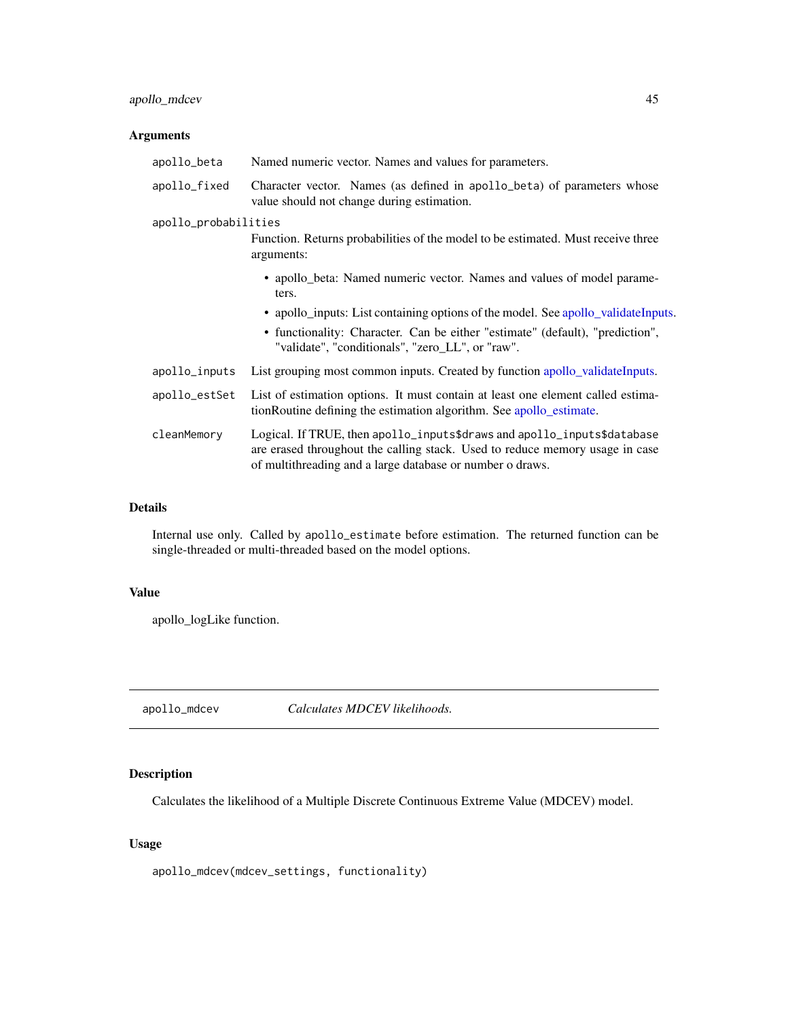## apollo\_mdcev 45

# Arguments

| Named numeric vector. Names and values for parameters.                                                                                                                                                               |  |  |
|----------------------------------------------------------------------------------------------------------------------------------------------------------------------------------------------------------------------|--|--|
| Character vector. Names (as defined in apollo_beta) of parameters whose<br>value should not change during estimation.                                                                                                |  |  |
| apollo_probabilities                                                                                                                                                                                                 |  |  |
| Function. Returns probabilities of the model to be estimated. Must receive three<br>arguments:                                                                                                                       |  |  |
| • apollo_beta: Named numeric vector. Names and values of model parame-<br>ters.                                                                                                                                      |  |  |
| • apollo_inputs: List containing options of the model. See apollo_validateInputs.                                                                                                                                    |  |  |
| • functionality: Character. Can be either "estimate" (default), "prediction",<br>"validate", "conditionals", "zero_LL", or "raw".                                                                                    |  |  |
| List grouping most common inputs. Created by function apollo_validateInputs.                                                                                                                                         |  |  |
| List of estimation options. It must contain at least one element called estima-<br>tionRoutine defining the estimation algorithm. See apollo_estimate.                                                               |  |  |
| Logical. If TRUE, then apollo_inputs\$draws and apollo_inputs\$database<br>are erased throughout the calling stack. Used to reduce memory usage in case<br>of multithreading and a large database or number o draws. |  |  |
|                                                                                                                                                                                                                      |  |  |

## Details

Internal use only. Called by apollo\_estimate before estimation. The returned function can be single-threaded or multi-threaded based on the model options.

## Value

apollo\_logLike function.

apollo\_mdcev *Calculates MDCEV likelihoods.*

# Description

Calculates the likelihood of a Multiple Discrete Continuous Extreme Value (MDCEV) model.

## Usage

apollo\_mdcev(mdcev\_settings, functionality)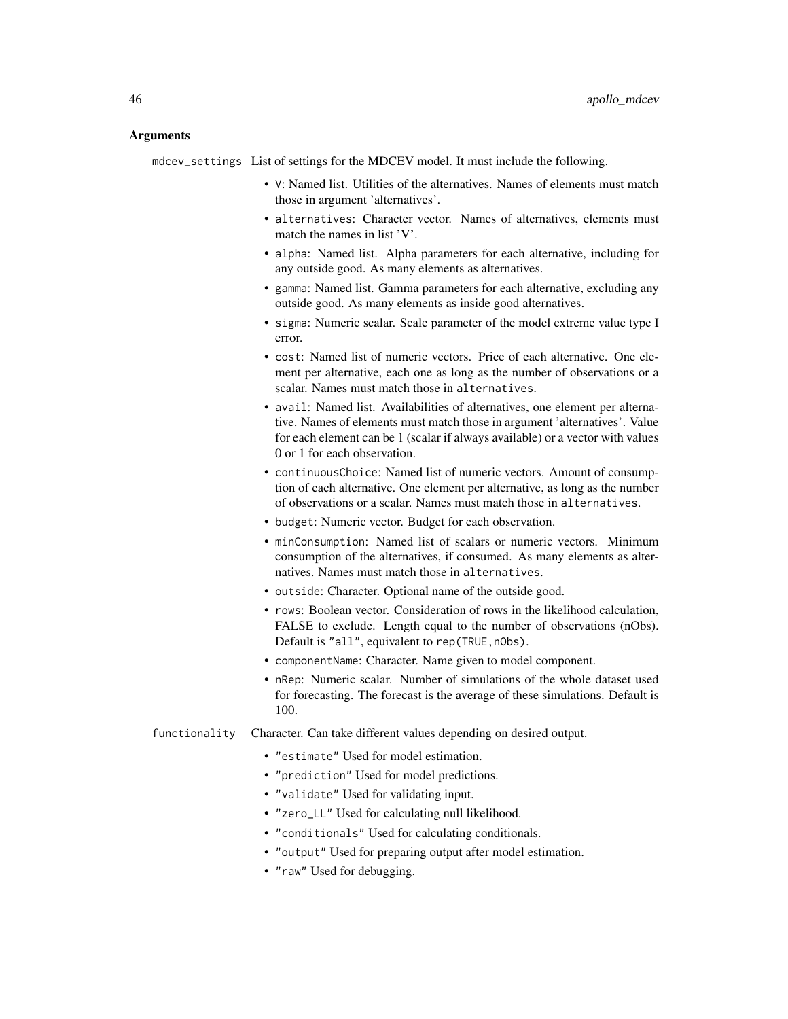### Arguments

mdcev\_settings List of settings for the MDCEV model. It must include the following.

- V: Named list. Utilities of the alternatives. Names of elements must match those in argument 'alternatives'.
- alternatives: Character vector. Names of alternatives, elements must match the names in list 'V'.
- alpha: Named list. Alpha parameters for each alternative, including for any outside good. As many elements as alternatives.
- gamma: Named list. Gamma parameters for each alternative, excluding any outside good. As many elements as inside good alternatives.
- sigma: Numeric scalar. Scale parameter of the model extreme value type I error.
- cost: Named list of numeric vectors. Price of each alternative. One element per alternative, each one as long as the number of observations or a scalar. Names must match those in alternatives.
- avail: Named list. Availabilities of alternatives, one element per alternative. Names of elements must match those in argument 'alternatives'. Value for each element can be 1 (scalar if always available) or a vector with values 0 or 1 for each observation.
- continuousChoice: Named list of numeric vectors. Amount of consumption of each alternative. One element per alternative, as long as the number of observations or a scalar. Names must match those in alternatives.
- budget: Numeric vector. Budget for each observation.
- minConsumption: Named list of scalars or numeric vectors. Minimum consumption of the alternatives, if consumed. As many elements as alternatives. Names must match those in alternatives.
- outside: Character. Optional name of the outside good.
- rows: Boolean vector. Consideration of rows in the likelihood calculation, FALSE to exclude. Length equal to the number of observations (nObs). Default is "all", equivalent to rep(TRUE, n0bs).
- componentName: Character. Name given to model component.
- nRep: Numeric scalar. Number of simulations of the whole dataset used for forecasting. The forecast is the average of these simulations. Default is 100.
- functionality Character. Can take different values depending on desired output.
	- "estimate" Used for model estimation.
	- "prediction" Used for model predictions.
	- "validate" Used for validating input.
	- "zero\_LL" Used for calculating null likelihood.
	- "conditionals" Used for calculating conditionals.
	- "output" Used for preparing output after model estimation.
	- "raw" Used for debugging.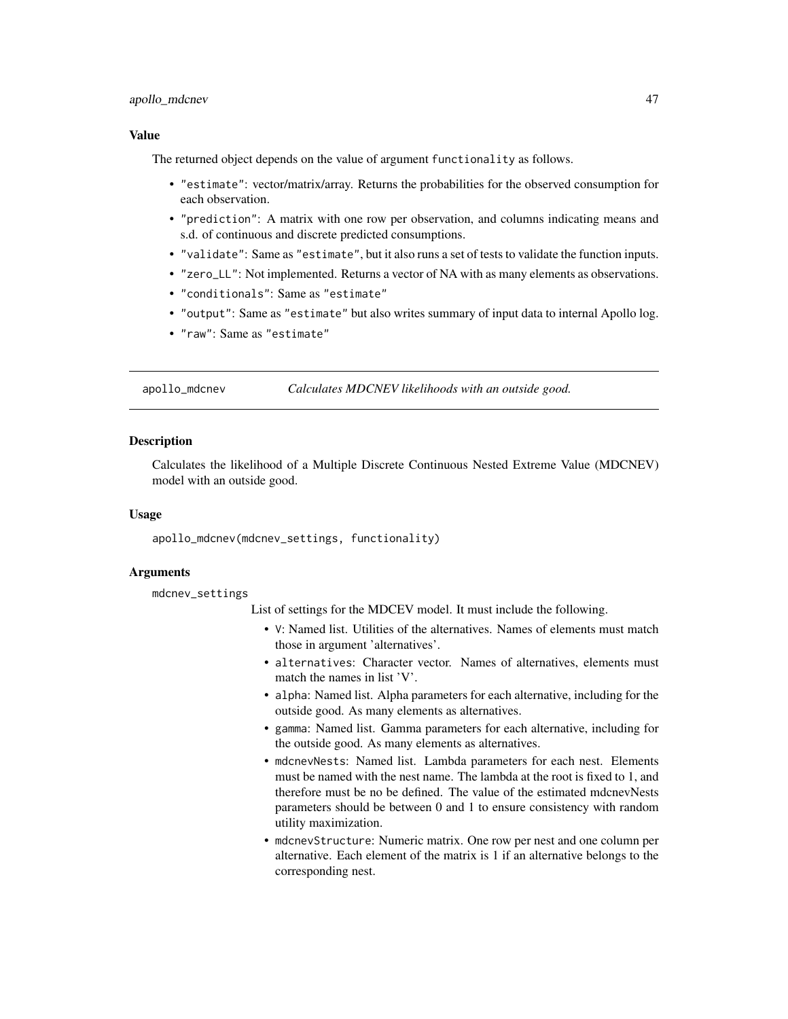## apollo\_mdcnev 47

### Value

The returned object depends on the value of argument functionality as follows.

- "estimate": vector/matrix/array. Returns the probabilities for the observed consumption for each observation.
- "prediction": A matrix with one row per observation, and columns indicating means and s.d. of continuous and discrete predicted consumptions.
- "validate": Same as "estimate", but it also runs a set of tests to validate the function inputs.
- "zero\_LL": Not implemented. Returns a vector of NA with as many elements as observations.
- "conditionals": Same as "estimate"
- "output": Same as "estimate" but also writes summary of input data to internal Apollo log.
- "raw": Same as "estimate"

apollo\_mdcnev *Calculates MDCNEV likelihoods with an outside good.*

### Description

Calculates the likelihood of a Multiple Discrete Continuous Nested Extreme Value (MDCNEV) model with an outside good.

### Usage

apollo\_mdcnev(mdcnev\_settings, functionality)

### Arguments

mdcnev\_settings

List of settings for the MDCEV model. It must include the following.

- V: Named list. Utilities of the alternatives. Names of elements must match those in argument 'alternatives'.
- alternatives: Character vector. Names of alternatives, elements must match the names in list 'V'.
- alpha: Named list. Alpha parameters for each alternative, including for the outside good. As many elements as alternatives.
- gamma: Named list. Gamma parameters for each alternative, including for the outside good. As many elements as alternatives.
- mdcnevNests: Named list. Lambda parameters for each nest. Elements must be named with the nest name. The lambda at the root is fixed to 1, and therefore must be no be defined. The value of the estimated mdcnevNests parameters should be between 0 and 1 to ensure consistency with random utility maximization.
- mdcnevStructure: Numeric matrix. One row per nest and one column per alternative. Each element of the matrix is 1 if an alternative belongs to the corresponding nest.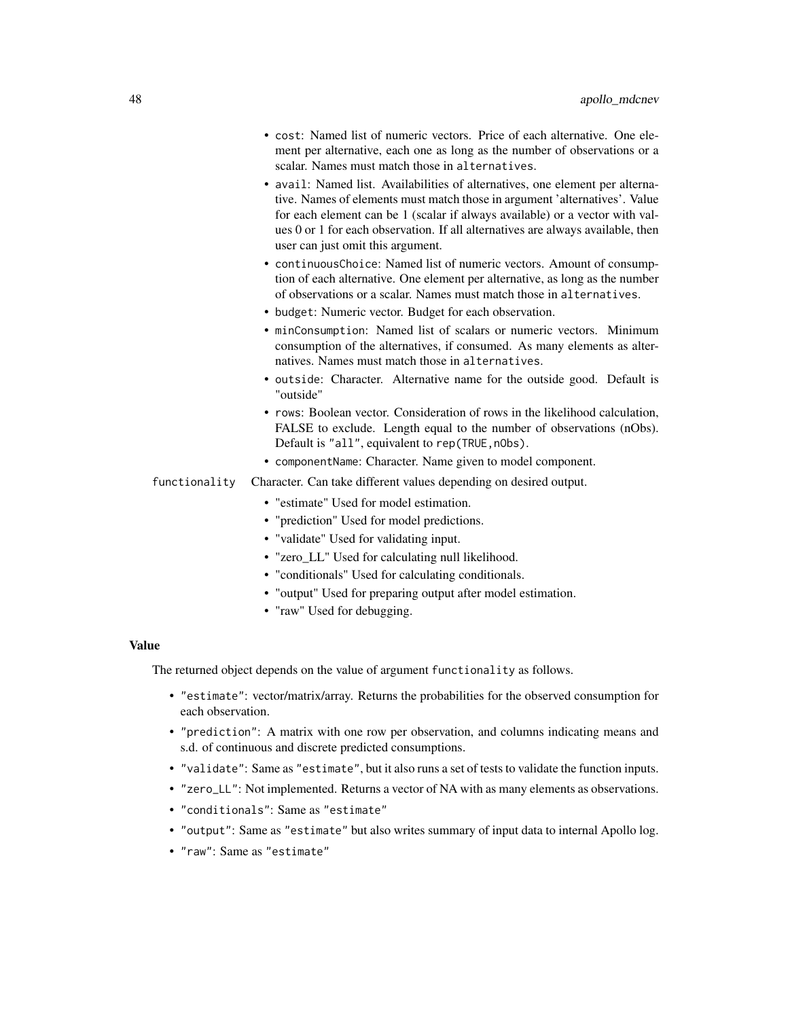- cost: Named list of numeric vectors. Price of each alternative. One element per alternative, each one as long as the number of observations or a scalar. Names must match those in alternatives.
- avail: Named list. Availabilities of alternatives, one element per alternative. Names of elements must match those in argument 'alternatives'. Value for each element can be 1 (scalar if always available) or a vector with values 0 or 1 for each observation. If all alternatives are always available, then user can just omit this argument.
- continuousChoice: Named list of numeric vectors. Amount of consumption of each alternative. One element per alternative, as long as the number of observations or a scalar. Names must match those in alternatives.
- budget: Numeric vector. Budget for each observation.
- minConsumption: Named list of scalars or numeric vectors. Minimum consumption of the alternatives, if consumed. As many elements as alternatives. Names must match those in alternatives.
- outside: Character. Alternative name for the outside good. Default is "outside"
- rows: Boolean vector. Consideration of rows in the likelihood calculation, FALSE to exclude. Length equal to the number of observations (nObs). Default is "all", equivalent to rep(TRUE, n0bs).
- componentName: Character. Name given to model component.
- functionality Character. Can take different values depending on desired output.
	- "estimate" Used for model estimation.
	- "prediction" Used for model predictions.
	- "validate" Used for validating input.
	- "zero\_LL" Used for calculating null likelihood.
	- "conditionals" Used for calculating conditionals.
	- "output" Used for preparing output after model estimation.
	- "raw" Used for debugging.

### Value

The returned object depends on the value of argument functionality as follows.

- "estimate": vector/matrix/array. Returns the probabilities for the observed consumption for each observation.
- "prediction": A matrix with one row per observation, and columns indicating means and s.d. of continuous and discrete predicted consumptions.
- "validate": Same as "estimate", but it also runs a set of tests to validate the function inputs.
- "zero\_LL": Not implemented. Returns a vector of NA with as many elements as observations.
- "conditionals": Same as "estimate"
- "output": Same as "estimate" but also writes summary of input data to internal Apollo log.
- "raw": Same as "estimate"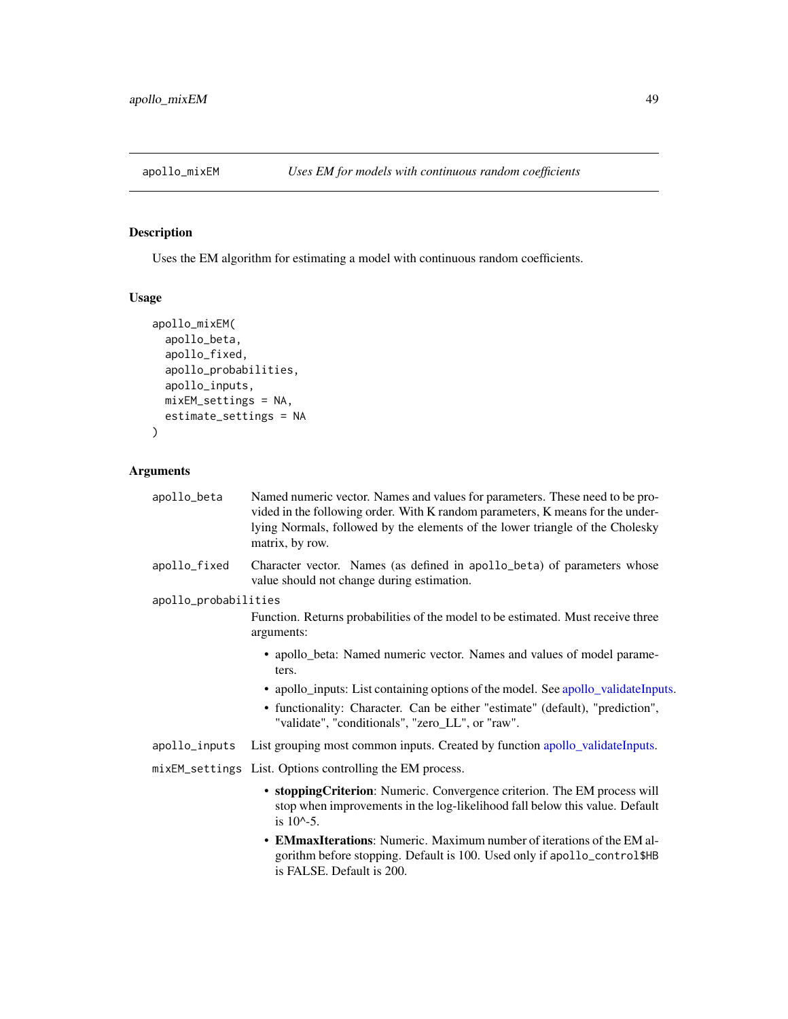## Description

Uses the EM algorithm for estimating a model with continuous random coefficients.

# Usage

```
apollo_mixEM(
  apollo_beta,
  apollo_fixed,
  apollo_probabilities,
  apollo_inputs,
 mixEM_settings = NA,
 estimate_settings = NA
)
```

| apollo_beta          | Named numeric vector. Names and values for parameters. These need to be pro-<br>vided in the following order. With K random parameters, K means for the under-<br>lying Normals, followed by the elements of the lower triangle of the Cholesky<br>matrix, by row. |
|----------------------|--------------------------------------------------------------------------------------------------------------------------------------------------------------------------------------------------------------------------------------------------------------------|
| apollo_fixed         | Character vector. Names (as defined in apollo_beta) of parameters whose<br>value should not change during estimation.                                                                                                                                              |
| apollo_probabilities |                                                                                                                                                                                                                                                                    |
|                      | Function. Returns probabilities of the model to be estimated. Must receive three<br>arguments:                                                                                                                                                                     |
|                      | • apollo_beta: Named numeric vector. Names and values of model parame-<br>ters.                                                                                                                                                                                    |
|                      | • apollo_inputs: List containing options of the model. See apollo_validateInputs.<br>• functionality: Character. Can be either "estimate" (default), "prediction",<br>"validate", "conditionals", "zero_LL", or "raw".                                             |
| apollo_inputs        | List grouping most common inputs. Created by function apollo_validateInputs.                                                                                                                                                                                       |
|                      | mixEM_settings List. Options controlling the EM process.                                                                                                                                                                                                           |
|                      | • stopping Criterion: Numeric. Convergence criterion. The EM process will<br>stop when improvements in the log-likelihood fall below this value. Default<br>is $10^{\circ} - 5$ .                                                                                  |
|                      | • EMmaxIterations: Numeric. Maximum number of iterations of the EM al-<br>gorithm before stopping. Default is 100. Used only if apollo_control\$HB<br>is FALSE. Default is 200.                                                                                    |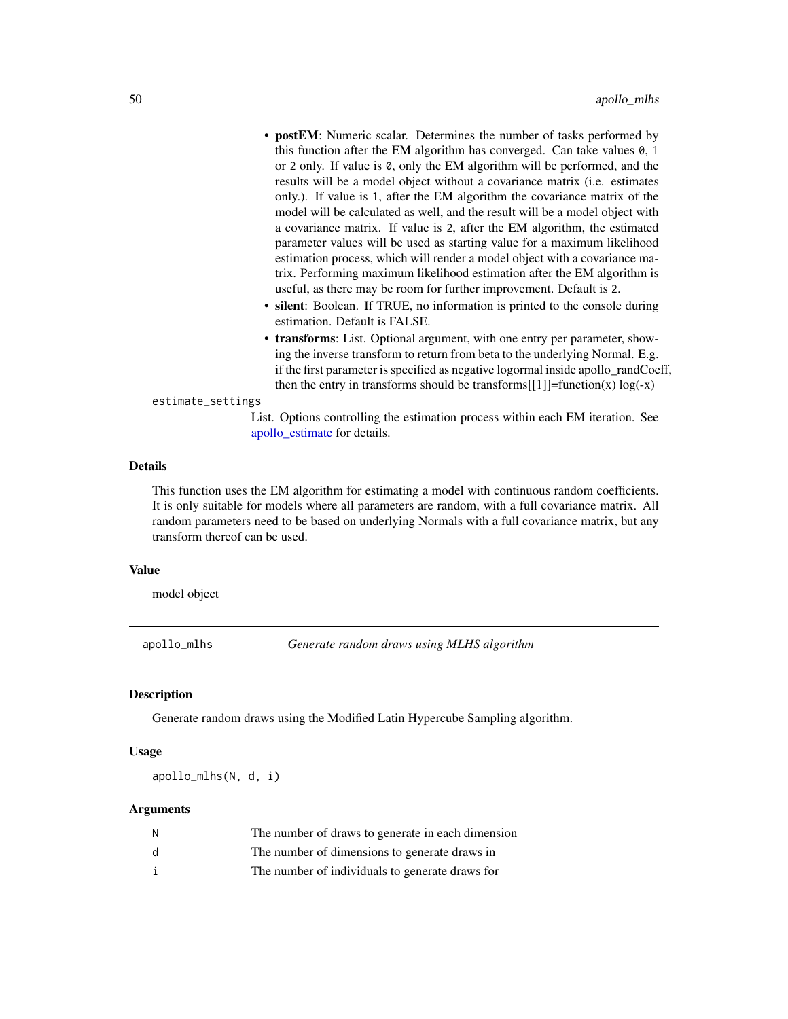- postEM: Numeric scalar. Determines the number of tasks performed by this function after the EM algorithm has converged. Can take values 0, 1 or 2 only. If value is 0, only the EM algorithm will be performed, and the results will be a model object without a covariance matrix (i.e. estimates only.). If value is 1, after the EM algorithm the covariance matrix of the model will be calculated as well, and the result will be a model object with a covariance matrix. If value is 2, after the EM algorithm, the estimated parameter values will be used as starting value for a maximum likelihood estimation process, which will render a model object with a covariance matrix. Performing maximum likelihood estimation after the EM algorithm is useful, as there may be room for further improvement. Default is 2.
- silent: Boolean. If TRUE, no information is printed to the console during estimation. Default is FALSE.
- transforms: List. Optional argument, with one entry per parameter, showing the inverse transform to return from beta to the underlying Normal. E.g. if the first parameter is specified as negative logormal inside apollo\_randCoeff, then the entry in transforms should be transforms[[1]]=function(x)  $log(-x)$

### estimate\_settings

List. Options controlling the estimation process within each EM iteration. See [apollo\\_estimate](#page-25-0) for details.

## Details

This function uses the EM algorithm for estimating a model with continuous random coefficients. It is only suitable for models where all parameters are random, with a full covariance matrix. All random parameters need to be based on underlying Normals with a full covariance matrix, but any transform thereof can be used.

#### Value

model object

apollo\_mlhs *Generate random draws using MLHS algorithm*

### **Description**

Generate random draws using the Modified Latin Hypercube Sampling algorithm.

### Usage

apollo\_mlhs(N, d, i)

| Ν  | The number of draws to generate in each dimension |
|----|---------------------------------------------------|
| d. | The number of dimensions to generate draws in     |
|    | The number of individuals to generate draws for   |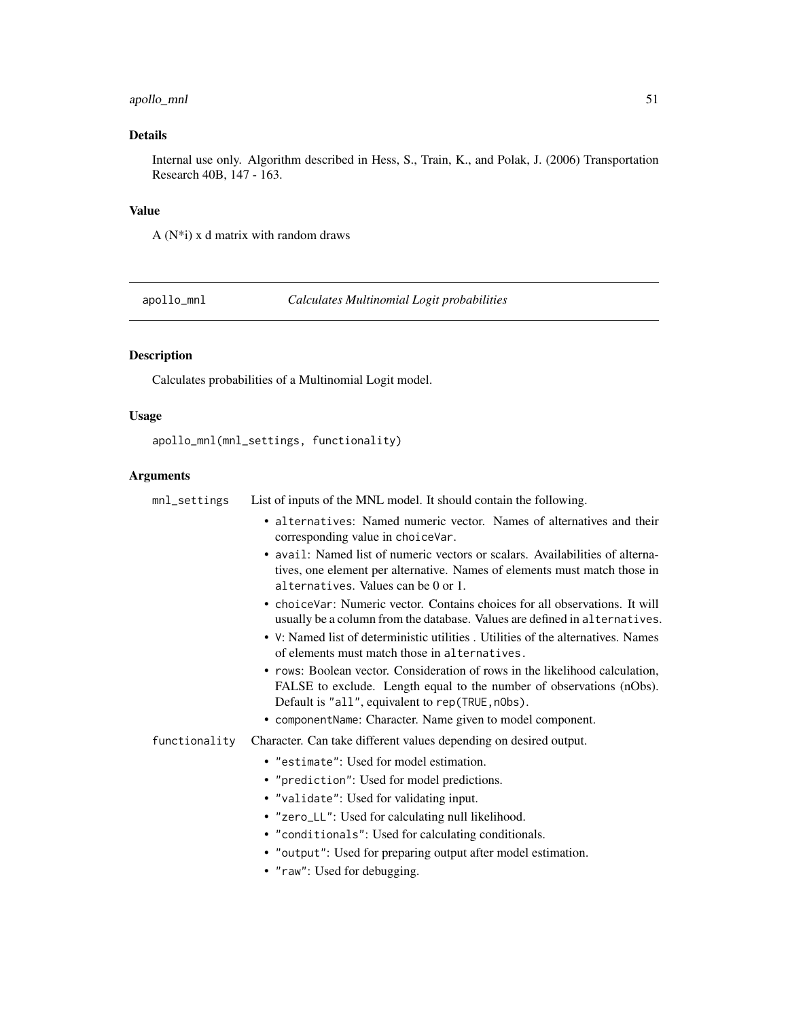## apollo\_mnl 51

# Details

Internal use only. Algorithm described in Hess, S., Train, K., and Polak, J. (2006) Transportation Research 40B, 147 - 163.

### Value

A  $(N^*i)$  x d matrix with random draws

apollo\_mnl *Calculates Multinomial Logit probabilities*

# Description

Calculates probabilities of a Multinomial Logit model.

## Usage

apollo\_mnl(mnl\_settings, functionality)

| $mnl$ settings | List of inputs of the MNL model. It should contain the following.                                                                                                                                        |
|----------------|----------------------------------------------------------------------------------------------------------------------------------------------------------------------------------------------------------|
|                | • alternatives: Named numeric vector. Names of alternatives and their<br>corresponding value in choiceVar.                                                                                               |
|                | • avail: Named list of numeric vectors or scalars. Availabilities of alterna-<br>tives, one element per alternative. Names of elements must match those in<br>alternatives. Values can be 0 or 1.        |
|                | • choiceVar: Numeric vector. Contains choices for all observations. It will<br>usually be a column from the database. Values are defined in alternatives.                                                |
|                | • V: Named list of deterministic utilities . Utilities of the alternatives. Names<br>of elements must match those in alternatives.                                                                       |
|                | • rows: Boolean vector. Consideration of rows in the likelihood calculation,<br>FALSE to exclude. Length equal to the number of observations (nObs).<br>Default is "all", equivalent to rep(TRUE, n0bs). |
|                | • componentName: Character. Name given to model component.                                                                                                                                               |
| functionality  | Character. Can take different values depending on desired output.                                                                                                                                        |
|                | • "estimate": Used for model estimation.                                                                                                                                                                 |
|                | • "prediction": Used for model predictions.                                                                                                                                                              |
|                | • "validate": Used for validating input.                                                                                                                                                                 |
|                | • "zero_LL": Used for calculating null likelihood.                                                                                                                                                       |
|                | • "conditionals": Used for calculating conditionals.                                                                                                                                                     |
|                | • "output": Used for preparing output after model estimation.                                                                                                                                            |
|                | • "raw": Used for debugging.                                                                                                                                                                             |
|                |                                                                                                                                                                                                          |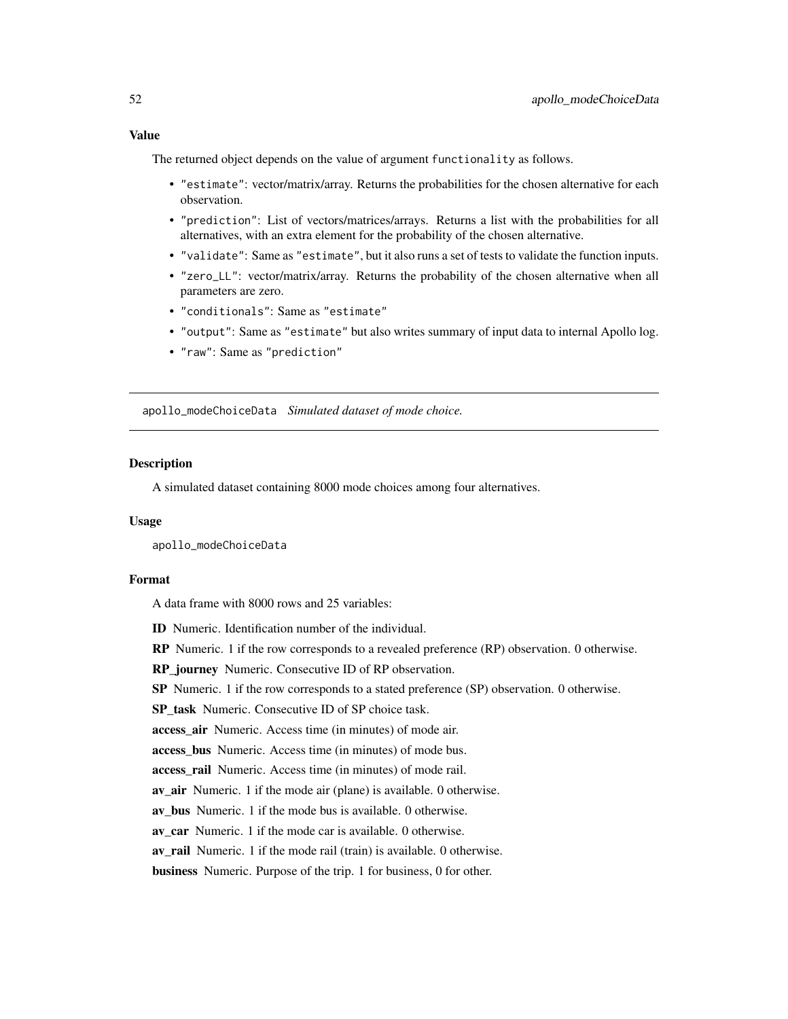The returned object depends on the value of argument functionality as follows.

- "estimate": vector/matrix/array. Returns the probabilities for the chosen alternative for each observation.
- "prediction": List of vectors/matrices/arrays. Returns a list with the probabilities for all alternatives, with an extra element for the probability of the chosen alternative.
- "validate": Same as "estimate", but it also runs a set of tests to validate the function inputs.
- "zero\_LL": vector/matrix/array. Returns the probability of the chosen alternative when all parameters are zero.
- "conditionals": Same as "estimate"
- "output": Same as "estimate" but also writes summary of input data to internal Apollo log.
- "raw": Same as "prediction"

apollo\_modeChoiceData *Simulated dataset of mode choice.*

#### **Description**

A simulated dataset containing 8000 mode choices among four alternatives.

### Usage

apollo\_modeChoiceData

## Format

A data frame with 8000 rows and 25 variables:

ID Numeric. Identification number of the individual.

RP Numeric. 1 if the row corresponds to a revealed preference (RP) observation. 0 otherwise.

RP\_journey Numeric. Consecutive ID of RP observation.

SP Numeric. 1 if the row corresponds to a stated preference (SP) observation. 0 otherwise.

SP task Numeric. Consecutive ID of SP choice task.

access\_air Numeric. Access time (in minutes) of mode air.

access\_bus Numeric. Access time (in minutes) of mode bus.

access\_rail Numeric. Access time (in minutes) of mode rail.

av\_air Numeric. 1 if the mode air (plane) is available. 0 otherwise.

av bus Numeric. 1 if the mode bus is available. 0 otherwise.

av car Numeric. 1 if the mode car is available. 0 otherwise.

av rail Numeric. 1 if the mode rail (train) is available. 0 otherwise.

business Numeric. Purpose of the trip. 1 for business, 0 for other.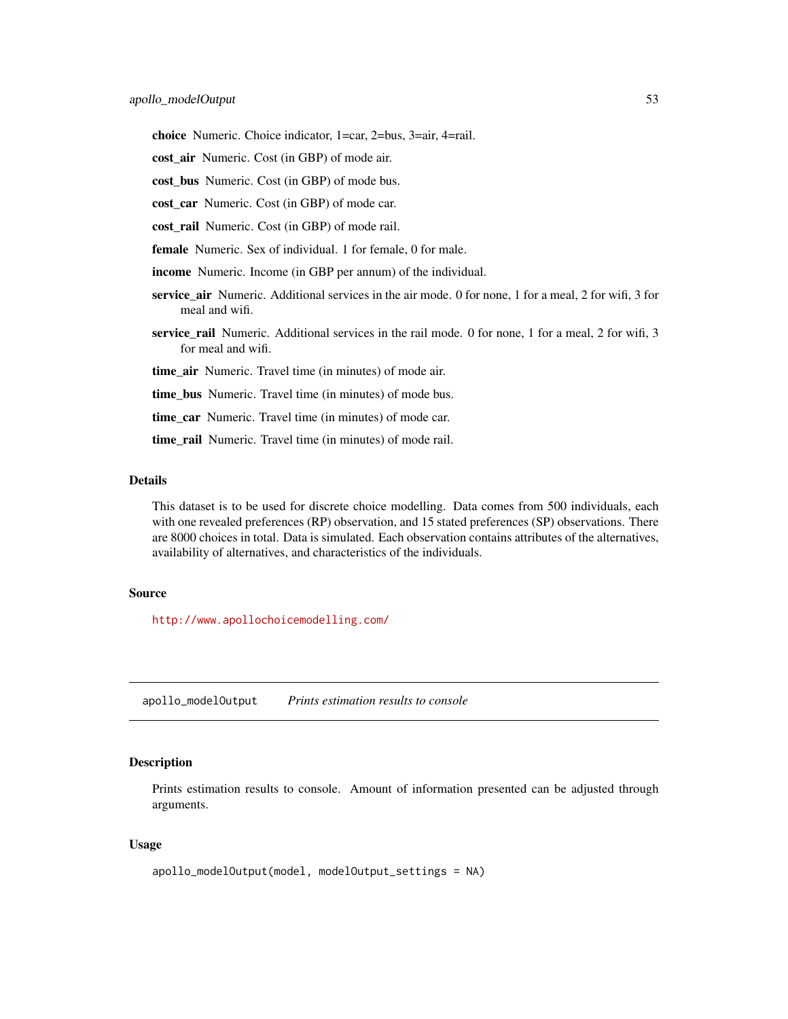choice Numeric. Choice indicator, 1=car, 2=bus, 3=air, 4=rail.

cost air Numeric. Cost (in GBP) of mode air.

cost\_bus Numeric. Cost (in GBP) of mode bus.

cost car Numeric. Cost (in GBP) of mode car.

cost\_rail Numeric. Cost (in GBP) of mode rail.

female Numeric. Sex of individual. 1 for female, 0 for male.

income Numeric. Income (in GBP per annum) of the individual.

- service air Numeric. Additional services in the air mode. 0 for none, 1 for a meal, 2 for wifi, 3 for meal and wifi.
- service\_rail Numeric. Additional services in the rail mode. 0 for none, 1 for a meal, 2 for wifi, 3 for meal and wifi.

time\_air Numeric. Travel time (in minutes) of mode air.

time\_bus Numeric. Travel time (in minutes) of mode bus.

time\_car Numeric. Travel time (in minutes) of mode car.

time\_rail Numeric. Travel time (in minutes) of mode rail.

## Details

This dataset is to be used for discrete choice modelling. Data comes from 500 individuals, each with one revealed preferences (RP) observation, and 15 stated preferences (SP) observations. There are 8000 choices in total. Data is simulated. Each observation contains attributes of the alternatives, availability of alternatives, and characteristics of the individuals.

### Source

<http://www.apollochoicemodelling.com/>

apollo\_modelOutput *Prints estimation results to console*

### Description

Prints estimation results to console. Amount of information presented can be adjusted through arguments.

#### Usage

```
apollo_modelOutput(model, modelOutput_settings = NA)
```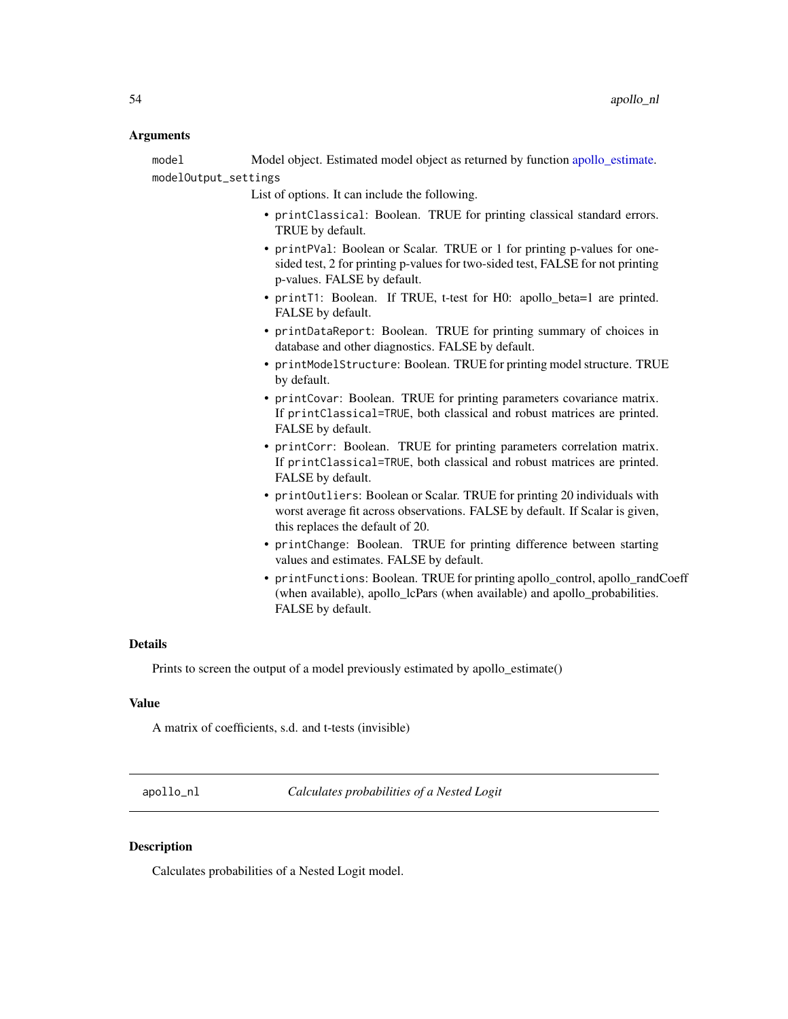### Arguments

model Model object. Estimated model object as returned by function [apollo\\_estimate.](#page-25-0) modelOutput\_settings

List of options. It can include the following.

- printClassical: Boolean. TRUE for printing classical standard errors. TRUE by default.
- printPVal: Boolean or Scalar. TRUE or 1 for printing p-values for onesided test, 2 for printing p-values for two-sided test, FALSE for not printing p-values. FALSE by default.
- printT1: Boolean. If TRUE, t-test for H0: apollo\_beta=1 are printed. FALSE by default.
- printDataReport: Boolean. TRUE for printing summary of choices in database and other diagnostics. FALSE by default.
- printModelStructure: Boolean. TRUE for printing model structure. TRUE by default.
- printCovar: Boolean. TRUE for printing parameters covariance matrix. If printClassical=TRUE, both classical and robust matrices are printed. FALSE by default.
- printCorr: Boolean. TRUE for printing parameters correlation matrix. If printClassical=TRUE, both classical and robust matrices are printed. FALSE by default.
- printOutliers: Boolean or Scalar. TRUE for printing 20 individuals with worst average fit across observations. FALSE by default. If Scalar is given, this replaces the default of 20.
- printChange: Boolean. TRUE for printing difference between starting values and estimates. FALSE by default.
- printFunctions: Boolean. TRUE for printing apollo control, apollo randCoeff (when available), apollo\_lcPars (when available) and apollo\_probabilities. FALSE by default.

### Details

Prints to screen the output of a model previously estimated by apollo estimate()

#### Value

A matrix of coefficients, s.d. and t-tests (invisible)

apollo\_nl *Calculates probabilities of a Nested Logit*

## **Description**

Calculates probabilities of a Nested Logit model.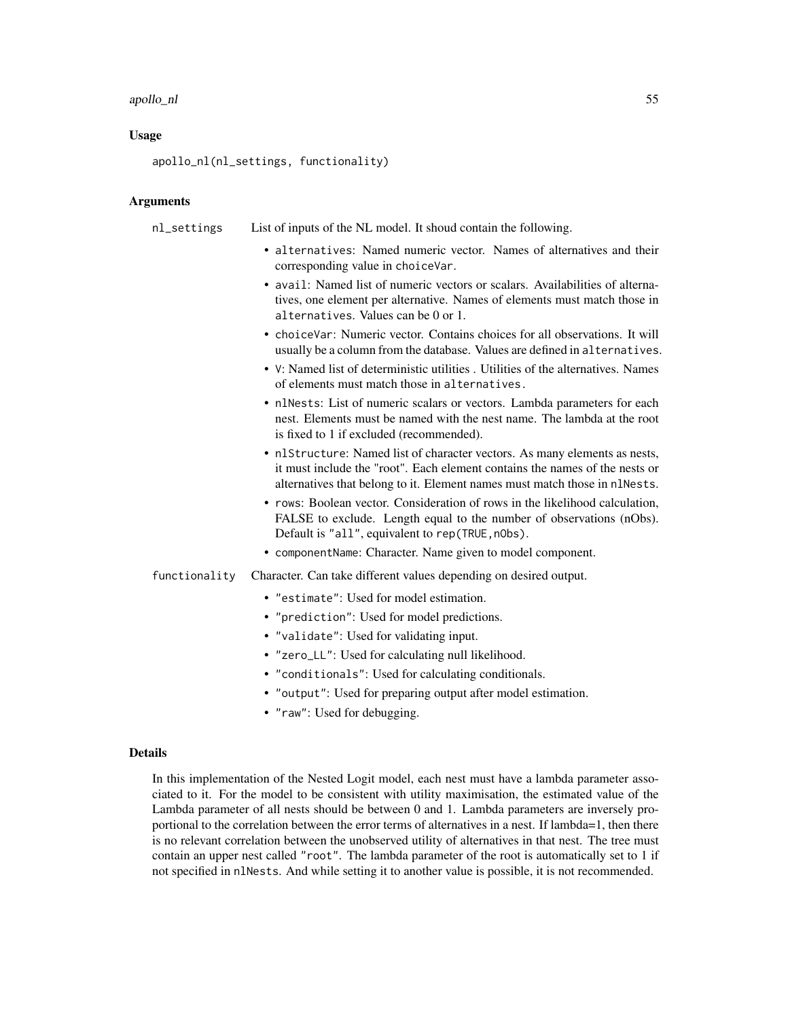#### apollo\_nl 55

### Usage

apollo\_nl(nl\_settings, functionality)

## Arguments

nl\_settings List of inputs of the NL model. It shoud contain the following.

- alternatives: Named numeric vector. Names of alternatives and their corresponding value in choiceVar.
- avail: Named list of numeric vectors or scalars. Availabilities of alternatives, one element per alternative. Names of elements must match those in alternatives. Values can be 0 or 1.
- choiceVar: Numeric vector. Contains choices for all observations. It will usually be a column from the database. Values are defined in alternatives.
- V: Named list of deterministic utilities . Utilities of the alternatives. Names of elements must match those in alternatives.
- nlNests: List of numeric scalars or vectors. Lambda parameters for each nest. Elements must be named with the nest name. The lambda at the root is fixed to 1 if excluded (recommended).
- nlStructure: Named list of character vectors. As many elements as nests, it must include the "root". Each element contains the names of the nests or alternatives that belong to it. Element names must match those in nlNests.
- rows: Boolean vector. Consideration of rows in the likelihood calculation, FALSE to exclude. Length equal to the number of observations (nObs). Default is "all", equivalent to rep(TRUE, n0bs).
- componentName: Character. Name given to model component.
- functionality Character. Can take different values depending on desired output.
	- "estimate": Used for model estimation.
	- "prediction": Used for model predictions.
	- "validate": Used for validating input.
	- "zero\_LL": Used for calculating null likelihood.
	- "conditionals": Used for calculating conditionals.
	- "output": Used for preparing output after model estimation.
	- "raw": Used for debugging.

#### Details

In this implementation of the Nested Logit model, each nest must have a lambda parameter associated to it. For the model to be consistent with utility maximisation, the estimated value of the Lambda parameter of all nests should be between 0 and 1. Lambda parameters are inversely proportional to the correlation between the error terms of alternatives in a nest. If lambda=1, then there is no relevant correlation between the unobserved utility of alternatives in that nest. The tree must contain an upper nest called "root". The lambda parameter of the root is automatically set to 1 if not specified in nlNests. And while setting it to another value is possible, it is not recommended.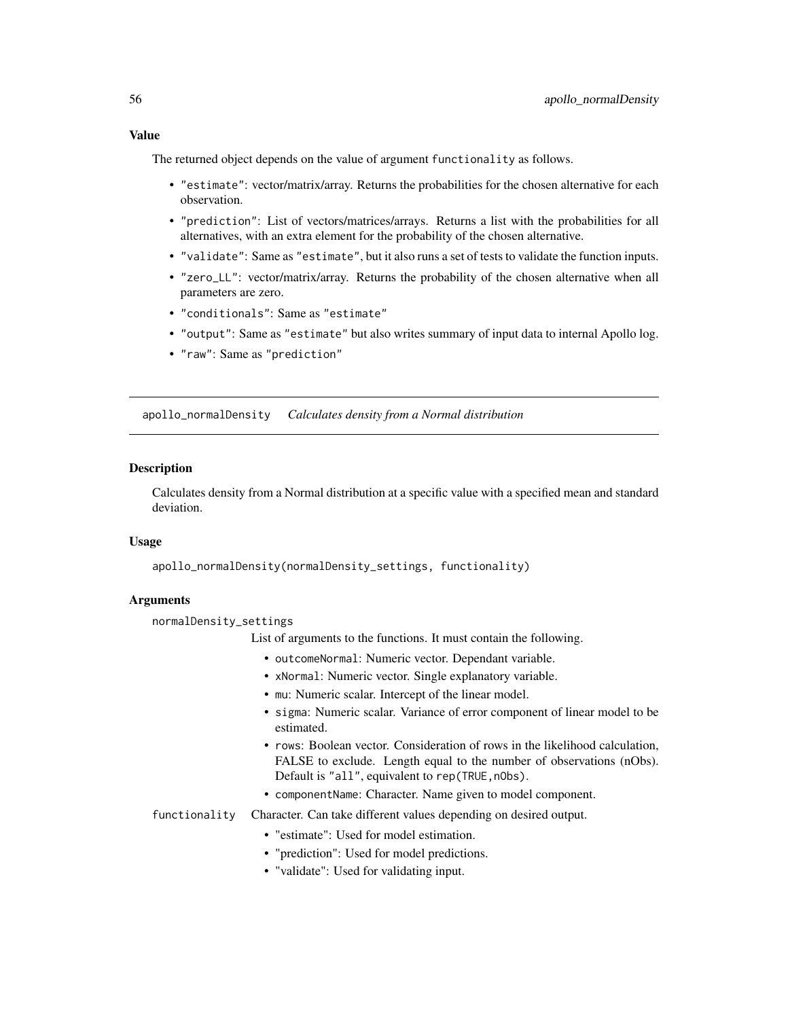Value

The returned object depends on the value of argument functionality as follows.

- "estimate": vector/matrix/array. Returns the probabilities for the chosen alternative for each observation.
- "prediction": List of vectors/matrices/arrays. Returns a list with the probabilities for all alternatives, with an extra element for the probability of the chosen alternative.
- "validate": Same as "estimate", but it also runs a set of tests to validate the function inputs.
- "zero\_LL": vector/matrix/array. Returns the probability of the chosen alternative when all parameters are zero.
- "conditionals": Same as "estimate"
- "output": Same as "estimate" but also writes summary of input data to internal Apollo log.
- "raw": Same as "prediction"

apollo\_normalDensity *Calculates density from a Normal distribution*

### **Description**

Calculates density from a Normal distribution at a specific value with a specified mean and standard deviation.

## Usage

apollo\_normalDensity(normalDensity\_settings, functionality)

## Arguments

normalDensity\_settings

List of arguments to the functions. It must contain the following.

- outcomeNormal: Numeric vector. Dependant variable.
- xNormal: Numeric vector. Single explanatory variable.
- mu: Numeric scalar. Intercept of the linear model.
- sigma: Numeric scalar. Variance of error component of linear model to be estimated.
- rows: Boolean vector. Consideration of rows in the likelihood calculation, FALSE to exclude. Length equal to the number of observations (nObs). Default is "all", equivalent to rep(TRUE, n0bs).
- componentName: Character. Name given to model component.
- functionality Character. Can take different values depending on desired output.
	- "estimate": Used for model estimation.
	- "prediction": Used for model predictions.
	- "validate": Used for validating input.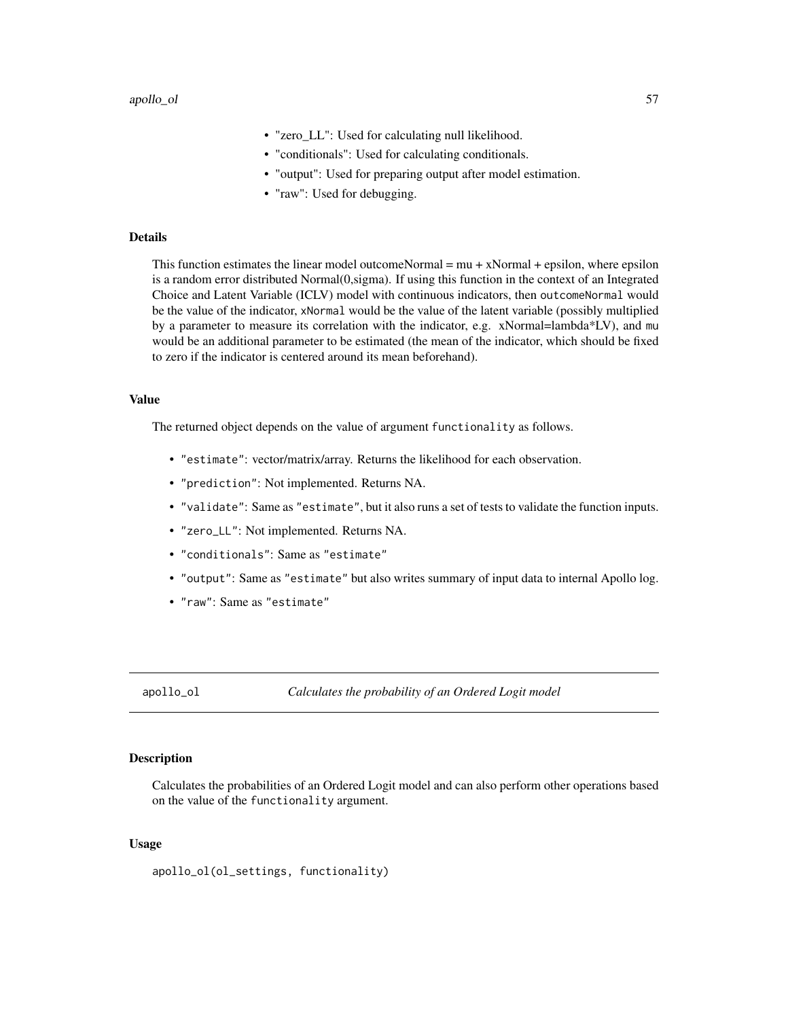- "zero\_LL": Used for calculating null likelihood.
- "conditionals": Used for calculating conditionals.
- "output": Used for preparing output after model estimation.
- "raw": Used for debugging.

#### Details

This function estimates the linear model outcomeNormal  $= \mu + x$ Normal  $+$  epsilon, where epsilon is a random error distributed Normal(0,sigma). If using this function in the context of an Integrated Choice and Latent Variable (ICLV) model with continuous indicators, then outcomeNormal would be the value of the indicator, xNormal would be the value of the latent variable (possibly multiplied by a parameter to measure its correlation with the indicator, e.g. xNormal=lambda\*LV), and mu would be an additional parameter to be estimated (the mean of the indicator, which should be fixed to zero if the indicator is centered around its mean beforehand).

#### Value

The returned object depends on the value of argument functionality as follows.

- "estimate": vector/matrix/array. Returns the likelihood for each observation.
- "prediction": Not implemented. Returns NA.
- "validate": Same as "estimate", but it also runs a set of tests to validate the function inputs.
- "zero\_LL": Not implemented. Returns NA.
- "conditionals": Same as "estimate"
- "output": Same as "estimate" but also writes summary of input data to internal Apollo log.
- "raw": Same as "estimate"

apollo\_ol *Calculates the probability of an Ordered Logit model*

### Description

Calculates the probabilities of an Ordered Logit model and can also perform other operations based on the value of the functionality argument.

### Usage

apollo\_ol(ol\_settings, functionality)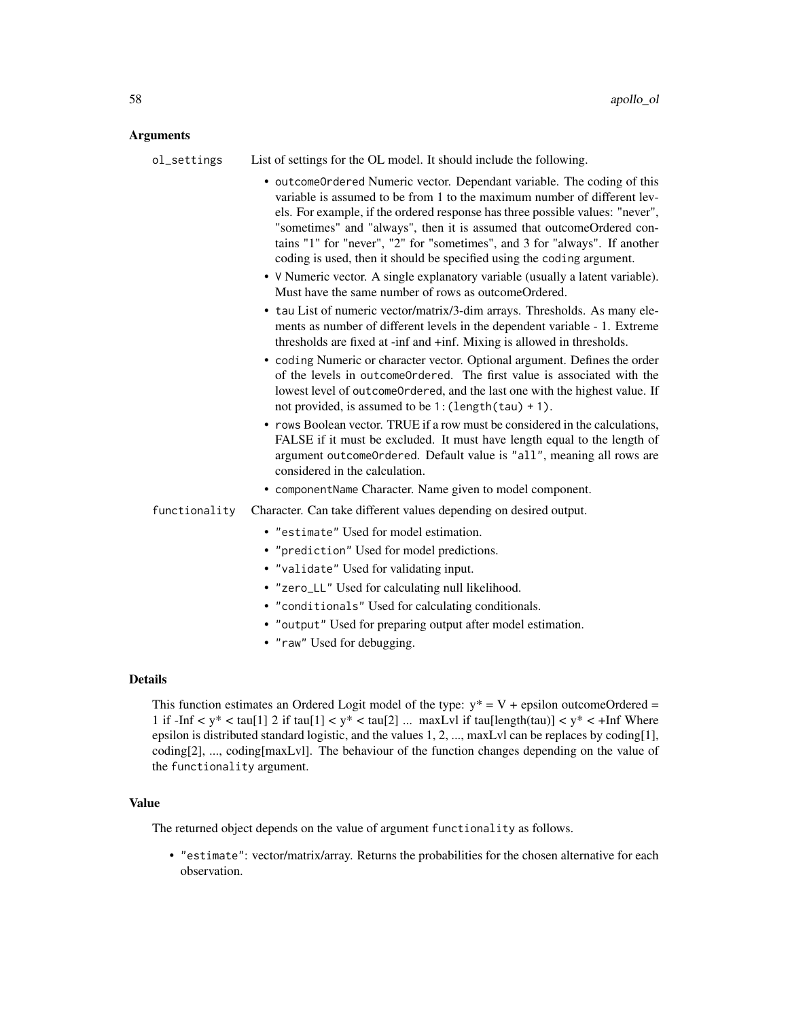## Arguments

| ol_settings    | List of settings for the OL model. It should include the following.                                                                                                                                                                                                                                                                                                                                                                                                   |
|----------------|-----------------------------------------------------------------------------------------------------------------------------------------------------------------------------------------------------------------------------------------------------------------------------------------------------------------------------------------------------------------------------------------------------------------------------------------------------------------------|
|                | • outcomeOrdered Numeric vector. Dependant variable. The coding of this<br>variable is assumed to be from 1 to the maximum number of different lev-<br>els. For example, if the ordered response has three possible values: "never",<br>"sometimes" and "always", then it is assumed that outcomeOrdered con-<br>tains "1" for "never", "2" for "sometimes", and 3 for "always". If another<br>coding is used, then it should be specified using the coding argument. |
|                | • V Numeric vector. A single explanatory variable (usually a latent variable).<br>Must have the same number of rows as outcomeOrdered.                                                                                                                                                                                                                                                                                                                                |
|                | • tau List of numeric vector/matrix/3-dim arrays. Thresholds. As many ele-<br>ments as number of different levels in the dependent variable - 1. Extreme<br>thresholds are fixed at -inf and +inf. Mixing is allowed in thresholds.                                                                                                                                                                                                                                   |
|                | • coding Numeric or character vector. Optional argument. Defines the order<br>of the levels in outcome Ordered. The first value is associated with the<br>lowest level of outcomeOrdered, and the last one with the highest value. If<br>not provided, is assumed to be 1: (length(tau) + 1).                                                                                                                                                                         |
|                | • rows Boolean vector. TRUE if a row must be considered in the calculations,<br>FALSE if it must be excluded. It must have length equal to the length of<br>argument outcomeOrdered. Default value is "all", meaning all rows are<br>considered in the calculation.                                                                                                                                                                                                   |
|                | • componentName Character. Name given to model component.                                                                                                                                                                                                                                                                                                                                                                                                             |
| functionality  | Character. Can take different values depending on desired output.                                                                                                                                                                                                                                                                                                                                                                                                     |
|                | • "estimate" Used for model estimation.                                                                                                                                                                                                                                                                                                                                                                                                                               |
|                | • "prediction" Used for model predictions.                                                                                                                                                                                                                                                                                                                                                                                                                            |
|                | • "validate" Used for validating input.                                                                                                                                                                                                                                                                                                                                                                                                                               |
|                | • "zero_LL" Used for calculating null likelihood.                                                                                                                                                                                                                                                                                                                                                                                                                     |
|                | • "conditionals" Used for calculating conditionals.                                                                                                                                                                                                                                                                                                                                                                                                                   |
|                | • "output" Used for preparing output after model estimation.                                                                                                                                                                                                                                                                                                                                                                                                          |
|                | • "raw" Used for debugging.                                                                                                                                                                                                                                                                                                                                                                                                                                           |
| <b>Details</b> |                                                                                                                                                                                                                                                                                                                                                                                                                                                                       |
|                | This function estimates an Ordered Logit model of the type: $y^* = V + e$ epsilon outcomeOrdered =                                                                                                                                                                                                                                                                                                                                                                    |

1 if  $-\text{Inf} < y^* < \tan[1] 2$  if  $\tan[1] < y^* < \tan[2]$  ... maxLvl if  $\tan[length(tau)] < y^* < +\text{Inf}$  Where epsilon is distributed standard logistic, and the values 1, 2, ..., maxLvl can be replaces by coding[1], coding[2], ..., coding[maxLvl]. The behaviour of the function changes depending on the value of the functionality argument.

## Value

The returned object depends on the value of argument functionality as follows.

• "estimate": vector/matrix/array. Returns the probabilities for the chosen alternative for each observation.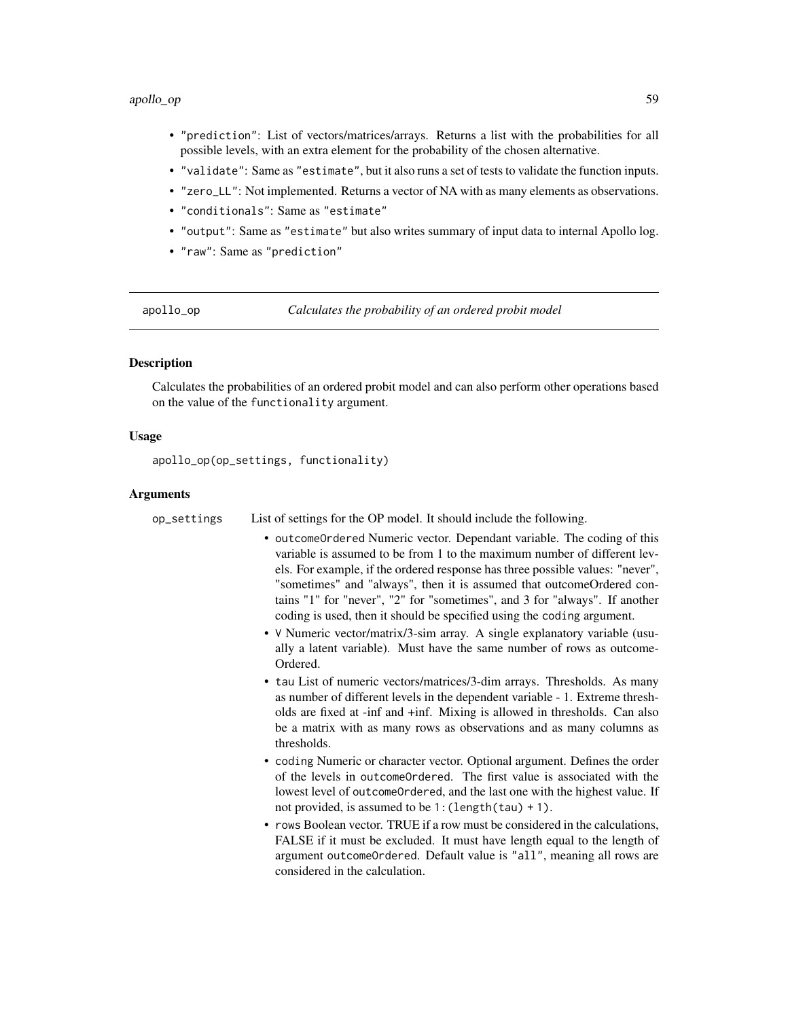#### apollo\_op 59

- "prediction": List of vectors/matrices/arrays. Returns a list with the probabilities for all possible levels, with an extra element for the probability of the chosen alternative.
- "validate": Same as "estimate", but it also runs a set of tests to validate the function inputs.
- "zero\_LL": Not implemented. Returns a vector of NA with as many elements as observations.
- "conditionals": Same as "estimate"
- "output": Same as "estimate" but also writes summary of input data to internal Apollo log.
- "raw": Same as "prediction"

apollo\_op *Calculates the probability of an ordered probit model*

### **Description**

Calculates the probabilities of an ordered probit model and can also perform other operations based on the value of the functionality argument.

#### Usage

apollo\_op(op\_settings, functionality)

### Arguments

op\_settings List of settings for the OP model. It should include the following.

- outcomeOrdered Numeric vector. Dependant variable. The coding of this variable is assumed to be from 1 to the maximum number of different levels. For example, if the ordered response has three possible values: "never", "sometimes" and "always", then it is assumed that outcomeOrdered contains "1" for "never", "2" for "sometimes", and 3 for "always". If another coding is used, then it should be specified using the coding argument.
- V Numeric vector/matrix/3-sim array. A single explanatory variable (usually a latent variable). Must have the same number of rows as outcome-Ordered.
- tau List of numeric vectors/matrices/3-dim arrays. Thresholds. As many as number of different levels in the dependent variable - 1. Extreme thresholds are fixed at -inf and +inf. Mixing is allowed in thresholds. Can also be a matrix with as many rows as observations and as many columns as thresholds.
- coding Numeric or character vector. Optional argument. Defines the order of the levels in outcomeOrdered. The first value is associated with the lowest level of outcomeOrdered, and the last one with the highest value. If not provided, is assumed to be  $1$ : (length(tau) + 1).
- rows Boolean vector. TRUE if a row must be considered in the calculations, FALSE if it must be excluded. It must have length equal to the length of argument outcomeOrdered. Default value is "all", meaning all rows are considered in the calculation.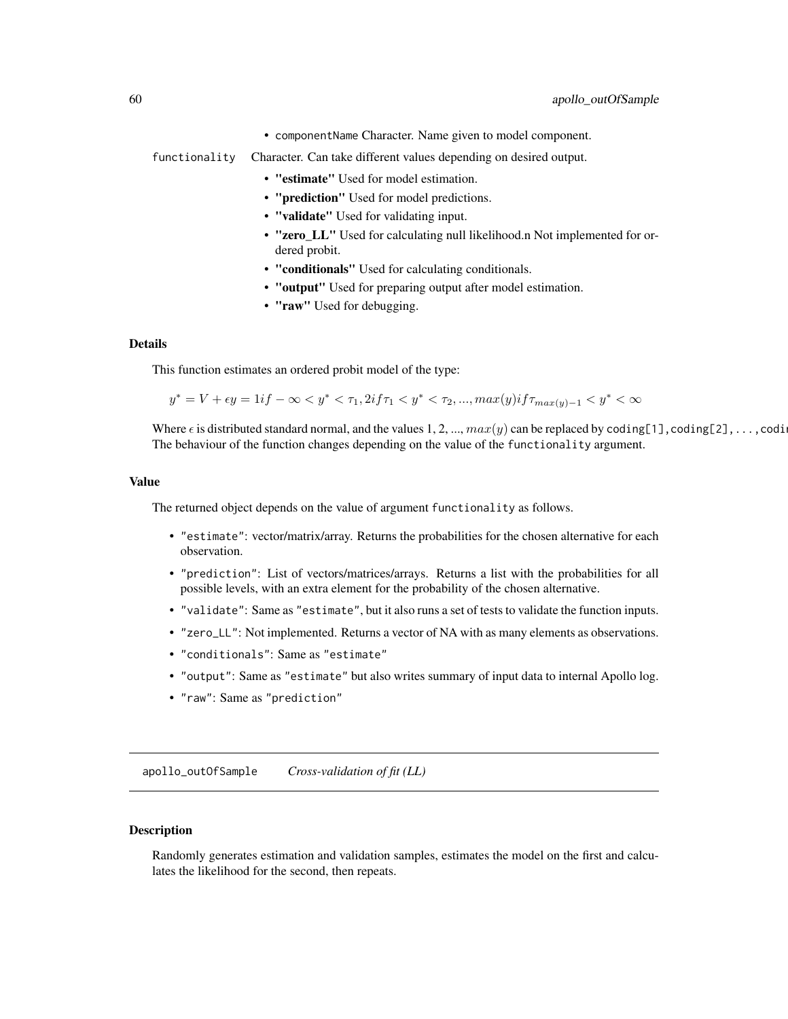• componentName Character. Name given to model component.

functionality Character. Can take different values depending on desired output.

- "estimate" Used for model estimation.
- "prediction" Used for model predictions.
- "validate" Used for validating input.
- "zero LL" Used for calculating null likelihood.n Not implemented for ordered probit.
- "conditionals" Used for calculating conditionals.
- "output" Used for preparing output after model estimation.
- "raw" Used for debugging.

### Details

This function estimates an ordered probit model of the type:

$$
y^* = V + \epsilon y = 1 \text{ if } -\infty < y^* < \tau_1, 2 \text{ if } \tau_1 < y^* < \tau_2, \dots, \max(y) \text{ if } \tau_{\max(y)-1} < y^* < \infty
$$

Where  $\epsilon$  is distributed standard normal, and the values 1, 2, ...,  $max(y)$  can be replaced by coding[1], coding[2], ...,coding The behaviour of the function changes depending on the value of the functionality argument.

#### Value

The returned object depends on the value of argument functionality as follows.

- "estimate": vector/matrix/array. Returns the probabilities for the chosen alternative for each observation.
- "prediction": List of vectors/matrices/arrays. Returns a list with the probabilities for all possible levels, with an extra element for the probability of the chosen alternative.
- "validate": Same as "estimate", but it also runs a set of tests to validate the function inputs.
- "zero\_LL": Not implemented. Returns a vector of NA with as many elements as observations.
- "conditionals": Same as "estimate"
- "output": Same as "estimate" but also writes summary of input data to internal Apollo log.
- "raw": Same as "prediction"

apollo\_outOfSample *Cross-validation of fit (LL)*

### **Description**

Randomly generates estimation and validation samples, estimates the model on the first and calculates the likelihood for the second, then repeats.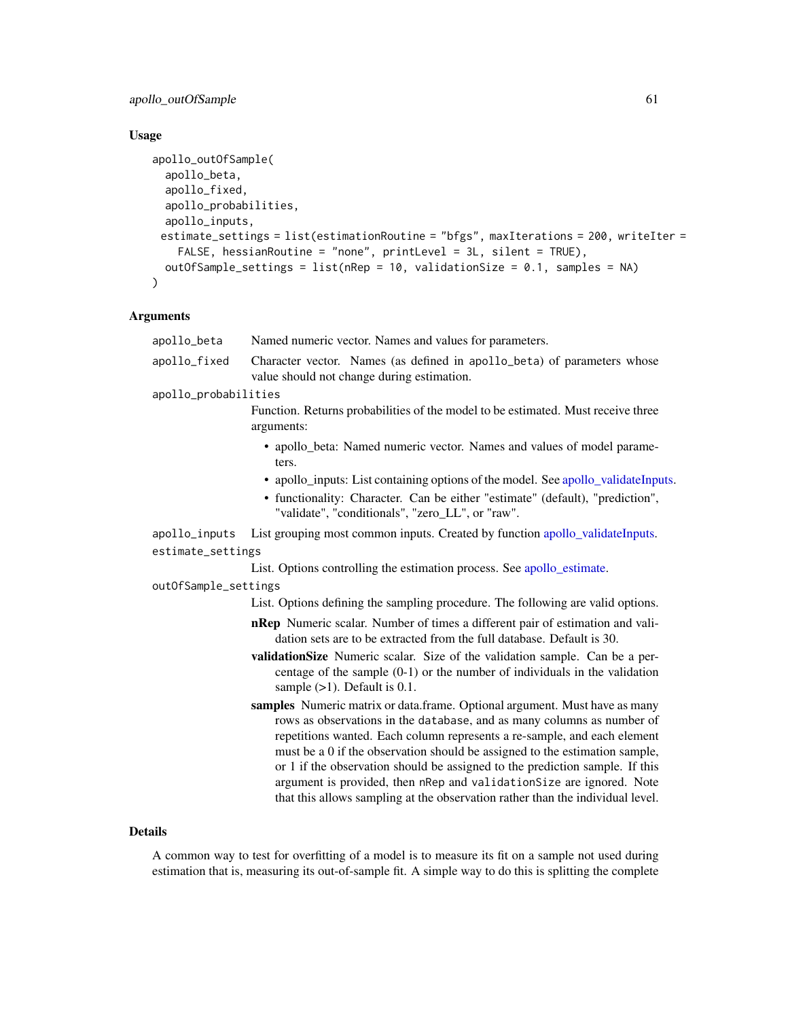## apollo\_outOfSample 61

## Usage

```
apollo_outOfSample(
  apollo_beta,
  apollo_fixed,
  apollo_probabilities,
  apollo_inputs,
 estimate_settings = list(estimationRoutine = "bfgs", maxIterations = 200, writeIter =
    FALSE, hessianRoutine = "none", printLevel = 3L, silent = TRUE),
 outOfSample_settings = list(nRep = 10, validationSize = 0.1, samples = NA)
)
```
## Arguments

| apollo_beta          | Named numeric vector. Names and values for parameters.                                                                                                                                                                                                                                                                                                                                                                                                                  |
|----------------------|-------------------------------------------------------------------------------------------------------------------------------------------------------------------------------------------------------------------------------------------------------------------------------------------------------------------------------------------------------------------------------------------------------------------------------------------------------------------------|
| apollo_fixed         | Character vector. Names (as defined in apollo_beta) of parameters whose<br>value should not change during estimation.                                                                                                                                                                                                                                                                                                                                                   |
| apollo_probabilities |                                                                                                                                                                                                                                                                                                                                                                                                                                                                         |
|                      | Function. Returns probabilities of the model to be estimated. Must receive three<br>arguments:                                                                                                                                                                                                                                                                                                                                                                          |
|                      | • apollo_beta: Named numeric vector. Names and values of model parame-<br>ters.                                                                                                                                                                                                                                                                                                                                                                                         |
|                      | • apollo_inputs: List containing options of the model. See apollo_validateInputs.                                                                                                                                                                                                                                                                                                                                                                                       |
|                      | • functionality: Character. Can be either "estimate" (default), "prediction",<br>"validate", "conditionals", "zero_LL", or "raw".                                                                                                                                                                                                                                                                                                                                       |
| apollo_inputs        | List grouping most common inputs. Created by function apollo_validateInputs.                                                                                                                                                                                                                                                                                                                                                                                            |
| estimate_settings    |                                                                                                                                                                                                                                                                                                                                                                                                                                                                         |
|                      | List. Options controlling the estimation process. See apollo_estimate.                                                                                                                                                                                                                                                                                                                                                                                                  |
| outOfSample_settings |                                                                                                                                                                                                                                                                                                                                                                                                                                                                         |
|                      | List. Options defining the sampling procedure. The following are valid options.                                                                                                                                                                                                                                                                                                                                                                                         |
|                      | nRep Numeric scalar. Number of times a different pair of estimation and vali-<br>dation sets are to be extracted from the full database. Default is 30.                                                                                                                                                                                                                                                                                                                 |
|                      | validationSize Numeric scalar. Size of the validation sample. Can be a per-<br>centage of the sample $(0-1)$ or the number of individuals in the validation<br>sample $(>1)$ . Default is 0.1.                                                                                                                                                                                                                                                                          |
|                      | samples Numeric matrix or data.frame. Optional argument. Must have as many<br>rows as observations in the database, and as many columns as number of<br>repetitions wanted. Each column represents a re-sample, and each element<br>must be a 0 if the observation should be assigned to the estimation sample,<br>or 1 if the observation should be assigned to the prediction sample. If this<br>argument is provided, then nRep and validationSize are ignored. Note |
|                      | that this allows sampling at the observation rather than the individual level.                                                                                                                                                                                                                                                                                                                                                                                          |

### Details

A common way to test for overfitting of a model is to measure its fit on a sample not used during estimation that is, measuring its out-of-sample fit. A simple way to do this is splitting the complete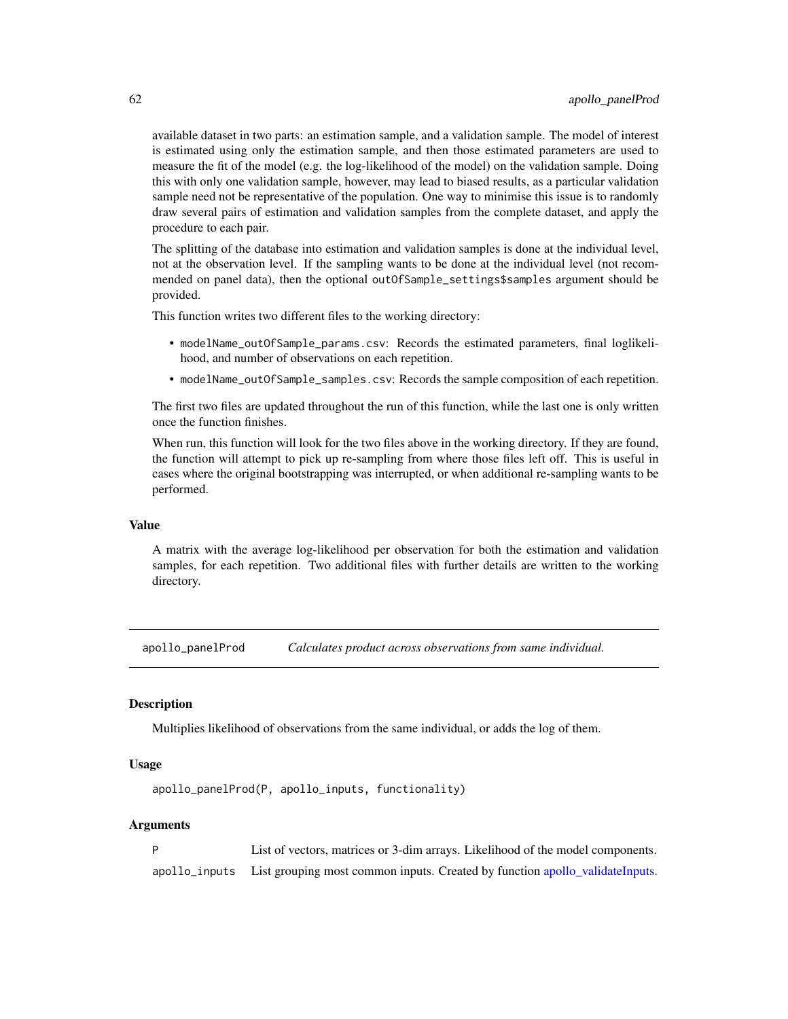available dataset in two parts: an estimation sample, and a validation sample. The model of interest is estimated using only the estimation sample, and then those estimated parameters are used to measure the fit of the model (e.g. the log-likelihood of the model) on the validation sample. Doing this with only one validation sample, however, may lead to biased results, as a particular validation sample need not be representative of the population. One way to minimise this issue is to randomly draw several pairs of estimation and validation samples from the complete dataset, and apply the procedure to each pair.

The splitting of the database into estimation and validation samples is done at the individual level, not at the observation level. If the sampling wants to be done at the individual level (not recommended on panel data), then the optional outOfSample\_settings\$samples argument should be provided.

This function writes two different files to the working directory:

- modelName\_outOfSample\_params.csv: Records the estimated parameters, final loglikelihood, and number of observations on each repetition.
- modelName\_outOfSample\_samples.csv: Records the sample composition of each repetition.

The first two files are updated throughout the run of this function, while the last one is only written once the function finishes.

When run, this function will look for the two files above in the working directory. If they are found, the function will attempt to pick up re-sampling from where those files left off. This is useful in cases where the original bootstrapping was interrupted, or when additional re-sampling wants to be performed.

### Value

A matrix with the average log-likelihood per observation for both the estimation and validation samples, for each repetition. Two additional files with further details are written to the working directory.

apollo\_panelProd *Calculates product across observations from same individual.*

### Description

Multiplies likelihood of observations from the same individual, or adds the log of them.

### Usage

```
apollo_panelProd(P, apollo_inputs, functionality)
```

| D | List of vectors, matrices or 3-dim arrays. Likelihood of the model components.             |
|---|--------------------------------------------------------------------------------------------|
|   | apollo_inputs List grouping most common inputs. Created by function apollo_validateInputs. |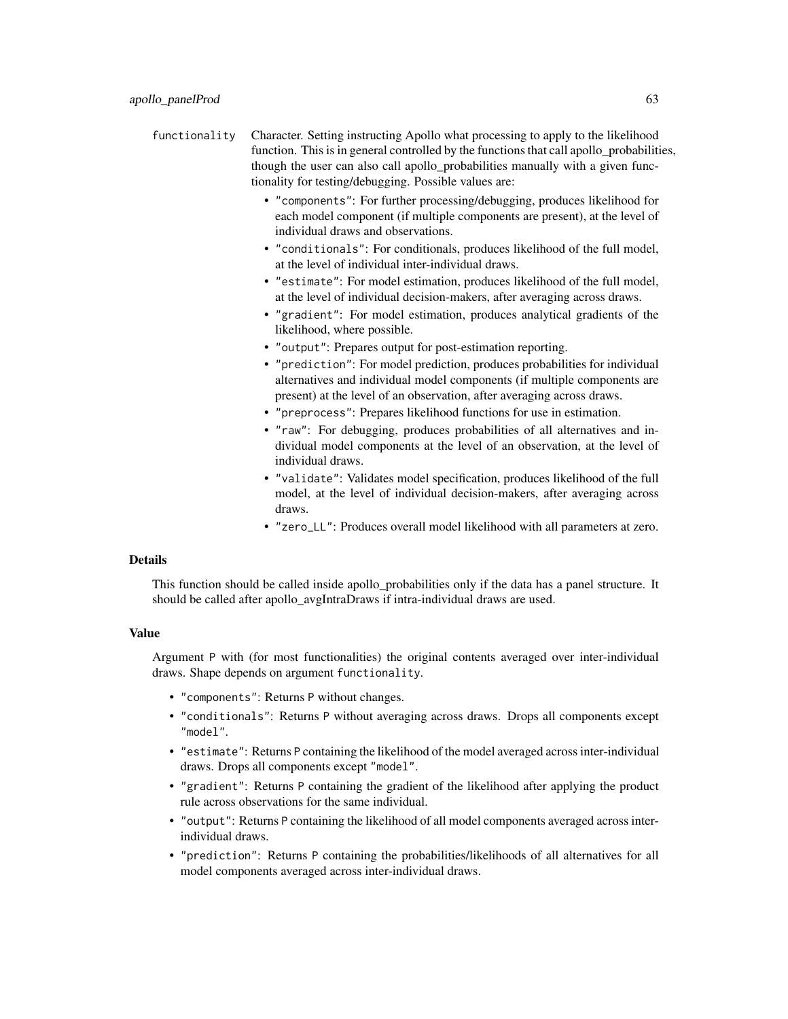functionality Character. Setting instructing Apollo what processing to apply to the likelihood function. This is in general controlled by the functions that call apollo probabilities, though the user can also call apollo probabilities manually with a given functionality for testing/debugging. Possible values are:

- "components": For further processing/debugging, produces likelihood for each model component (if multiple components are present), at the level of individual draws and observations.
- "conditionals": For conditionals, produces likelihood of the full model, at the level of individual inter-individual draws.
- "estimate": For model estimation, produces likelihood of the full model, at the level of individual decision-makers, after averaging across draws.
- "gradient": For model estimation, produces analytical gradients of the likelihood, where possible.
- "output": Prepares output for post-estimation reporting.
- "prediction": For model prediction, produces probabilities for individual alternatives and individual model components (if multiple components are present) at the level of an observation, after averaging across draws.
- "preprocess": Prepares likelihood functions for use in estimation.
- "raw": For debugging, produces probabilities of all alternatives and individual model components at the level of an observation, at the level of individual draws.
- "validate": Validates model specification, produces likelihood of the full model, at the level of individual decision-makers, after averaging across draws.
- "zero\_LL": Produces overall model likelihood with all parameters at zero.

## Details

This function should be called inside apollo\_probabilities only if the data has a panel structure. It should be called after apollo\_avgIntraDraws if intra-individual draws are used.

### Value

Argument P with (for most functionalities) the original contents averaged over inter-individual draws. Shape depends on argument functionality.

- "components": Returns P without changes.
- "conditionals": Returns P without averaging across draws. Drops all components except "model".
- "estimate": Returns P containing the likelihood of the model averaged across inter-individual draws. Drops all components except "model".
- "gradient": Returns P containing the gradient of the likelihood after applying the product rule across observations for the same individual.
- "output": Returns P containing the likelihood of all model components averaged across interindividual draws.
- "prediction": Returns P containing the probabilities/likelihoods of all alternatives for all model components averaged across inter-individual draws.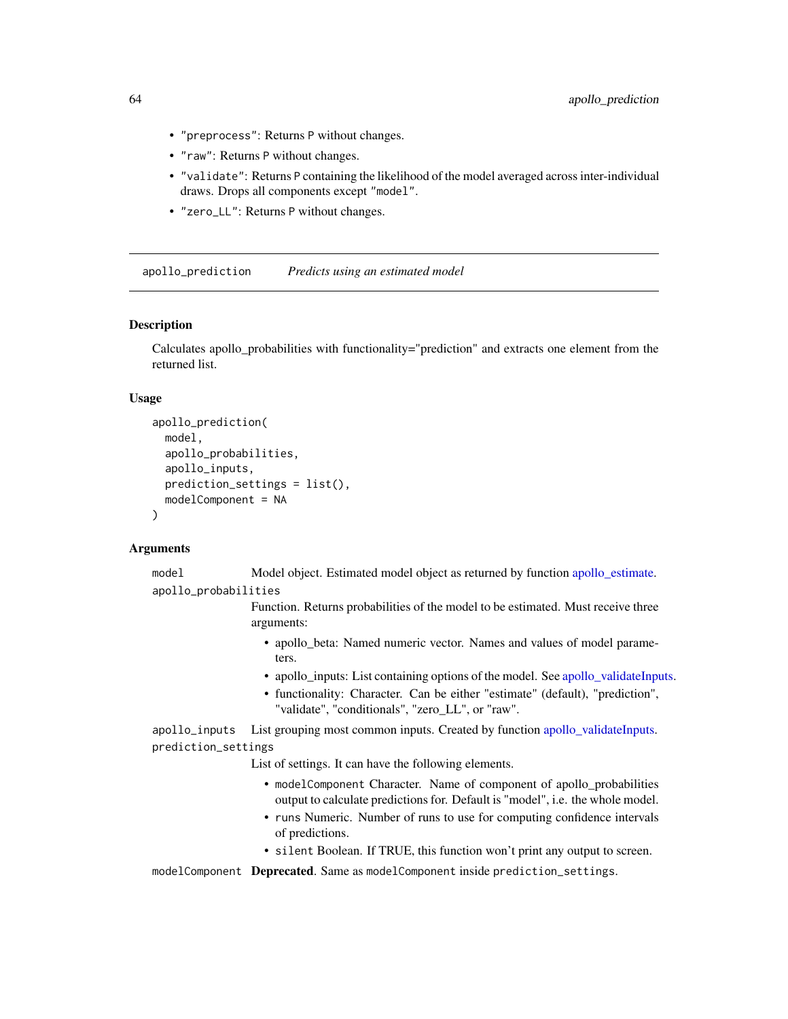- "preprocess": Returns P without changes.
- "raw": Returns P without changes.
- "validate": Returns P containing the likelihood of the model averaged across inter-individual draws. Drops all components except "model".
- "zero\_LL": Returns P without changes.

apollo\_prediction *Predicts using an estimated model*

### Description

Calculates apollo\_probabilities with functionality="prediction" and extracts one element from the returned list.

### Usage

```
apollo_prediction(
  model,
  apollo_probabilities,
  apollo_inputs,
  prediction_settings = list(),
 modelComponent = NA
)
```
#### Arguments

model Model object. Estimated model object as returned by function [apollo\\_estimate.](#page-25-0) apollo\_probabilities

> Function. Returns probabilities of the model to be estimated. Must receive three arguments:

- apollo\_beta: Named numeric vector. Names and values of model parameters.
- apollo\_inputs: List containing options of the model. See [apollo\\_validateInputs.](#page-80-0)
- functionality: Character. Can be either "estimate" (default), "prediction", "validate", "conditionals", "zero\_LL", or "raw".

apollo\_inputs List grouping most common inputs. Created by function [apollo\\_validateInputs.](#page-80-0) prediction\_settings

List of settings. It can have the following elements.

- modelComponent Character. Name of component of apollo probabilities output to calculate predictions for. Default is "model", i.e. the whole model.
- runs Numeric. Number of runs to use for computing confidence intervals of predictions.
- silent Boolean. If TRUE, this function won't print any output to screen.

modelComponent Deprecated. Same as modelComponent inside prediction\_settings.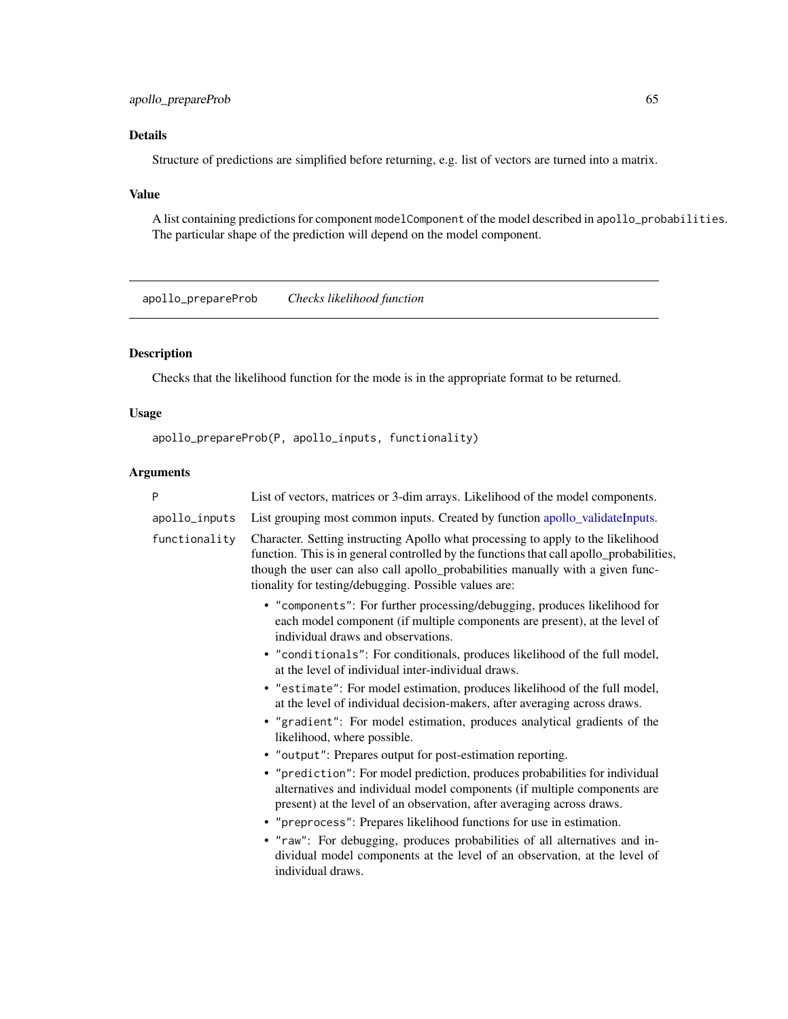## apollo\_prepareProb 65

# Details

Structure of predictions are simplified before returning, e.g. list of vectors are turned into a matrix.

## Value

A list containing predictions for component modelComponent of the model described in apollo\_probabilities. The particular shape of the prediction will depend on the model component.

apollo\_prepareProb *Checks likelihood function*

# Description

Checks that the likelihood function for the mode is in the appropriate format to be returned.

## Usage

```
apollo_prepareProb(P, apollo_inputs, functionality)
```

|  | P             | List of vectors, matrices or 3-dim arrays. Likelihood of the model components.                                                                                                                                                                                                                                          |
|--|---------------|-------------------------------------------------------------------------------------------------------------------------------------------------------------------------------------------------------------------------------------------------------------------------------------------------------------------------|
|  | apollo_inputs | List grouping most common inputs. Created by function apollo_validateInputs.                                                                                                                                                                                                                                            |
|  | functionality | Character. Setting instructing Apollo what processing to apply to the likelihood<br>function. This is in general controlled by the functions that call apollo_probabilities,<br>though the user can also call apollo_probabilities manually with a given func-<br>tionality for testing/debugging. Possible values are: |
|  |               | • "components": For further processing/debugging, produces likelihood for<br>each model component (if multiple components are present), at the level of<br>individual draws and observations.                                                                                                                           |
|  |               | • "conditionals": For conditionals, produces likelihood of the full model,<br>at the level of individual inter-individual draws.                                                                                                                                                                                        |
|  |               | • "estimate": For model estimation, produces likelihood of the full model,<br>at the level of individual decision-makers, after averaging across draws.                                                                                                                                                                 |
|  |               | • "gradient": For model estimation, produces analytical gradients of the<br>likelihood, where possible.                                                                                                                                                                                                                 |
|  |               | • "output": Prepares output for post-estimation reporting.                                                                                                                                                                                                                                                              |
|  |               | • "prediction": For model prediction, produces probabilities for individual<br>alternatives and individual model components (if multiple components are<br>present) at the level of an observation, after averaging across draws.                                                                                       |
|  |               | • "preprocess": Prepares likelihood functions for use in estimation.                                                                                                                                                                                                                                                    |
|  |               | • "raw": For debugging, produces probabilities of all alternatives and in-<br>dividual model components at the level of an observation, at the level of<br>individual draws.                                                                                                                                            |
|  |               |                                                                                                                                                                                                                                                                                                                         |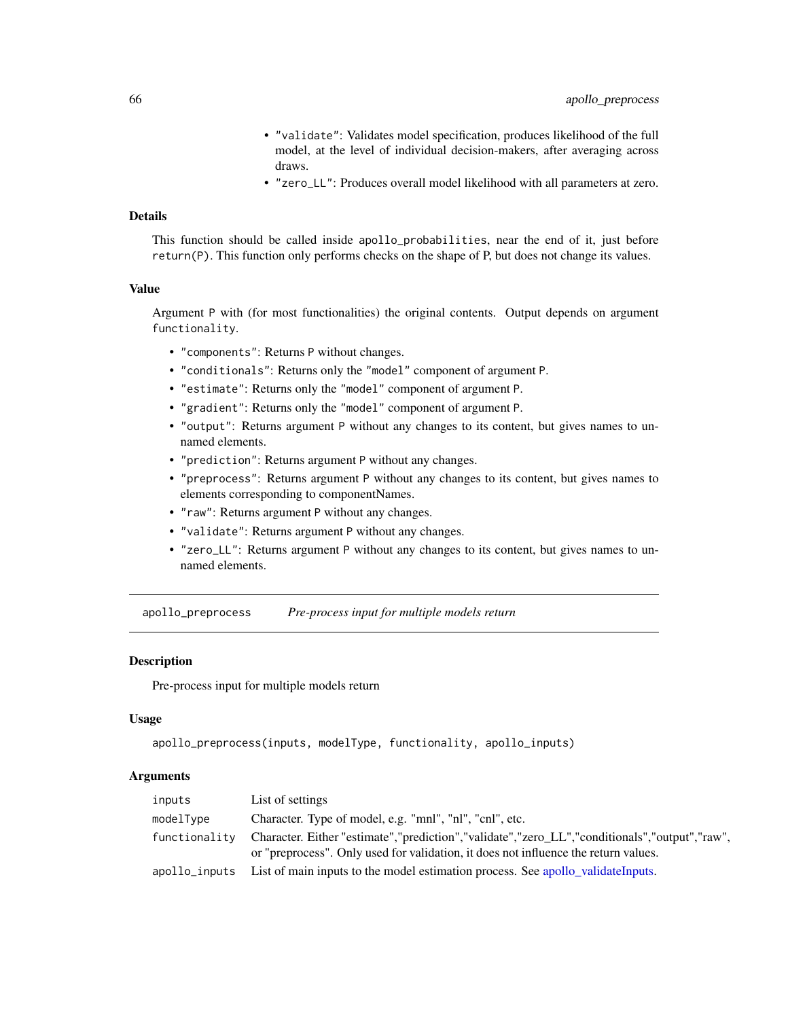- "validate": Validates model specification, produces likelihood of the full model, at the level of individual decision-makers, after averaging across draws.
- "zero\_LL": Produces overall model likelihood with all parameters at zero.

## **Details**

This function should be called inside apollo\_probabilities, near the end of it, just before return(P). This function only performs checks on the shape of P, but does not change its values.

## Value

Argument P with (for most functionalities) the original contents. Output depends on argument functionality.

- "components": Returns P without changes.
- "conditionals": Returns only the "model" component of argument P.
- "estimate": Returns only the "model" component of argument P.
- "gradient": Returns only the "model" component of argument P.
- "output": Returns argument P without any changes to its content, but gives names to unnamed elements.
- "prediction": Returns argument P without any changes.
- "preprocess": Returns argument P without any changes to its content, but gives names to elements corresponding to componentNames.
- "raw": Returns argument P without any changes.
- "validate": Returns argument P without any changes.
- "zero\_LL": Returns argument P without any changes to its content, but gives names to unnamed elements.

apollo\_preprocess *Pre-process input for multiple models return*

### **Description**

Pre-process input for multiple models return

### Usage

```
apollo_preprocess(inputs, modelType, functionality, apollo_inputs)
```

| inputs        | List of settings                                                                                                                                                                     |
|---------------|--------------------------------------------------------------------------------------------------------------------------------------------------------------------------------------|
| modelType     | Character. Type of model, e.g. "mnl", "nl", "cnl", etc.                                                                                                                              |
| functionality | Character. Either "estimate","prediction","validate","zero_LL","conditionals","output","raw",<br>or "preprocess". Only used for validation, it does not influence the return values. |
| apollo_inputs | List of main inputs to the model estimation process. See apollo validate Inputs.                                                                                                     |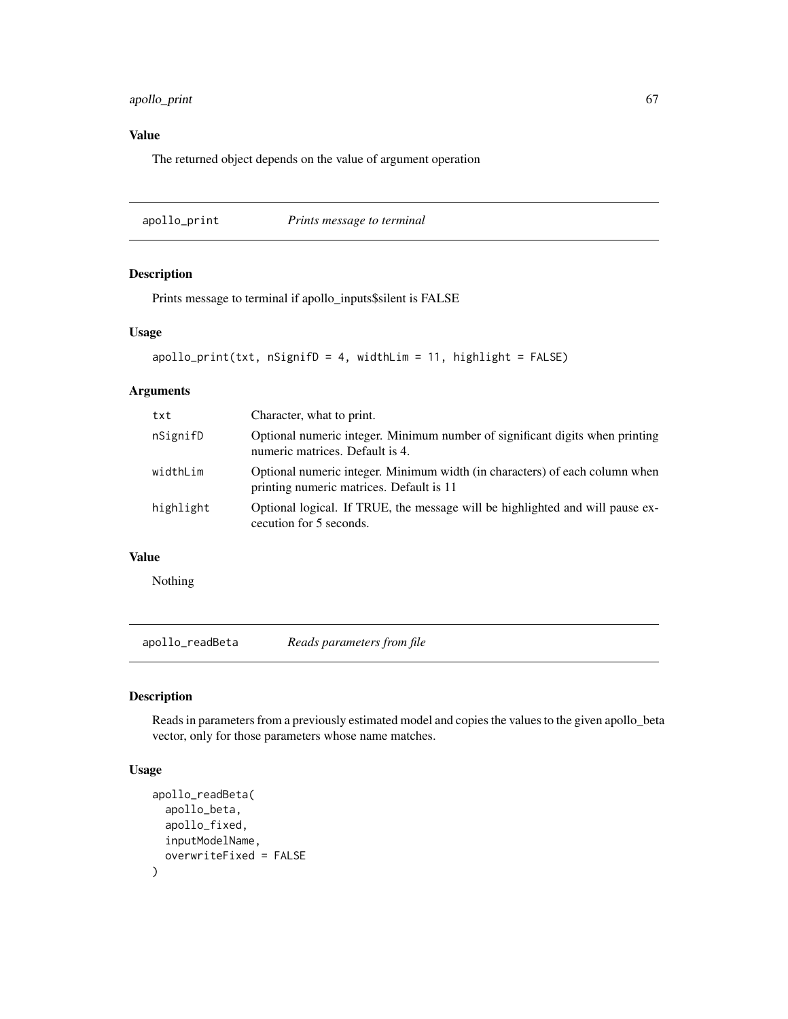## apollo\_print 67

# Value

The returned object depends on the value of argument operation

apollo\_print *Prints message to terminal*

## Description

Prints message to terminal if apollo\_inputs\$silent is FALSE

## Usage

```
apollo_print(txt, nSignifD = 4, widthLim = 11, highlight = FALSE)
```
## Arguments

| txt       | Character, what to print.                                                                                               |
|-----------|-------------------------------------------------------------------------------------------------------------------------|
| nSignifD  | Optional numeric integer. Minimum number of significant digits when printing<br>numeric matrices. Default is 4.         |
| widthLim  | Optional numeric integer. Minimum width (in characters) of each column when<br>printing numeric matrices. Default is 11 |
| highlight | Optional logical. If TRUE, the message will be highlighted and will pause ex-<br>cecution for 5 seconds.                |

## Value

Nothing

apollo\_readBeta *Reads parameters from file*

## Description

Reads in parameters from a previously estimated model and copies the values to the given apollo\_beta vector, only for those parameters whose name matches.

## Usage

```
apollo_readBeta(
  apollo_beta,
  apollo_fixed,
  inputModelName,
  overwriteFixed = FALSE
\mathcal{E}
```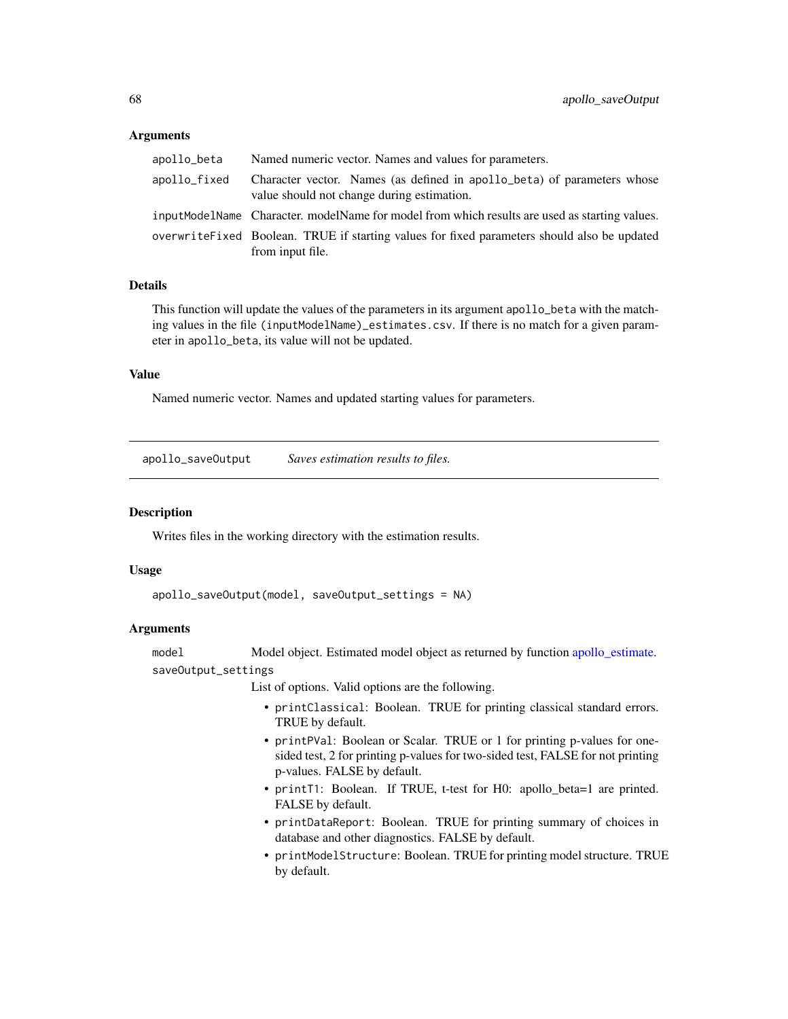### Arguments

| apollo_beta  | Named numeric vector. Names and values for parameters.                                                                |
|--------------|-----------------------------------------------------------------------------------------------------------------------|
| apollo_fixed | Character vector. Names (as defined in apollo beta) of parameters whose<br>value should not change during estimation. |
|              | inputModelName Character, modelName for model from which results are used as starting values.                         |
|              | overwrite Fixed Boolean. TRUE if starting values for fixed parameters should also be updated<br>from input file.      |

## Details

This function will update the values of the parameters in its argument apollo\_beta with the matching values in the file (inputModelName)\_estimates.csv. If there is no match for a given parameter in apollo\_beta, its value will not be updated.

## Value

Named numeric vector. Names and updated starting values for parameters.

apollo\_saveOutput *Saves estimation results to files.*

### **Description**

Writes files in the working directory with the estimation results.

#### Usage

```
apollo_saveOutput(model, saveOutput_settings = NA)
```
## Arguments

model Model object. Estimated model object as returned by function [apollo\\_estimate.](#page-25-0) saveOutput\_settings

List of options. Valid options are the following.

- printClassical: Boolean. TRUE for printing classical standard errors. TRUE by default.
- printPVal: Boolean or Scalar. TRUE or 1 for printing p-values for onesided test, 2 for printing p-values for two-sided test, FALSE for not printing p-values. FALSE by default.
- printT1: Boolean. If TRUE, t-test for H0: apollo\_beta=1 are printed. FALSE by default.
- printDataReport: Boolean. TRUE for printing summary of choices in database and other diagnostics. FALSE by default.
- printModelStructure: Boolean. TRUE for printing model structure. TRUE by default.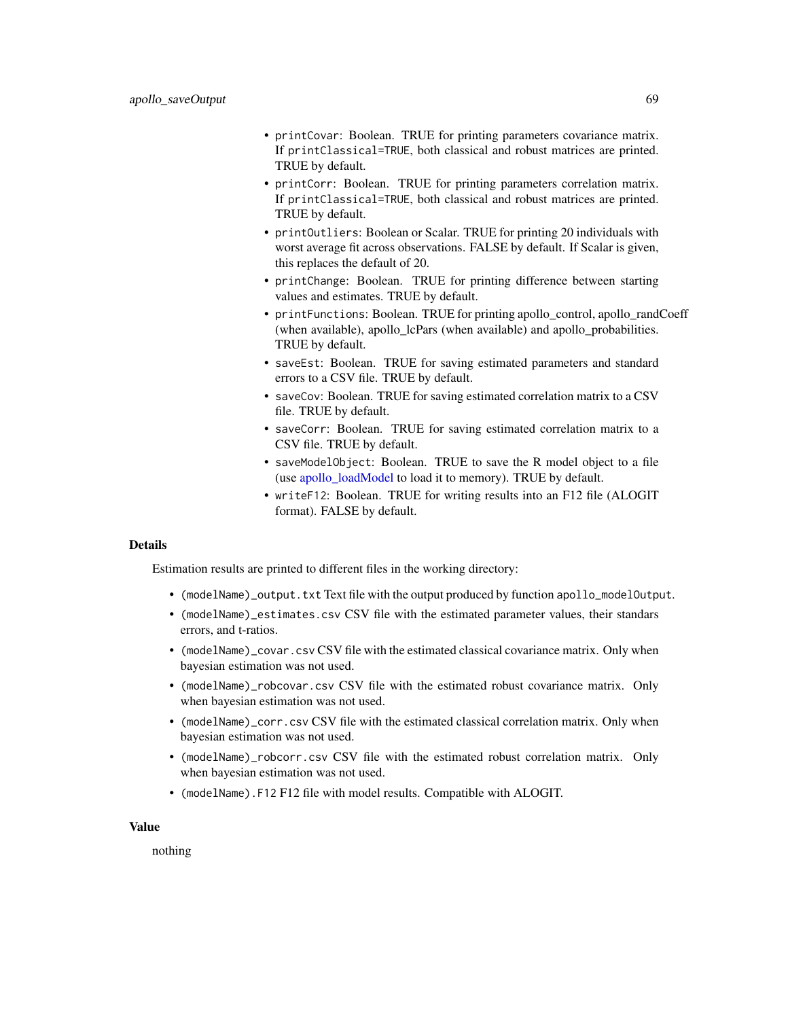- printCovar: Boolean. TRUE for printing parameters covariance matrix. If printClassical=TRUE, both classical and robust matrices are printed. TRUE by default.
- printCorr: Boolean. TRUE for printing parameters correlation matrix. If printClassical=TRUE, both classical and robust matrices are printed. TRUE by default.
- printOutliers: Boolean or Scalar. TRUE for printing 20 individuals with worst average fit across observations. FALSE by default. If Scalar is given, this replaces the default of 20.
- printChange: Boolean. TRUE for printing difference between starting values and estimates. TRUE by default.
- printFunctions: Boolean. TRUE for printing apollo control, apollo randCoeff (when available), apollo\_lcPars (when available) and apollo\_probabilities. TRUE by default.
- saveEst: Boolean. TRUE for saving estimated parameters and standard errors to a CSV file. TRUE by default.
- saveCov: Boolean. TRUE for saving estimated correlation matrix to a CSV file. TRUE by default.
- saveCorr: Boolean. TRUE for saving estimated correlation matrix to a CSV file. TRUE by default.
- saveModelObject: Boolean. TRUE to save the R model object to a file (use [apollo\\_loadModel](#page-39-0) to load it to memory). TRUE by default.
- writeF12: Boolean. TRUE for writing results into an F12 file (ALOGIT format). FALSE by default.

## Details

Estimation results are printed to different files in the working directory:

- (modelName)\_output.txt Text file with the output produced by function apollo\_modelOutput.
- (modelName)\_estimates.csv CSV file with the estimated parameter values, their standars errors, and t-ratios.
- (modelName)\_covar.csv CSV file with the estimated classical covariance matrix. Only when bayesian estimation was not used.
- (modelName)\_robcovar.csv CSV file with the estimated robust covariance matrix. Only when bayesian estimation was not used.
- (modelName)\_corr.csv CSV file with the estimated classical correlation matrix. Only when bayesian estimation was not used.
- (modelName)\_robcorr.csv CSV file with the estimated robust correlation matrix. Only when bayesian estimation was not used.
- (modelName).F12 F12 file with model results. Compatible with ALOGIT.

### Value

nothing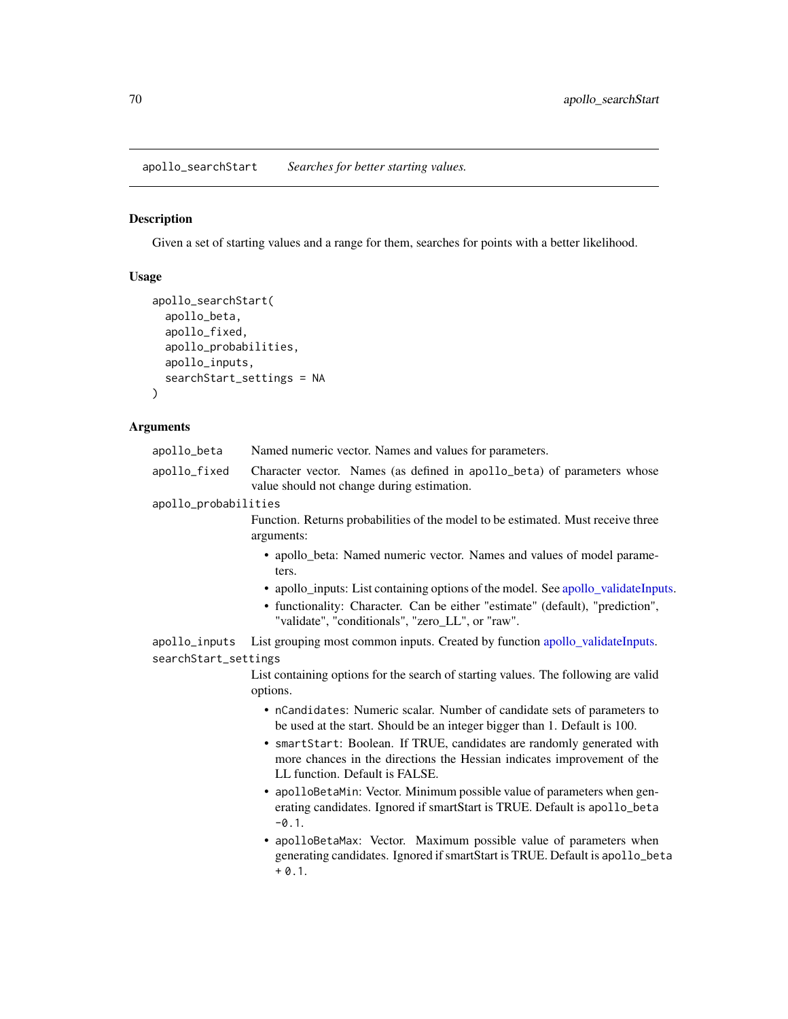apollo\_searchStart *Searches for better starting values.*

## Description

Given a set of starting values and a range for them, searches for points with a better likelihood.

## Usage

```
apollo_searchStart(
  apollo_beta,
  apollo_fixed,
  apollo_probabilities,
  apollo_inputs,
  searchStart_settings = NA
)
```
## Arguments

| apollo_beta          | Named numeric vector. Names and values for parameters.                                                                                                                              |
|----------------------|-------------------------------------------------------------------------------------------------------------------------------------------------------------------------------------|
| apollo_fixed         | Character vector. Names (as defined in apollo_beta) of parameters whose<br>value should not change during estimation.                                                               |
| apollo_probabilities |                                                                                                                                                                                     |
|                      | Function. Returns probabilities of the model to be estimated. Must receive three<br>arguments:                                                                                      |
|                      | • apollo_beta: Named numeric vector. Names and values of model parame-<br>ters.                                                                                                     |
|                      | • apollo_inputs: List containing options of the model. See apollo_validateInputs.                                                                                                   |
|                      | • functionality: Character. Can be either "estimate" (default), "prediction",<br>"validate", "conditionals", "zero_LL", or "raw".                                                   |
| apollo_inputs        | List grouping most common inputs. Created by function apollo_validateInputs.                                                                                                        |
| searchStart_settings |                                                                                                                                                                                     |
|                      | List containing options for the search of starting values. The following are valid<br>options.                                                                                      |
|                      | • nCandidates: Numeric scalar. Number of candidate sets of parameters to<br>be used at the start. Should be an integer bigger than 1. Default is 100.                               |
|                      | • smartStart: Boolean. If TRUE, candidates are randomly generated with<br>more chances in the directions the Hessian indicates improvement of the<br>LL function. Default is FALSE. |
|                      | • apolloBetaMin: Vector. Minimum possible value of parameters when gen-<br>erating candidates. Ignored if smartStart is TRUE. Default is apollo_beta<br>$-0.1$ .                    |
|                      | • apolloBetaMax: Vector. Maximum possible value of parameters when                                                                                                                  |

generating candidates. Ignored if smartStart is TRUE. Default is apollo\_beta  $+ 0.1.$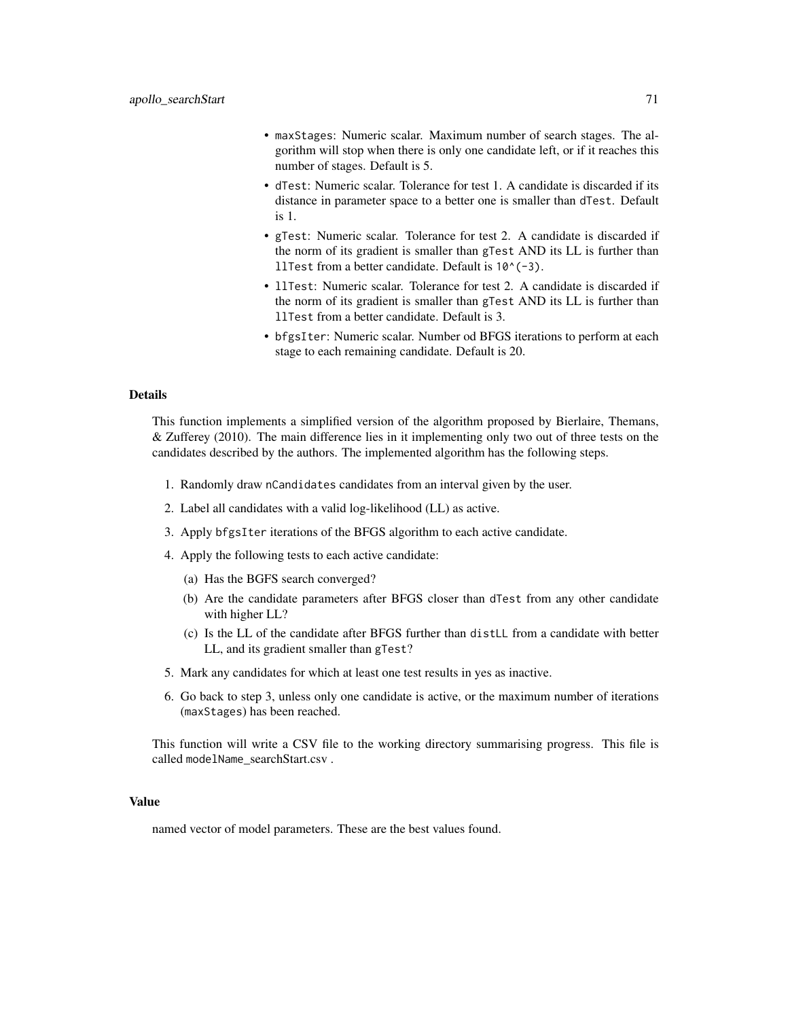- maxStages: Numeric scalar. Maximum number of search stages. The algorithm will stop when there is only one candidate left, or if it reaches this number of stages. Default is 5.
- dTest: Numeric scalar. Tolerance for test 1. A candidate is discarded if its distance in parameter space to a better one is smaller than dTest. Default is 1.
- gTest: Numeric scalar. Tolerance for test 2. A candidate is discarded if the norm of its gradient is smaller than gTest AND its LL is further than llTest from a better candidate. Default is 10^(-3).
- llTest: Numeric scalar. Tolerance for test 2. A candidate is discarded if the norm of its gradient is smaller than gTest AND its LL is further than llTest from a better candidate. Default is 3.
- bfgsIter: Numeric scalar. Number od BFGS iterations to perform at each stage to each remaining candidate. Default is 20.

#### Details

This function implements a simplified version of the algorithm proposed by Bierlaire, Themans, & Zufferey (2010). The main difference lies in it implementing only two out of three tests on the candidates described by the authors. The implemented algorithm has the following steps.

- 1. Randomly draw nCandidates candidates from an interval given by the user.
- 2. Label all candidates with a valid log-likelihood (LL) as active.
- 3. Apply bfgsIter iterations of the BFGS algorithm to each active candidate.
- 4. Apply the following tests to each active candidate:
	- (a) Has the BGFS search converged?
	- (b) Are the candidate parameters after BFGS closer than dTest from any other candidate with higher LL?
	- (c) Is the LL of the candidate after BFGS further than distLL from a candidate with better LL, and its gradient smaller than gTest?
- 5. Mark any candidates for which at least one test results in yes as inactive.
- 6. Go back to step 3, unless only one candidate is active, or the maximum number of iterations (maxStages) has been reached.

This function will write a CSV file to the working directory summarising progress. This file is called modelName\_searchStart.csv.

#### Value

named vector of model parameters. These are the best values found.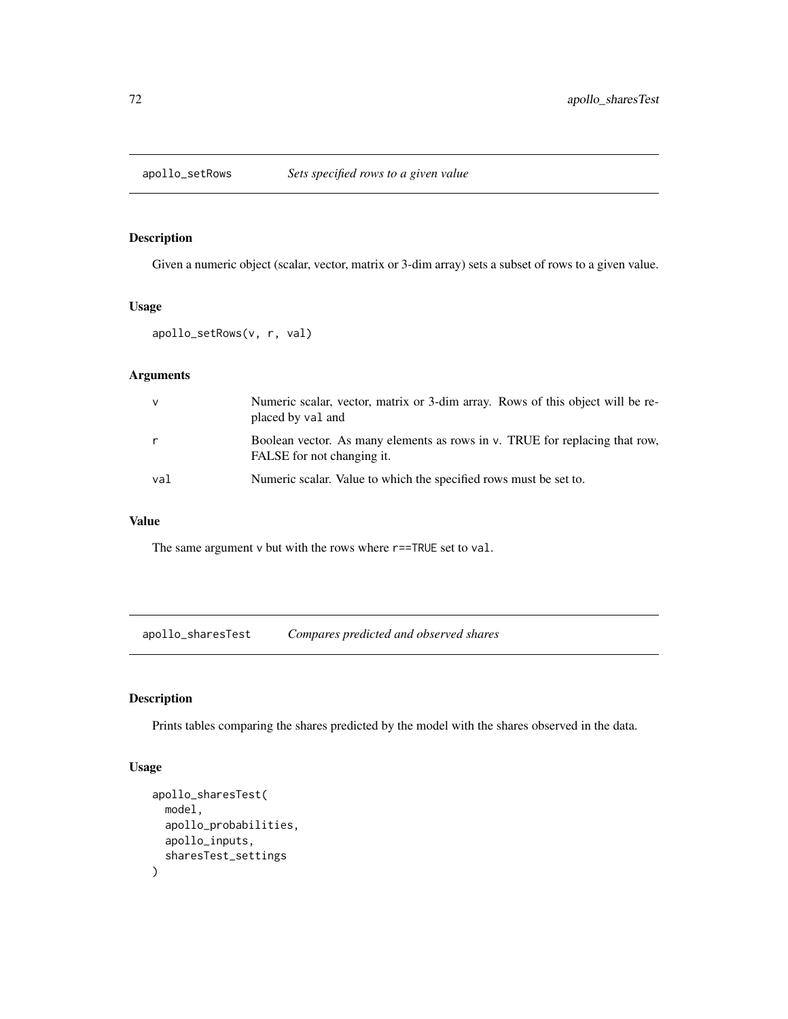## Description

Given a numeric object (scalar, vector, matrix or 3-dim array) sets a subset of rows to a given value.

### Usage

```
apollo_setRows(v, r, val)
```
# Arguments

| $\vee$       | Numeric scalar, vector, matrix or 3-dim array. Rows of this object will be re-<br>placed by val and       |
|--------------|-----------------------------------------------------------------------------------------------------------|
| $\mathsf{r}$ | Boolean vector. As many elements as rows in v. TRUE for replacing that row,<br>FALSE for not changing it. |
| val          | Numeric scalar. Value to which the specified rows must be set to.                                         |

### Value

The same argument v but with the rows where  $r$ ==TRUE set to val.

apollo\_sharesTest *Compares predicted and observed shares*

## Description

Prints tables comparing the shares predicted by the model with the shares observed in the data.

## Usage

```
apollo_sharesTest(
  model,
  apollo_probabilities,
  apollo_inputs,
  sharesTest_settings
\mathcal{E}
```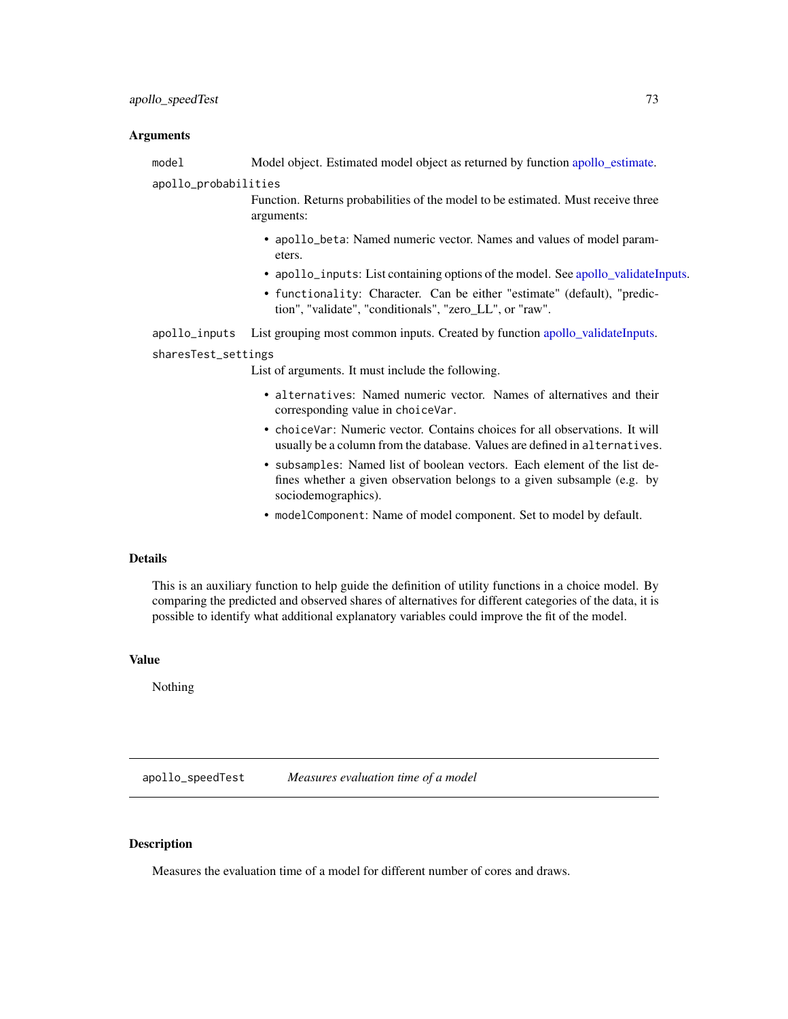#### <span id="page-72-0"></span>Arguments

model Model object. Estimated model object as returned by function [apollo\\_estimate.](#page-25-0)

# apollo\_probabilities

Function. Returns probabilities of the model to be estimated. Must receive three arguments:

- apollo\_beta: Named numeric vector. Names and values of model parameters.
- apollo\_inputs: List containing options of the model. See [apollo\\_validateInputs.](#page-80-0)
- functionality: Character. Can be either "estimate" (default), "prediction", "validate", "conditionals", "zero\_LL", or "raw".

apollo\_inputs List grouping most common inputs. Created by function [apollo\\_validateInputs.](#page-80-0)

#### sharesTest\_settings

List of arguments. It must include the following.

- alternatives: Named numeric vector. Names of alternatives and their corresponding value in choiceVar.
- choiceVar: Numeric vector. Contains choices for all observations. It will usually be a column from the database. Values are defined in alternatives.
- subsamples: Named list of boolean vectors. Each element of the list defines whether a given observation belongs to a given subsample (e.g. by sociodemographics).
- modelComponent: Name of model component. Set to model by default.

## Details

This is an auxiliary function to help guide the definition of utility functions in a choice model. By comparing the predicted and observed shares of alternatives for different categories of the data, it is possible to identify what additional explanatory variables could improve the fit of the model.

#### Value

Nothing

apollo\_speedTest *Measures evaluation time of a model*

#### Description

Measures the evaluation time of a model for different number of cores and draws.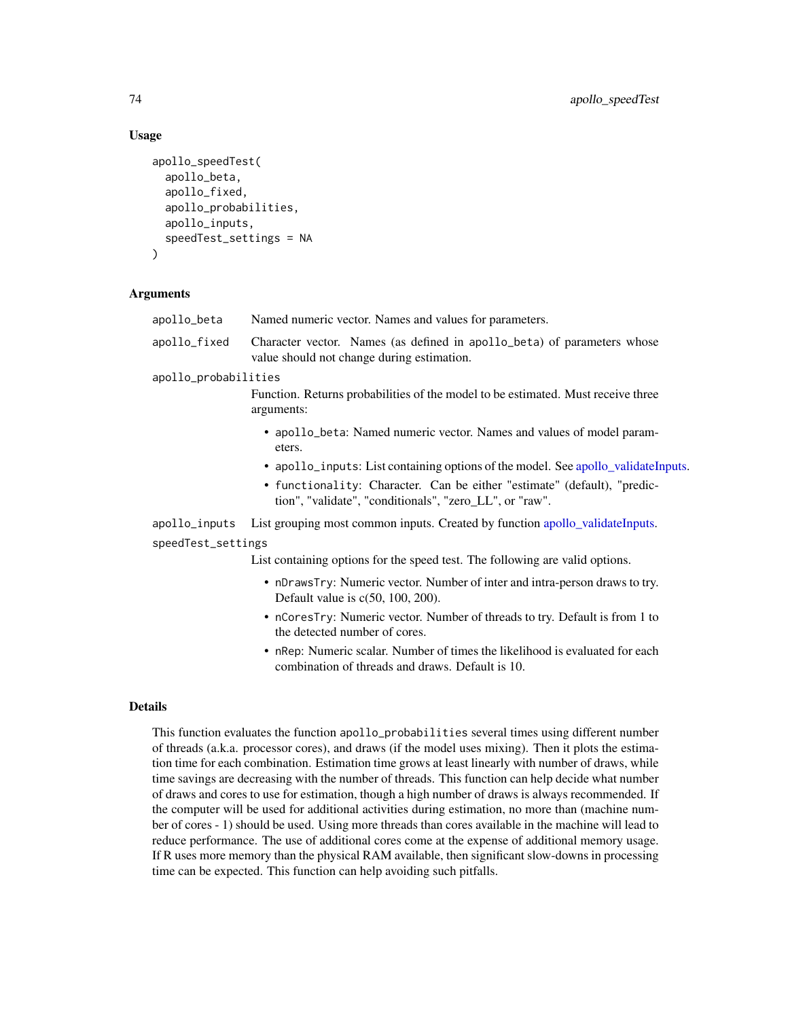#### Usage

```
apollo_speedTest(
  apollo_beta,
  apollo_fixed,
  apollo_probabilities,
  apollo_inputs,
  speedTest_settings = NA
)
```
## Arguments

| apollo_beta          | Named numeric vector. Names and values for parameters.                                                                              |
|----------------------|-------------------------------------------------------------------------------------------------------------------------------------|
| apollo_fixed         | Character vector. Names (as defined in apollo_beta) of parameters whose<br>value should not change during estimation.               |
| apollo_probabilities |                                                                                                                                     |
|                      | Function. Returns probabilities of the model to be estimated. Must receive three<br>arguments:                                      |
|                      | • apollo_beta: Named numeric vector. Names and values of model param-<br>eters.                                                     |
|                      | • apollo_inputs: List containing options of the model. See apollo_validateInputs.                                                   |
|                      | • functionality: Character. Can be either "estimate" (default), "predic-<br>tion", "validate", "conditionals", "zero_LL", or "raw". |
| apollo_inputs        | List grouping most common inputs. Created by function apollo_validateInputs.                                                        |
| speedTest_settings   |                                                                                                                                     |
|                      | List containing options for the speed test. The following are valid options.                                                        |
|                      | • nDrawsTry: Numeric vector. Number of inter and intra-person draws to try.<br>Default value is $c(50, 100, 200)$ .                 |
|                      | • nCoresTry: Numeric vector. Number of threads to try. Default is from 1 to                                                         |

- the detected number of cores. • nRep: Numeric scalar. Number of times the likelihood is evaluated for each
- combination of threads and draws. Default is 10.

## Details

This function evaluates the function apollo\_probabilities several times using different number of threads (a.k.a. processor cores), and draws (if the model uses mixing). Then it plots the estimation time for each combination. Estimation time grows at least linearly with number of draws, while time savings are decreasing with the number of threads. This function can help decide what number of draws and cores to use for estimation, though a high number of draws is always recommended. If the computer will be used for additional activities during estimation, no more than (machine number of cores - 1) should be used. Using more threads than cores available in the machine will lead to reduce performance. The use of additional cores come at the expense of additional memory usage. If R uses more memory than the physical RAM available, then significant slow-downs in processing time can be expected. This function can help avoiding such pitfalls.

<span id="page-73-0"></span>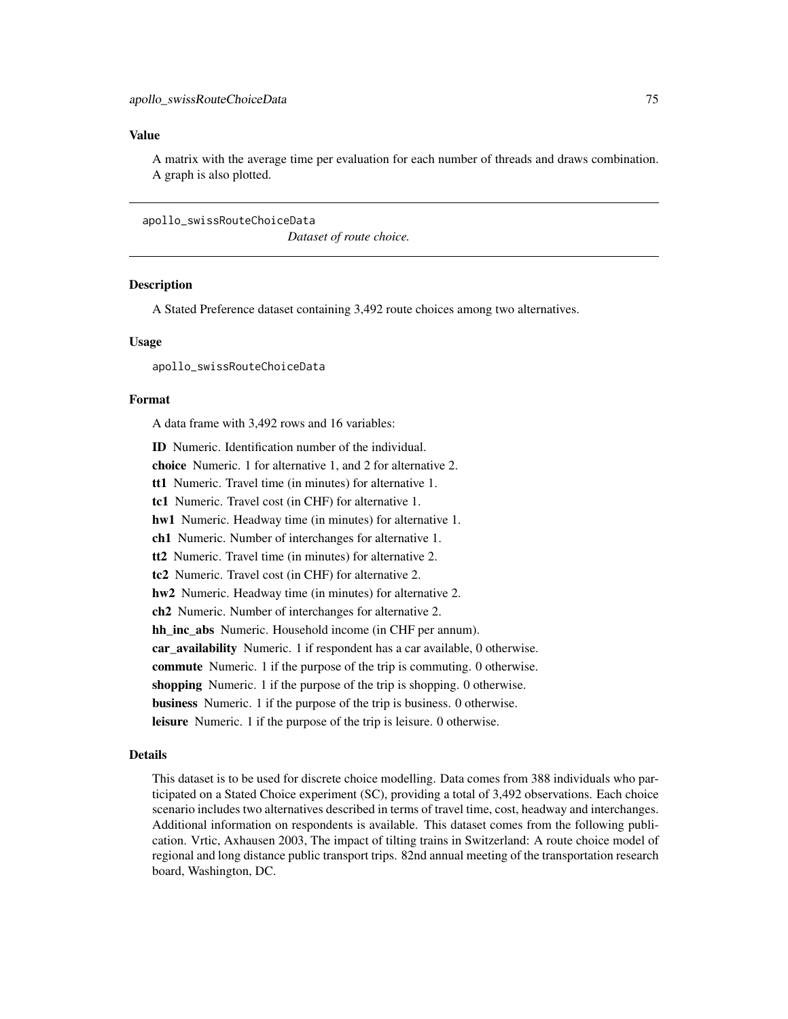#### <span id="page-74-0"></span>Value

A matrix with the average time per evaluation for each number of threads and draws combination. A graph is also plotted.

apollo\_swissRouteChoiceData

*Dataset of route choice.*

### **Description**

A Stated Preference dataset containing 3,492 route choices among two alternatives.

#### Usage

apollo\_swissRouteChoiceData

#### Format

A data frame with 3,492 rows and 16 variables:

ID Numeric. Identification number of the individual.

choice Numeric. 1 for alternative 1, and 2 for alternative 2.

tt1 Numeric. Travel time (in minutes) for alternative 1.

tc1 Numeric. Travel cost (in CHF) for alternative 1.

hw1 Numeric. Headway time (in minutes) for alternative 1.

ch1 Numeric. Number of interchanges for alternative 1.

tt2 Numeric. Travel time (in minutes) for alternative 2.

tc2 Numeric. Travel cost (in CHF) for alternative 2.

hw2 Numeric. Headway time (in minutes) for alternative 2.

ch2 Numeric. Number of interchanges for alternative 2.

hh\_inc\_abs Numeric. Household income (in CHF per annum).

car availability Numeric. 1 if respondent has a car available, 0 otherwise.

commute Numeric. 1 if the purpose of the trip is commuting. 0 otherwise.

shopping Numeric. 1 if the purpose of the trip is shopping. 0 otherwise.

business Numeric. 1 if the purpose of the trip is business. 0 otherwise.

leisure Numeric. 1 if the purpose of the trip is leisure. 0 otherwise.

#### Details

This dataset is to be used for discrete choice modelling. Data comes from 388 individuals who participated on a Stated Choice experiment (SC), providing a total of 3,492 observations. Each choice scenario includes two alternatives described in terms of travel time, cost, headway and interchanges. Additional information on respondents is available. This dataset comes from the following publication. Vrtic, Axhausen 2003, The impact of tilting trains in Switzerland: A route choice model of regional and long distance public transport trips. 82nd annual meeting of the transportation research board, Washington, DC.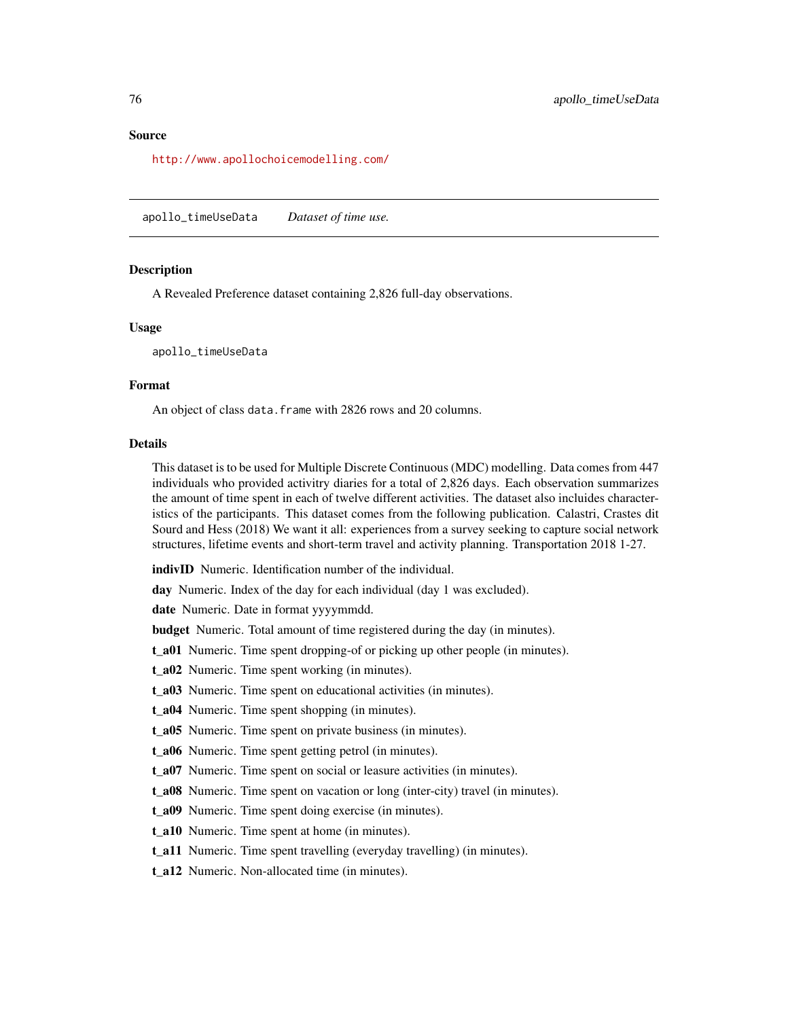<span id="page-75-0"></span><http://www.apollochoicemodelling.com/>

apollo\_timeUseData *Dataset of time use.*

#### **Description**

A Revealed Preference dataset containing 2,826 full-day observations.

#### Usage

apollo\_timeUseData

#### Format

An object of class data. frame with 2826 rows and 20 columns.

#### Details

This dataset is to be used for Multiple Discrete Continuous (MDC) modelling. Data comes from 447 individuals who provided activitry diaries for a total of 2,826 days. Each observation summarizes the amount of time spent in each of twelve different activities. The dataset also incluides characteristics of the participants. This dataset comes from the following publication. Calastri, Crastes dit Sourd and Hess (2018) We want it all: experiences from a survey seeking to capture social network structures, lifetime events and short-term travel and activity planning. Transportation 2018 1-27.

indivID Numeric. Identification number of the individual.

day Numeric. Index of the day for each individual (day 1 was excluded).

date Numeric. Date in format yyyymmdd.

budget Numeric. Total amount of time registered during the day (in minutes).

t\_a01 Numeric. Time spent dropping-of or picking up other people (in minutes).

t\_a02 Numeric. Time spent working (in minutes).

t\_a03 Numeric. Time spent on educational activities (in minutes).

t\_a04 Numeric. Time spent shopping (in minutes).

t a05 Numeric. Time spent on private business (in minutes).

t\_a06 Numeric. Time spent getting petrol (in minutes).

t\_a07 Numeric. Time spent on social or leasure activities (in minutes).

t\_a08 Numeric. Time spent on vacation or long (inter-city) travel (in minutes).

t\_a09 Numeric. Time spent doing exercise (in minutes).

t\_a10 Numeric. Time spent at home (in minutes).

t\_a11 Numeric. Time spent travelling (everyday travelling) (in minutes).

t\_a12 Numeric. Non-allocated time (in minutes).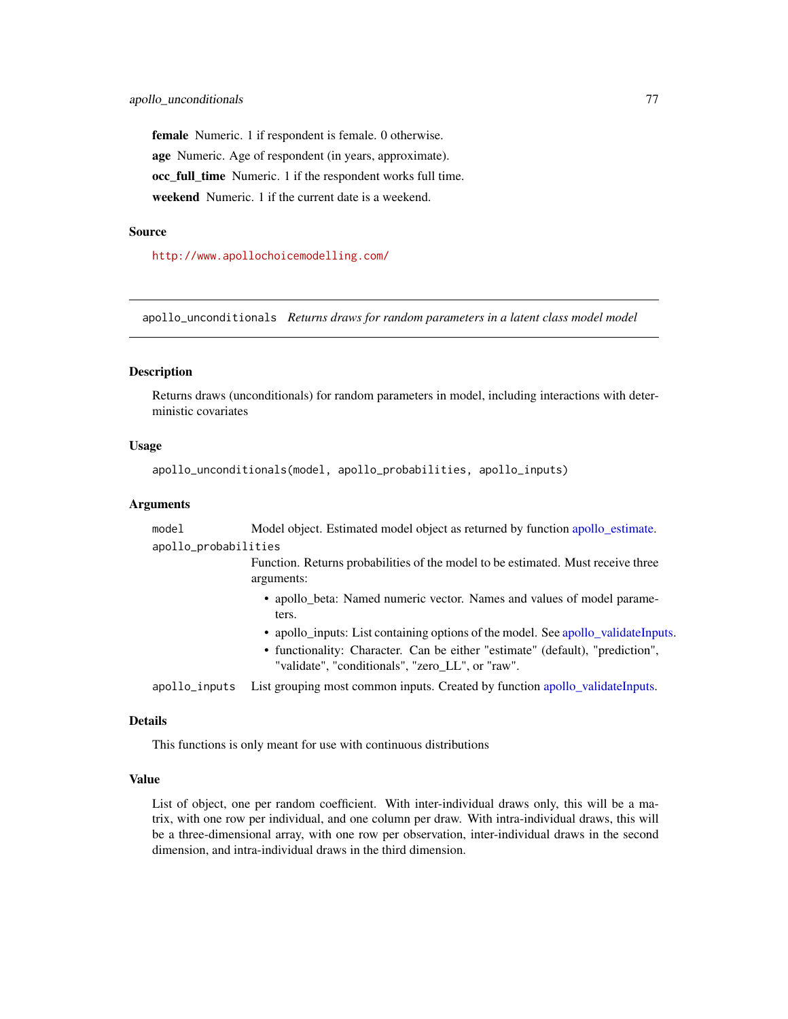<span id="page-76-0"></span>female Numeric. 1 if respondent is female. 0 otherwise. age Numeric. Age of respondent (in years, approximate). occ full time Numeric. 1 if the respondent works full time. weekend Numeric. 1 if the current date is a weekend.

#### Source

<http://www.apollochoicemodelling.com/>

apollo\_unconditionals *Returns draws for random parameters in a latent class model model*

#### Description

Returns draws (unconditionals) for random parameters in model, including interactions with deterministic covariates

## Usage

```
apollo_unconditionals(model, apollo_probabilities, apollo_inputs)
```
#### Arguments

model Model object. Estimated model object as returned by function [apollo\\_estimate.](#page-25-0) apollo\_probabilities

> Function. Returns probabilities of the model to be estimated. Must receive three arguments:

- apollo\_beta: Named numeric vector. Names and values of model parameters.
- apollo\_inputs: List containing options of the model. See [apollo\\_validateInputs.](#page-80-0)
- functionality: Character. Can be either "estimate" (default), "prediction", "validate", "conditionals", "zero\_LL", or "raw".

apollo\_inputs List grouping most common inputs. Created by function [apollo\\_validateInputs.](#page-80-0)

## Details

This functions is only meant for use with continuous distributions

#### Value

List of object, one per random coefficient. With inter-individual draws only, this will be a matrix, with one row per individual, and one column per draw. With intra-individual draws, this will be a three-dimensional array, with one row per observation, inter-individual draws in the second dimension, and intra-individual draws in the third dimension.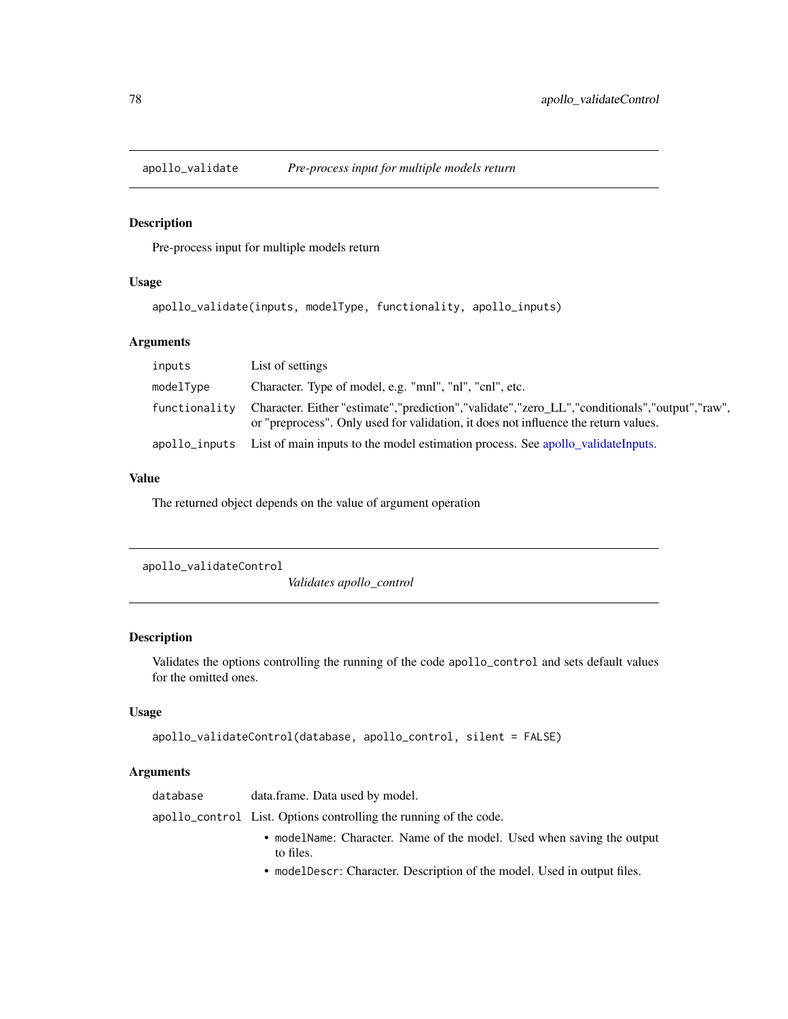<span id="page-77-0"></span>

## Description

Pre-process input for multiple models return

## Usage

```
apollo_validate(inputs, modelType, functionality, apollo_inputs)
```
## Arguments

| inputs        | List of settings                                                                                                                                                                     |
|---------------|--------------------------------------------------------------------------------------------------------------------------------------------------------------------------------------|
| modelType     | Character. Type of model, e.g. "mnl", "nl", "cnl", etc.                                                                                                                              |
| functionality | Character. Either "estimate","prediction","validate","zero_LL","conditionals","output","raw",<br>or "preprocess". Only used for validation, it does not influence the return values. |
|               | apollo_inputs List of main inputs to the model estimation process. See apollo_validateInputs.                                                                                        |

#### Value

The returned object depends on the value of argument operation

```
apollo_validateControl
```
*Validates apollo\_control*

## Description

Validates the options controlling the running of the code apollo\_control and sets default values for the omitted ones.

## Usage

```
apollo_validateControl(database, apollo_control, silent = FALSE)
```
## Arguments

| database | data.frame. Data used by model.                                                     |
|----------|-------------------------------------------------------------------------------------|
|          | apollo_control List. Options controlling the running of the code.                   |
|          | • modelName: Character. Name of the model. Used when saving the output<br>to files. |

• modelDescr: Character. Description of the model. Used in output files.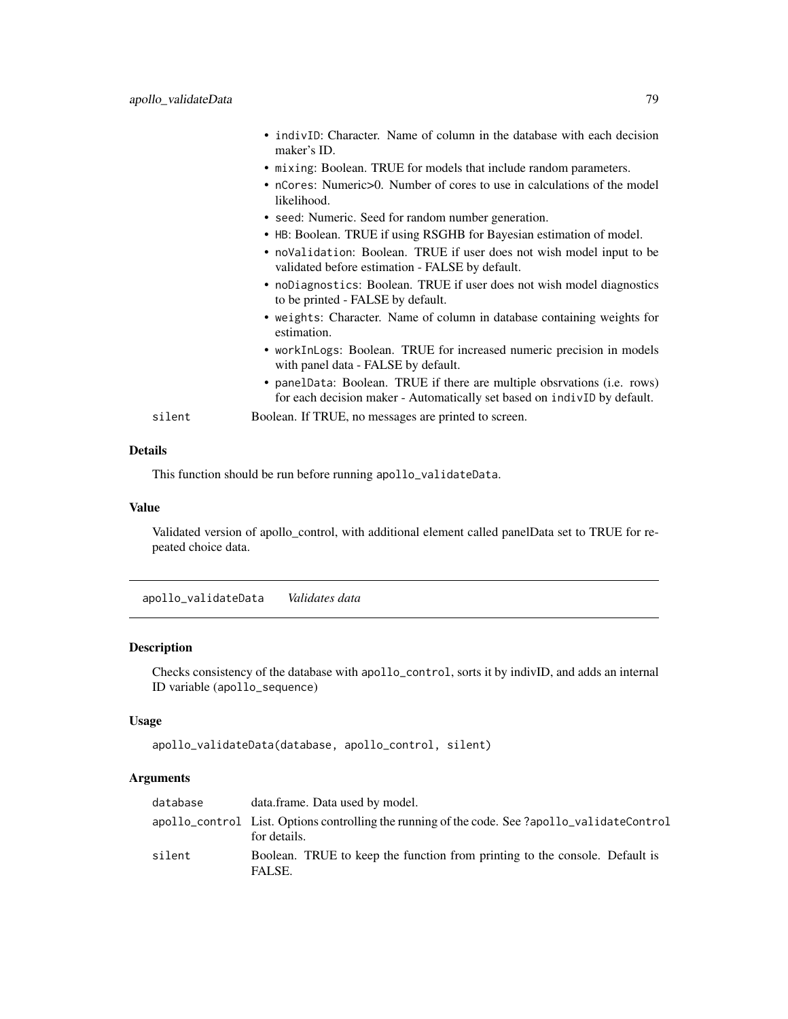<span id="page-78-0"></span>

|        | • indivID: Character. Name of column in the database with each decision<br>maker's ID.                                                               |
|--------|------------------------------------------------------------------------------------------------------------------------------------------------------|
|        | • mixing: Boolean. TRUE for models that include random parameters.                                                                                   |
|        | • nCores: Numeric>0. Number of cores to use in calculations of the model<br>likelihood.                                                              |
|        | • seed: Numeric. Seed for random number generation.                                                                                                  |
|        | • HB: Boolean. TRUE if using RSGHB for Bayesian estimation of model.                                                                                 |
|        | • noValidation: Boolean. TRUE if user does not wish model input to be<br>validated before estimation - FALSE by default.                             |
|        | • noDiagnostics: Boolean. TRUE if user does not wish model diagnostics<br>to be printed - FALSE by default.                                          |
|        | • weights: Character. Name of column in database containing weights for<br>estimation.                                                               |
|        | • workInLogs: Boolean. TRUE for increased numeric precision in models<br>with panel data - FALSE by default.                                         |
|        | • panelData: Boolean. TRUE if there are multiple obsrvations (i.e. rows)<br>for each decision maker - Automatically set based on indivID by default. |
| silent | Boolean. If TRUE, no messages are printed to screen.                                                                                                 |

This function should be run before running apollo\_validateData.

#### Value

Validated version of apollo\_control, with additional element called panelData set to TRUE for repeated choice data.

apollo\_validateData *Validates data*

## Description

Checks consistency of the database with apollo\_control, sorts it by indivID, and adds an internal ID variable (apollo\_sequence)

# Usage

```
apollo_validateData(database, apollo_control, silent)
```
## Arguments

| database | data.frame. Data used by model.                                                                               |
|----------|---------------------------------------------------------------------------------------------------------------|
|          | apollo_control List. Options controlling the running of the code. See ?apollo_validateControl<br>for details. |
| silent   | Boolean. TRUE to keep the function from printing to the console. Default is<br>FALSE.                         |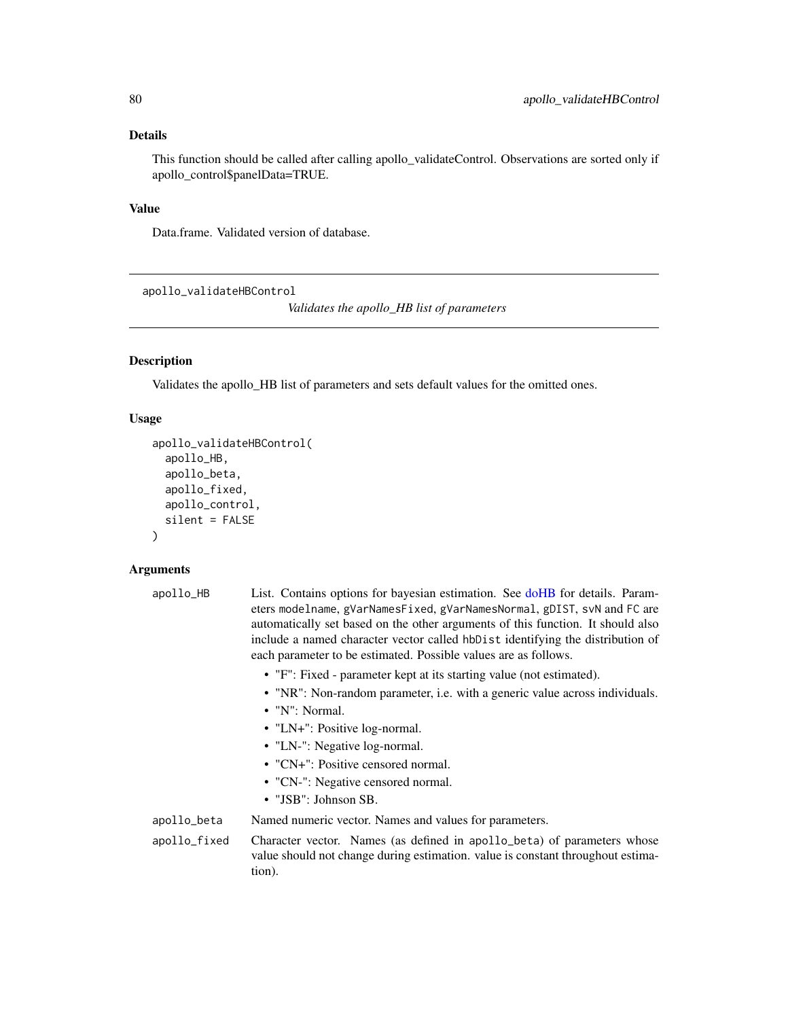<span id="page-79-0"></span>This function should be called after calling apollo\_validateControl. Observations are sorted only if apollo\_control\$panelData=TRUE.

## Value

Data.frame. Validated version of database.

```
apollo_validateHBControl
```
*Validates the apollo\_HB list of parameters*

# Description

Validates the apollo\_HB list of parameters and sets default values for the omitted ones.

# Usage

```
apollo_validateHBControl(
  apollo_HB,
  apollo_beta,
  apollo_fixed,
  apollo_control,
  silent = FALSE
)
```
## Arguments

| apollo_HB    | List. Contains options for bayesian estimation. See doHB for details. Param-<br>eters modelname, gVarNamesFixed, gVarNamesNormal, gDIST, svN and FC are<br>automatically set based on the other arguments of this function. It should also<br>include a named character vector called hbDist identifying the distribution of<br>each parameter to be estimated. Possible values are as follows. |
|--------------|-------------------------------------------------------------------------------------------------------------------------------------------------------------------------------------------------------------------------------------------------------------------------------------------------------------------------------------------------------------------------------------------------|
|              | • "F": Fixed - parameter kept at its starting value (not estimated).                                                                                                                                                                                                                                                                                                                            |
|              | • "NR": Non-random parameter, i.e. with a generic value across individuals.                                                                                                                                                                                                                                                                                                                     |
|              | • "N": Normal.                                                                                                                                                                                                                                                                                                                                                                                  |
|              | • "LN+": Positive log-normal.                                                                                                                                                                                                                                                                                                                                                                   |
|              | • "LN-": Negative log-normal.                                                                                                                                                                                                                                                                                                                                                                   |
|              | • " $CN+$ ": Positive censored normal.                                                                                                                                                                                                                                                                                                                                                          |
|              | • "CN-": Negative censored normal.                                                                                                                                                                                                                                                                                                                                                              |
|              | $\bullet$ "JSB": Johnson SB.                                                                                                                                                                                                                                                                                                                                                                    |
| apollo_beta  | Named numeric vector. Names and values for parameters.                                                                                                                                                                                                                                                                                                                                          |
| apollo_fixed | Character vector. Names (as defined in apollo_beta) of parameters whose<br>value should not change during estimation, value is constant throughout estima-<br>tion).                                                                                                                                                                                                                            |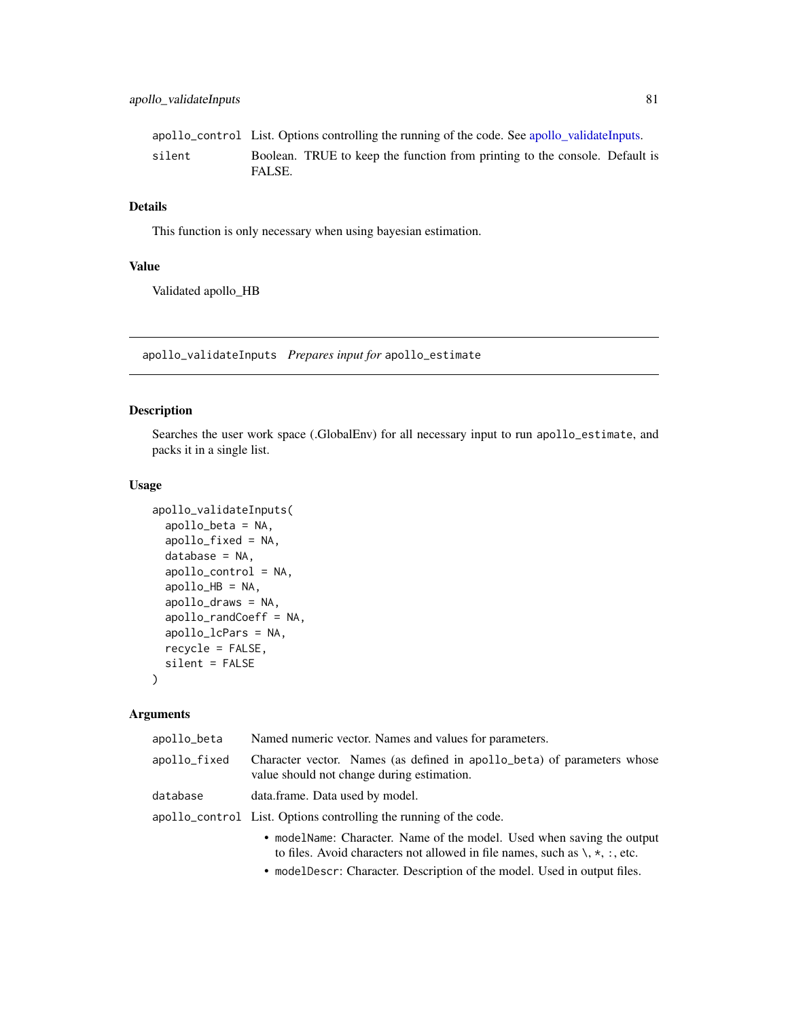<span id="page-80-1"></span>

|        | apollo_control List. Options controlling the running of the code. See apollo validateInputs. |  |
|--------|----------------------------------------------------------------------------------------------|--|
| silent | Boolean. TRUE to keep the function from printing to the console. Default is<br>FALSE.        |  |

This function is only necessary when using bayesian estimation.

## Value

Validated apollo\_HB

<span id="page-80-0"></span>apollo\_validateInputs *Prepares input for* apollo\_estimate

## Description

Searches the user work space (.GlobalEnv) for all necessary input to run apollo\_estimate, and packs it in a single list.

#### Usage

```
apollo_validateInputs(
  apollo_beta = NA,
  apollo_fixed = NA,
  database = NA,
  apollo_control = NA,
  apollo_HB = NA,
  apollo_draws = NA,
  apollo_randCoeff = NA,
  apollo_lcPars = NA,
  recycle = FALSE,
  silent = FALSE
)
```
## Arguments

| apollo_beta  | Named numeric vector. Names and values for parameters.                                                                                                                                                                                                                         |
|--------------|--------------------------------------------------------------------------------------------------------------------------------------------------------------------------------------------------------------------------------------------------------------------------------|
| apollo_fixed | Character vector. Names (as defined in apollo_beta) of parameters whose<br>value should not change during estimation.                                                                                                                                                          |
| database     | data.frame. Data used by model.                                                                                                                                                                                                                                                |
|              | apollo_control List. Options controlling the running of the code.                                                                                                                                                                                                              |
|              | • modelName: Character. Name of the model. Used when saving the output<br>to files. Avoid characters not allowed in file names, such as $\lambda$ , $\star$ , $\div$ , $\star$ , $\div$ , etc.<br>$\blacksquare$ . The case of $\blacksquare$ . The contract of $\blacksquare$ |
|              |                                                                                                                                                                                                                                                                                |

• modelDescr: Character. Description of the model. Used in output files.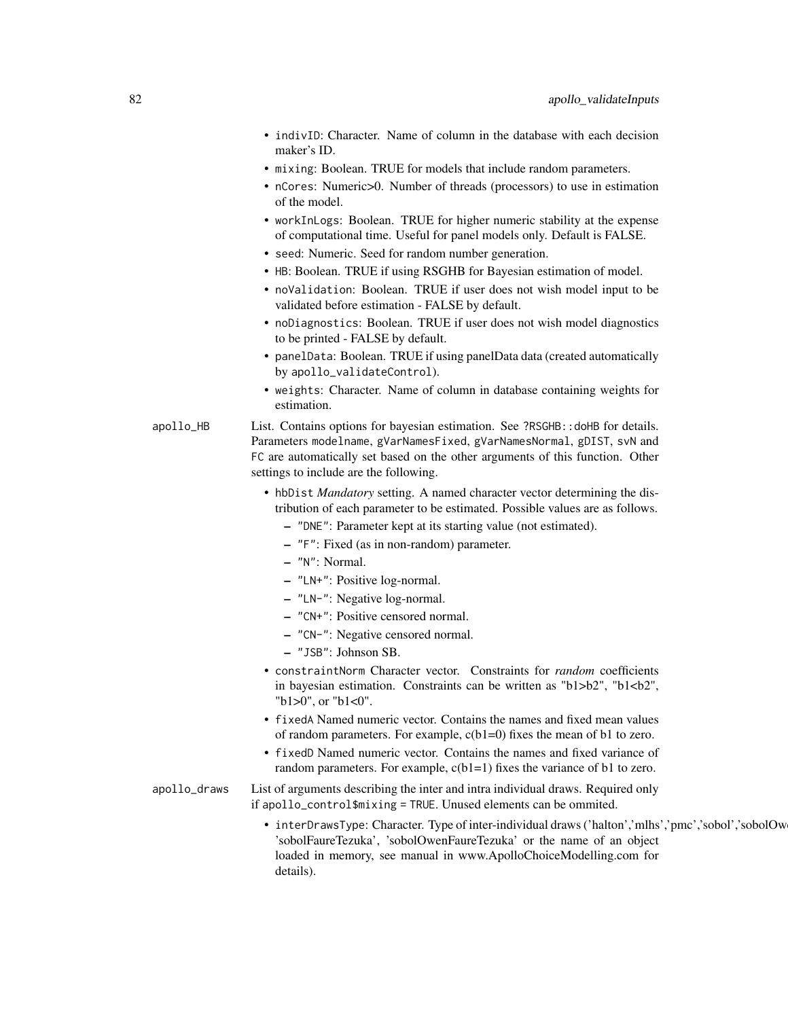- indivID: Character. Name of column in the database with each decision maker's ID.
- mixing: Boolean. TRUE for models that include random parameters.
- nCores: Numeric>0. Number of threads (processors) to use in estimation of the model.
- workInLogs: Boolean. TRUE for higher numeric stability at the expense of computational time. Useful for panel models only. Default is FALSE.
- seed: Numeric. Seed for random number generation.
- HB: Boolean. TRUE if using RSGHB for Bayesian estimation of model.
- noValidation: Boolean. TRUE if user does not wish model input to be validated before estimation - FALSE by default.
- noDiagnostics: Boolean. TRUE if user does not wish model diagnostics to be printed - FALSE by default.
- panelData: Boolean. TRUE if using panelData data (created automatically by apollo\_validateControl).
- weights: Character. Name of column in database containing weights for estimation.
- apollo\_HB List. Contains options for bayesian estimation. See ?RSGHB::doHB for details. Parameters modelname, gVarNamesFixed, gVarNamesNormal, gDIST, svN and FC are automatically set based on the other arguments of this function. Other settings to include are the following.
	- hbDist *Mandatory* setting. A named character vector determining the distribution of each parameter to be estimated. Possible values are as follows.
		- "DNE": Parameter kept at its starting value (not estimated).
		- "F": Fixed (as in non-random) parameter.
		- "N": Normal.
		- "LN+": Positive log-normal.
		- "LN-": Negative log-normal.
		- "CN+": Positive censored normal.
		- "CN-": Negative censored normal.
		- "JSB": Johnson SB.
	- constraintNorm Character vector. Constraints for *random* coefficients in bayesian estimation. Constraints can be written as "b1>b2", "b1<br/>b2", "b1>0", or "b1<0".
	- fixedA Named numeric vector. Contains the names and fixed mean values of random parameters. For example,  $c(b1=0)$  fixes the mean of b1 to zero.
	- fixedD Named numeric vector. Contains the names and fixed variance of random parameters. For example,  $c(b1=1)$  fixes the variance of b1 to zero.
- apollo\_draws List of arguments describing the inter and intra individual draws. Required only if apollo\_control\$mixing = TRUE. Unused elements can be ommited.
	- interDrawsType: Character. Type of inter-individual draws ('halton','mlhs','pmc','sobol','sobolOw 'sobolFaureTezuka', 'sobolOwenFaureTezuka' or the name of an object loaded in memory, see manual in www.ApolloChoiceModelling.com for details).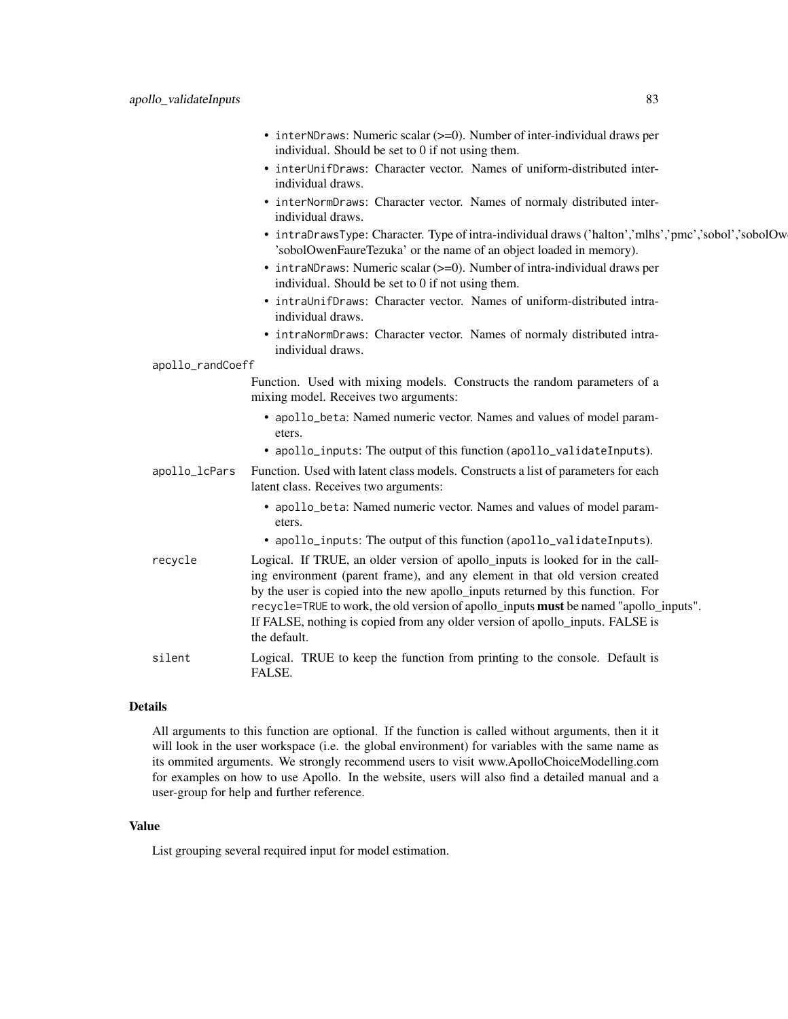|                  | • interNDraws: Numeric scalar (>=0). Number of inter-individual draws per<br>individual. Should be set to 0 if not using them.                                                                                                                                                                                                                                                                                                             |
|------------------|--------------------------------------------------------------------------------------------------------------------------------------------------------------------------------------------------------------------------------------------------------------------------------------------------------------------------------------------------------------------------------------------------------------------------------------------|
|                  | • interUnifDraws: Character vector. Names of uniform-distributed inter-<br>individual draws.                                                                                                                                                                                                                                                                                                                                               |
|                  | • interNormDraws: Character vector. Names of normaly distributed inter-<br>individual draws.                                                                                                                                                                                                                                                                                                                                               |
|                  | • intraDrawsType: Character. Type of intra-individual draws ('halton','mlhs','pmc','sobol','sobolOw<br>'sobolOwenFaureTezuka' or the name of an object loaded in memory).                                                                                                                                                                                                                                                                  |
|                  | • intraNDraws: Numeric scalar (>=0). Number of intra-individual draws per<br>individual. Should be set to 0 if not using them.                                                                                                                                                                                                                                                                                                             |
|                  | • intraUnifDraws: Character vector. Names of uniform-distributed intra-<br>individual draws.                                                                                                                                                                                                                                                                                                                                               |
|                  | • intraNormDraws: Character vector. Names of normaly distributed intra-<br>individual draws.                                                                                                                                                                                                                                                                                                                                               |
| apollo_randCoeff |                                                                                                                                                                                                                                                                                                                                                                                                                                            |
|                  | Function. Used with mixing models. Constructs the random parameters of a<br>mixing model. Receives two arguments:                                                                                                                                                                                                                                                                                                                          |
|                  | • apollo_beta: Named numeric vector. Names and values of model param-<br>eters.                                                                                                                                                                                                                                                                                                                                                            |
|                  | • apollo_inputs: The output of this function (apollo_validateInputs).                                                                                                                                                                                                                                                                                                                                                                      |
| apollo_lcPars    | Function. Used with latent class models. Constructs a list of parameters for each<br>latent class. Receives two arguments:                                                                                                                                                                                                                                                                                                                 |
|                  | • apollo_beta: Named numeric vector. Names and values of model param-<br>eters.                                                                                                                                                                                                                                                                                                                                                            |
|                  | • apollo_inputs: The output of this function (apollo_validateInputs).                                                                                                                                                                                                                                                                                                                                                                      |
| recycle          | Logical. If TRUE, an older version of apollo_inputs is looked for in the call-<br>ing environment (parent frame), and any element in that old version created<br>by the user is copied into the new apollo_inputs returned by this function. For<br>recycle=TRUE to work, the old version of apollo_inputs must be named "apollo_inputs".<br>If FALSE, nothing is copied from any older version of apollo_inputs. FALSE is<br>the default. |
| silent           | Logical. TRUE to keep the function from printing to the console. Default is<br>FALSE.                                                                                                                                                                                                                                                                                                                                                      |

All arguments to this function are optional. If the function is called without arguments, then it it will look in the user workspace (i.e. the global environment) for variables with the same name as its ommited arguments. We strongly recommend users to visit www.ApolloChoiceModelling.com for examples on how to use Apollo. In the website, users will also find a detailed manual and a user-group for help and further reference.

## Value

List grouping several required input for model estimation.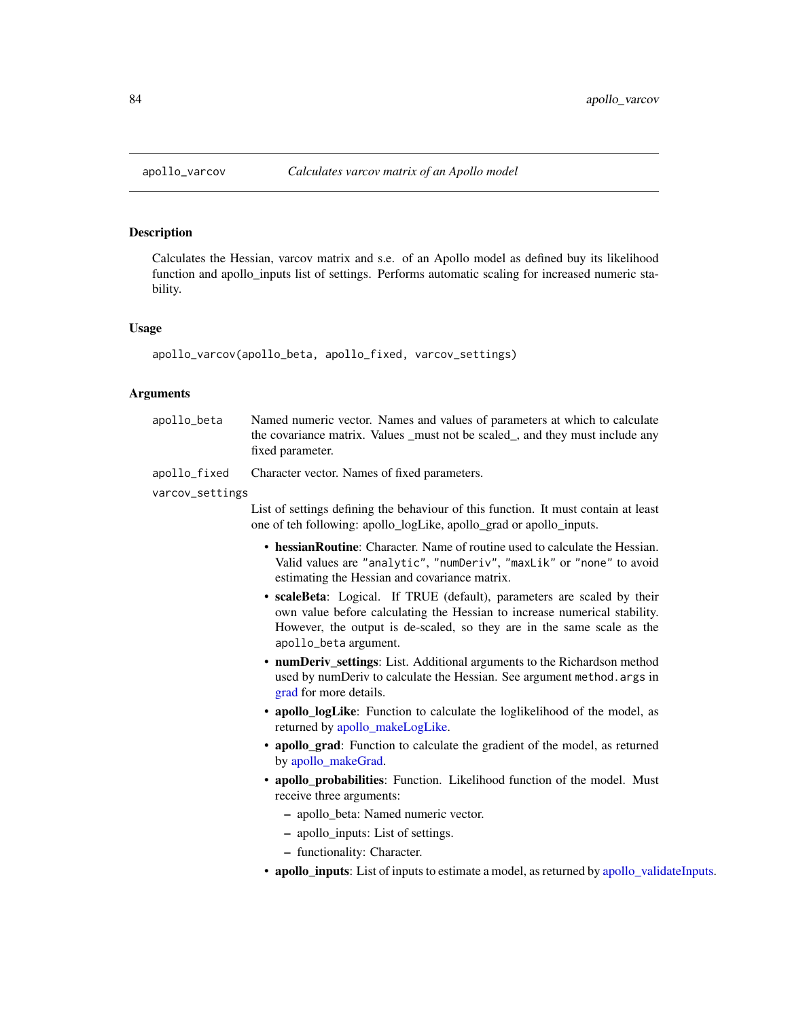## <span id="page-83-0"></span>Description

Calculates the Hessian, varcov matrix and s.e. of an Apollo model as defined buy its likelihood function and apollo\_inputs list of settings. Performs automatic scaling for increased numeric stability.

#### Usage

apollo\_varcov(apollo\_beta, apollo\_fixed, varcov\_settings)

#### Arguments

- apollo\_beta Named numeric vector. Names and values of parameters at which to calculate the covariance matrix. Values \_must not be scaled\_, and they must include any fixed parameter.
- apollo\_fixed Character vector. Names of fixed parameters.

varcov\_settings

List of settings defining the behaviour of this function. It must contain at least one of teh following: apollo\_logLike, apollo\_grad or apollo\_inputs.

- hessianRoutine: Character. Name of routine used to calculate the Hessian. Valid values are "analytic", "numDeriv", "maxLik" or "none" to avoid estimating the Hessian and covariance matrix.
- scaleBeta: Logical. If TRUE (default), parameters are scaled by their own value before calculating the Hessian to increase numerical stability. However, the output is de-scaled, so they are in the same scale as the apollo\_beta argument.
- numDeriv settings: List. Additional arguments to the Richardson method used by numDeriv to calculate the Hessian. See argument method.args in [grad](#page-0-0) for more details.
- apollo\_logLike: Function to calculate the loglikelihood of the model, as returned by [apollo\\_makeLogLike.](#page-43-0)
- apollo\_grad: Function to calculate the gradient of the model, as returned by [apollo\\_makeGrad.](#page-42-0)
- apollo\_probabilities: Function. Likelihood function of the model. Must receive three arguments:
	- apollo\_beta: Named numeric vector.
	- apollo\_inputs: List of settings.
	- functionality: Character.
- apollo\_inputs: List of inputs to estimate a model, as returned by [apollo\\_validateInputs.](#page-80-0)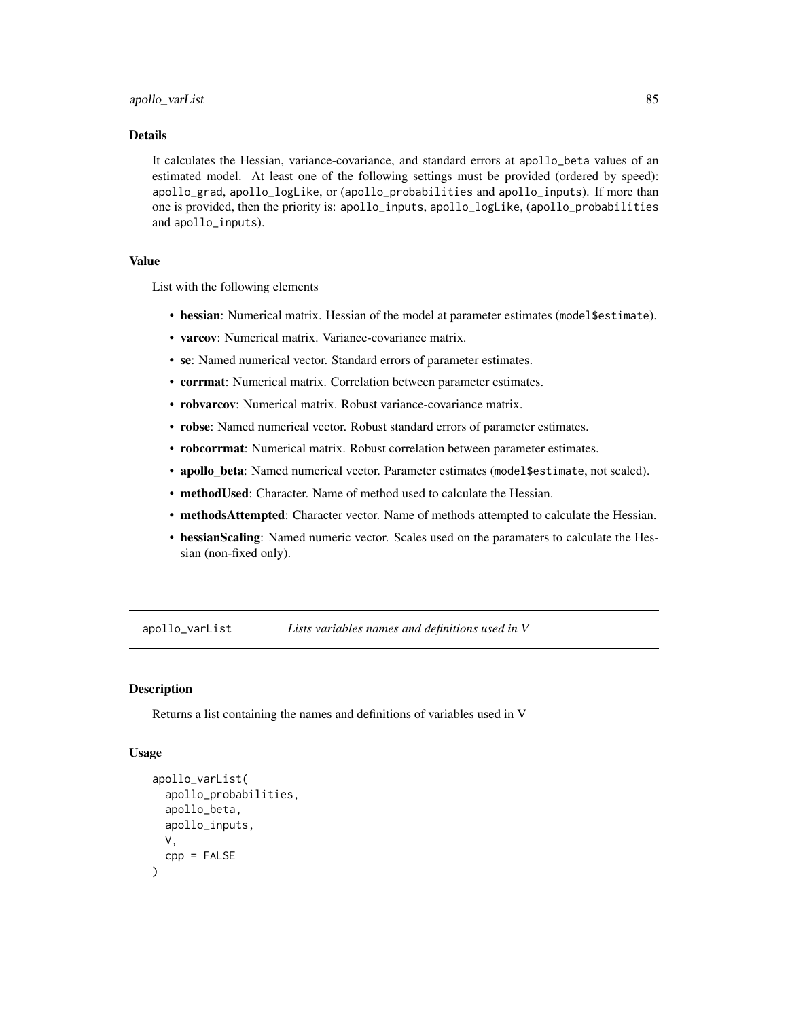<span id="page-84-0"></span>It calculates the Hessian, variance-covariance, and standard errors at apollo\_beta values of an estimated model. At least one of the following settings must be provided (ordered by speed): apollo\_grad, apollo\_logLike, or (apollo\_probabilities and apollo\_inputs). If more than one is provided, then the priority is: apollo\_inputs, apollo\_logLike, (apollo\_probabilities and apollo\_inputs).

#### Value

List with the following elements

- hessian: Numerical matrix. Hessian of the model at parameter estimates (model\$estimate).
- varcov: Numerical matrix. Variance-covariance matrix.
- se: Named numerical vector. Standard errors of parameter estimates.
- corrmat: Numerical matrix. Correlation between parameter estimates.
- robvarcov: Numerical matrix. Robust variance-covariance matrix.
- robse: Named numerical vector. Robust standard errors of parameter estimates.
- robcorrmat: Numerical matrix. Robust correlation between parameter estimates.
- apollo\_beta: Named numerical vector. Parameter estimates (model\$estimate, not scaled).
- methodUsed: Character. Name of method used to calculate the Hessian.
- methodsAttempted: Character vector. Name of methods attempted to calculate the Hessian.
- hessianScaling: Named numeric vector. Scales used on the paramaters to calculate the Hessian (non-fixed only).

apollo\_varList *Lists variables names and definitions used in V*

## **Description**

Returns a list containing the names and definitions of variables used in V

#### Usage

```
apollo_varList(
  apollo_probabilities,
  apollo_beta,
  apollo_inputs,
  V,
  cpp = FALSE)
```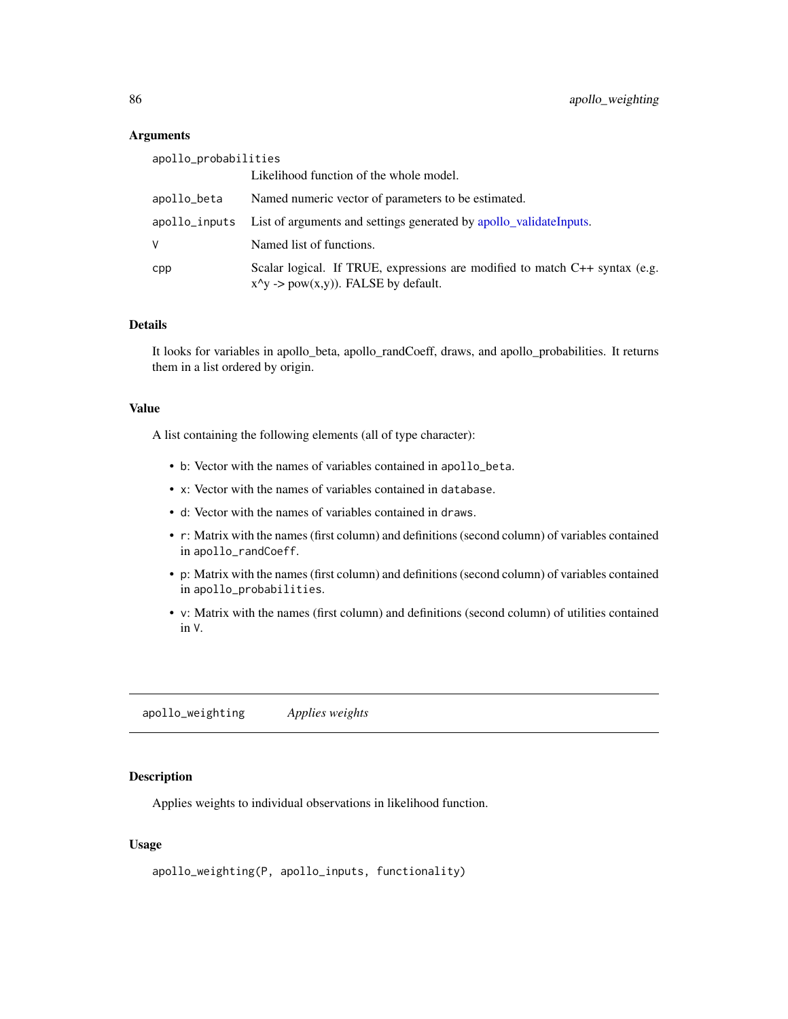### **Arguments**

| apollo_probabilities |                                                                                                                      |
|----------------------|----------------------------------------------------------------------------------------------------------------------|
|                      | Likelihood function of the whole model.                                                                              |
| apollo_beta          | Named numeric vector of parameters to be estimated.                                                                  |
| apollo_inputs        | List of arguments and settings generated by apollo_validateInputs.                                                   |
| V                    | Named list of functions.                                                                                             |
| cpp                  | Scalar logical. If TRUE, expressions are modified to match C++ syntax (e.g.<br>$x^y$ -> pow(x,y)). FALSE by default. |

## Details

It looks for variables in apollo\_beta, apollo\_randCoeff, draws, and apollo\_probabilities. It returns them in a list ordered by origin.

## Value

A list containing the following elements (all of type character):

- b: Vector with the names of variables contained in apollo\_beta.
- x: Vector with the names of variables contained in database.
- d: Vector with the names of variables contained in draws.
- r: Matrix with the names (first column) and definitions (second column) of variables contained in apollo\_randCoeff.
- p: Matrix with the names (first column) and definitions (second column) of variables contained in apollo\_probabilities.
- v: Matrix with the names (first column) and definitions (second column) of utilities contained in V.

apollo\_weighting *Applies weights*

#### Description

Applies weights to individual observations in likelihood function.

## Usage

```
apollo_weighting(P, apollo_inputs, functionality)
```
<span id="page-85-0"></span>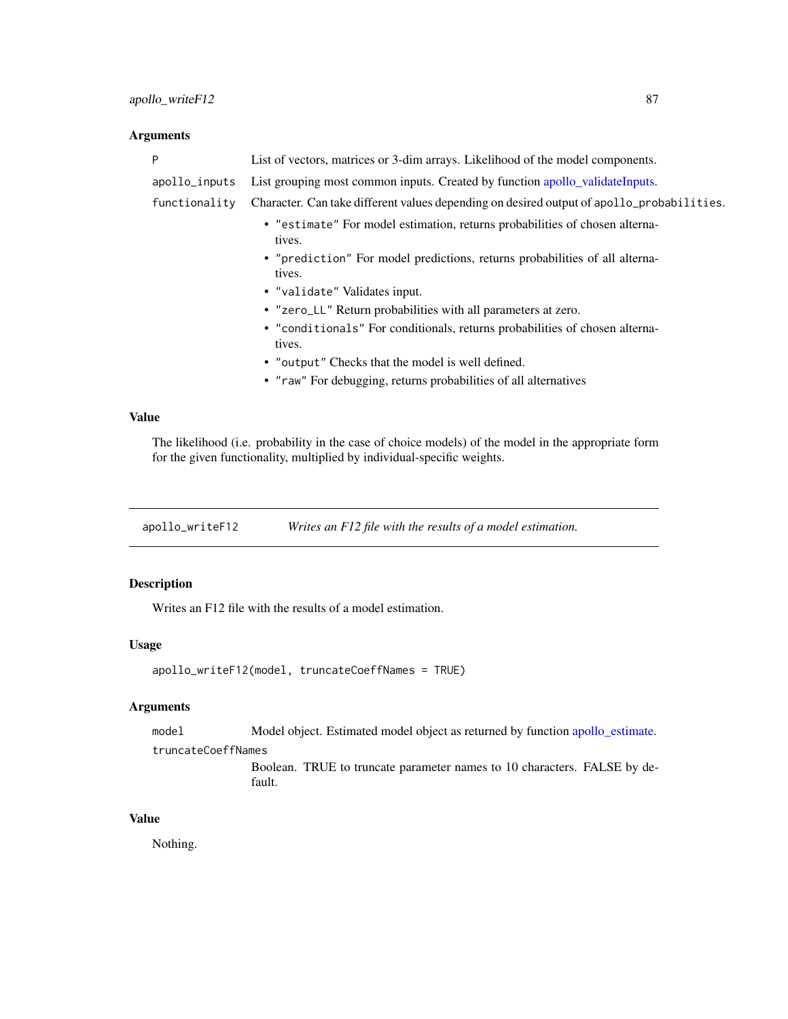## <span id="page-86-0"></span>Arguments

| P             | List of vectors, matrices or 3-dim arrays. Likelihood of the model components.            |
|---------------|-------------------------------------------------------------------------------------------|
| apollo_inputs | List grouping most common inputs. Created by function apollo_validateInputs.              |
| functionality | Character. Can take different values depending on desired output of apollo_probabilities. |
|               | • "estimate" For model estimation, returns probabilities of chosen alterna-<br>tives.     |
|               | • "prediction" For model predictions, returns probabilities of all alterna-<br>tives.     |
|               | • "validate" Validates input.                                                             |
|               | • "zero_LL" Return probabilities with all parameters at zero.                             |
|               | • "conditionals" For conditionals, returns probabilities of chosen alterna-<br>tives.     |
|               | • "output" Checks that the model is well defined.                                         |
|               | • "raw" For debugging, returns probabilities of all alternatives                          |
|               |                                                                                           |

# Value

The likelihood (i.e. probability in the case of choice models) of the model in the appropriate form for the given functionality, multiplied by individual-specific weights.

apollo\_writeF12 *Writes an F12 file with the results of a model estimation.*

## Description

Writes an F12 file with the results of a model estimation.

#### Usage

```
apollo_writeF12(model, truncateCoeffNames = TRUE)
```
## Arguments

```
apollo_estimate.
```
#### truncateCoeffNames

Boolean. TRUE to truncate parameter names to 10 characters. FALSE by default.

#### Value

Nothing.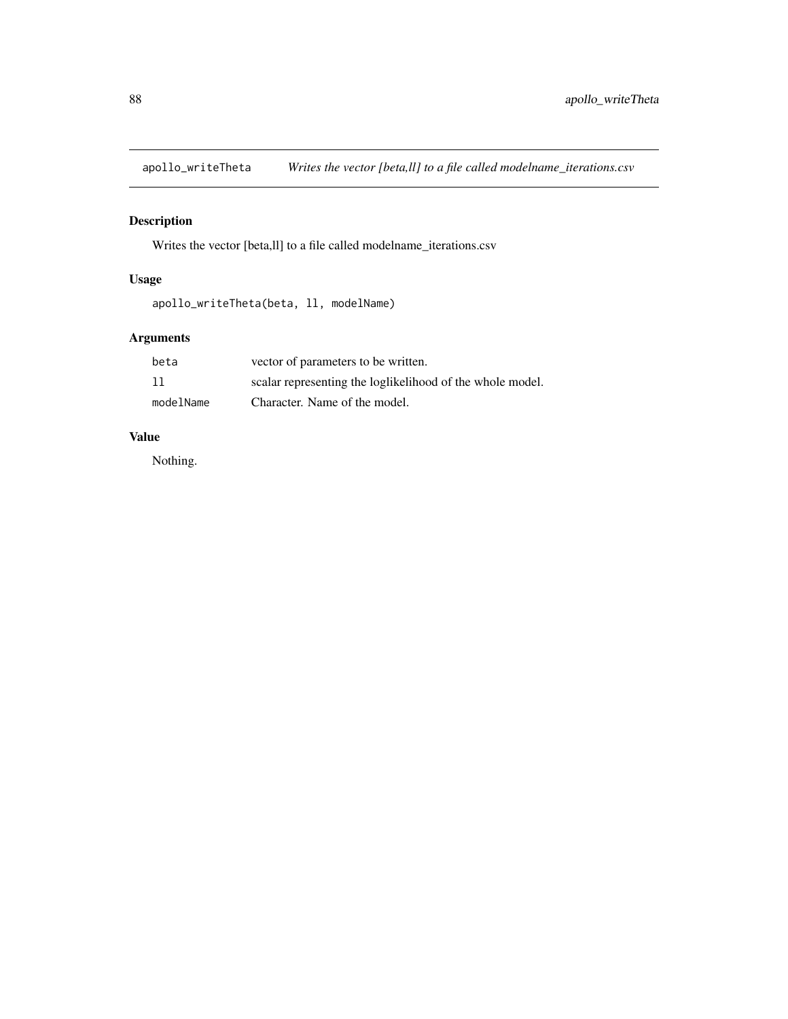<span id="page-87-0"></span>apollo\_writeTheta *Writes the vector [beta,ll] to a file called modelname\_iterations.csv*

# Description

Writes the vector [beta,ll] to a file called modelname\_iterations.csv

## Usage

apollo\_writeTheta(beta, ll, modelName)

# Arguments

| beta      | vector of parameters to be written.                       |
|-----------|-----------------------------------------------------------|
| 11        | scalar representing the loglikelihood of the whole model. |
| modelName | Character. Name of the model.                             |

# Value

Nothing.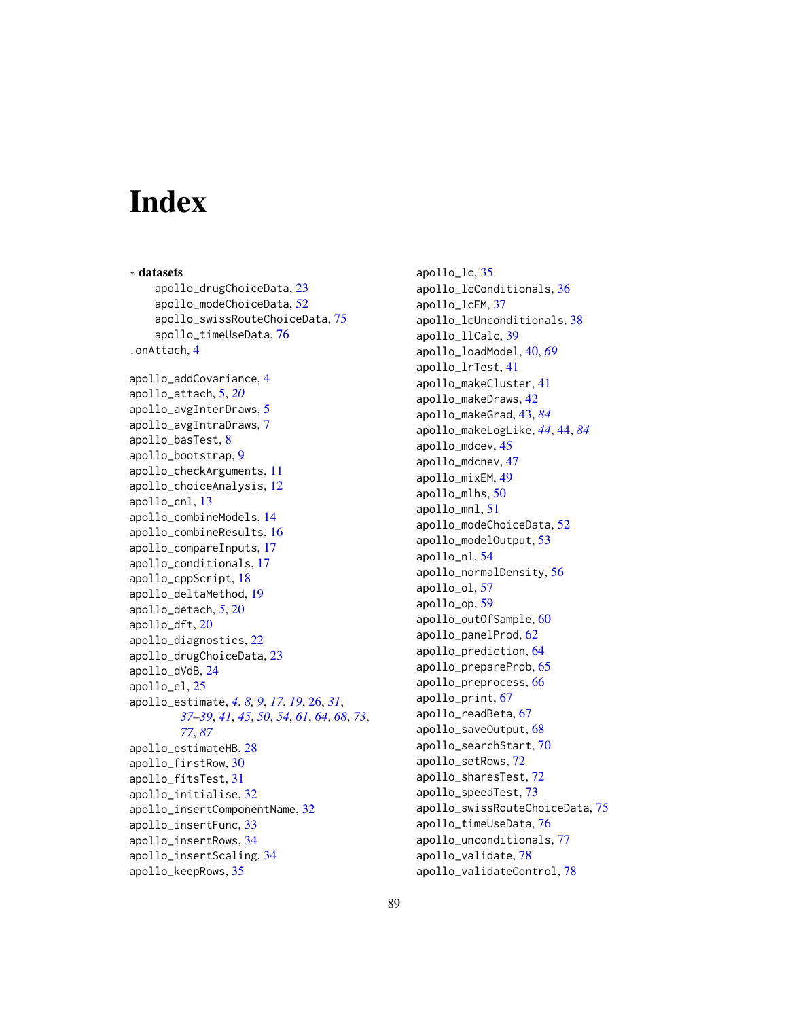# **Index**

∗ datasets apollo\_drugChoiceData, [23](#page-22-0) apollo\_modeChoiceData, [52](#page-51-0) apollo\_swissRouteChoiceData, [75](#page-74-0) apollo\_timeUseData, [76](#page-75-0) .onAttach, [4](#page-3-0) apollo\_addCovariance, [4](#page-3-0) apollo\_attach, [5,](#page-4-0) *[20](#page-19-0)* apollo\_avgInterDraws, [5](#page-4-0) apollo\_avgIntraDraws, [7](#page-6-0) apollo\_basTest, [8](#page-7-0) apollo\_bootstrap, [9](#page-8-0) apollo\_checkArguments, [11](#page-10-0) apollo\_choiceAnalysis, [12](#page-11-0) apollo\_cnl, [13](#page-12-0) apollo\_combineModels, [14](#page-13-0) apollo\_combineResults, [16](#page-15-0) apollo\_compareInputs, [17](#page-16-0) apollo\_conditionals, [17](#page-16-0) apollo\_cppScript, [18](#page-17-0) apollo\_deltaMethod, [19](#page-18-0) apollo\_detach, *[5](#page-4-0)*, [20](#page-19-0) apollo\_dft, [20](#page-19-0) apollo\_diagnostics, [22](#page-21-0) apollo\_drugChoiceData, [23](#page-22-0) apollo\_dVdB, [24](#page-23-0) apollo\_el, [25](#page-24-0) apollo\_estimate, *[4](#page-3-0)*, *[8,](#page-7-0) [9](#page-8-0)*, *[17](#page-16-0)*, *[19](#page-18-0)*, [26,](#page-25-1) *[31](#page-30-0)*, *[37](#page-36-0)[–39](#page-38-0)*, *[41](#page-40-0)*, *[45](#page-44-0)*, *[50](#page-49-0)*, *[54](#page-53-0)*, *[61](#page-60-0)*, *[64](#page-63-0)*, *[68](#page-67-0)*, *[73](#page-72-0)*, *[77](#page-76-0)*, *[87](#page-86-0)* apollo\_estimateHB, [28](#page-27-0) apollo\_firstRow, [30](#page-29-0) apollo\_fitsTest, [31](#page-30-0) apollo\_initialise, [32](#page-31-0) apollo\_insertComponentName, [32](#page-31-0) apollo\_insertFunc, [33](#page-32-0) apollo\_insertRows, [34](#page-33-0) apollo\_insertScaling, [34](#page-33-0) apollo\_keepRows, [35](#page-34-0)

apollo\_lc, [35](#page-34-0) apollo\_lcConditionals, [36](#page-35-0) apollo\_lcEM, [37](#page-36-0) apollo\_lcUnconditionals, [38](#page-37-0) apollo\_llCalc, [39](#page-38-0) apollo\_loadModel, [40,](#page-39-0) *[69](#page-68-0)* apollo\_lrTest, [41](#page-40-0) apollo\_makeCluster, [41](#page-40-0) apollo\_makeDraws, [42](#page-41-0) apollo\_makeGrad, [43,](#page-42-1) *[84](#page-83-0)* apollo\_makeLogLike, *[44](#page-43-1)*, [44,](#page-43-1) *[84](#page-83-0)* apollo\_mdcev, [45](#page-44-0) apollo\_mdcnev, [47](#page-46-0) apollo\_mixEM, [49](#page-48-0) apollo\_mlhs, [50](#page-49-0) apollo\_mnl, [51](#page-50-0) apollo\_modeChoiceData, [52](#page-51-0) apollo\_modelOutput, [53](#page-52-0) apollo\_nl, [54](#page-53-0) apollo\_normalDensity, [56](#page-55-0) apollo\_ol, [57](#page-56-0) apollo\_op, [59](#page-58-0) apollo\_outOfSample, [60](#page-59-0) apollo\_panelProd, [62](#page-61-0) apollo\_prediction, [64](#page-63-0) apollo\_prepareProb, [65](#page-64-0) apollo\_preprocess, [66](#page-65-0) apollo\_print, [67](#page-66-0) apollo\_readBeta, [67](#page-66-0) apollo\_saveOutput, [68](#page-67-0) apollo\_searchStart, [70](#page-69-0) apollo\_setRows, [72](#page-71-0) apollo\_sharesTest, [72](#page-71-0) apollo\_speedTest, [73](#page-72-0) apollo\_swissRouteChoiceData, [75](#page-74-0) apollo\_timeUseData, [76](#page-75-0) apollo\_unconditionals, [77](#page-76-0) apollo\_validate, [78](#page-77-0) apollo\_validateControl, [78](#page-77-0)